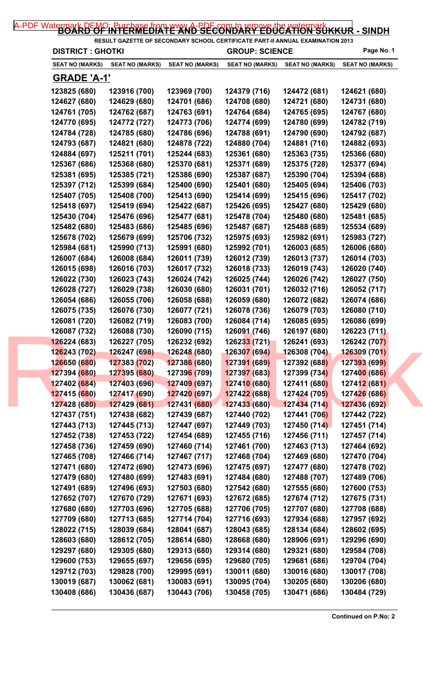| <b>DISTRICT : GHOTKI</b>     |                              |                              | <b>GROUP: SCIENCE</b>        |                              | Page No. 1                   |
|------------------------------|------------------------------|------------------------------|------------------------------|------------------------------|------------------------------|
| SEAT NO (MARKS)              | <b>SEAT NO (MARKS)</b>       | <b>SEAT NO (MARKS)</b>       | <b>SEAT NO (MARKS)</b>       | <b>SEAT NO (MARKS)</b>       | <b>SEAT NO (MARKS)</b>       |
| <u>GRADE 'A-1'</u>           |                              |                              |                              |                              |                              |
| 123825 (680)                 | 123916 (700)                 | 123969 (700)                 | 124379 (716)                 | 124472 (681)                 | 124621 (680)                 |
| 124627 (680)                 | 124629 (680)                 | 124701 (686)                 | 124708 (680)                 | 124721 (680)                 | 124731 (680)                 |
| 124761 (705)                 | 124762 (687)                 | 124763 (691)                 | 124764 (684)                 | 124765 (695)                 | 124767 (680)                 |
| 124770 (695)                 | 124772 (727)                 | 124773 (706)                 | 124774 (699)                 | 124780 (699)                 | 124782 (719)                 |
| 124784 (728)                 | 124785 (680)                 | 124786 (696)                 | 124788 (691)                 | 124790 (690)                 | 124792 (687)                 |
| 124793 (687)                 | 124821 (680)                 | 124878 (722)                 | 124880 (704)                 | 124881 (716)                 | 124882 (693)                 |
| 124884 (697)                 | 125211 (701)                 | 125244 (683)                 | 125361 (680)                 | 125363 (735)                 | 125366 (680)                 |
| 125367 (686)                 | 125368 (680)                 | 125370 (681)                 | 125371 (689)                 | 125375 (728)                 | 125377 (694)                 |
| 125381 (695)                 | 125385 (721)                 | 125386 (690)                 | 125387 (687)                 | 125390 (704)                 | 125394 (688)                 |
| 125397 (712)                 | 125399 (684)                 | 125400 (690)                 | 125401 (680)                 | 125405 (694)                 | 125406 (703)                 |
| 125407 (705)                 | 125408 (700)                 | 125413 (690)                 | 125414 (699)                 | 125415 (696)                 | 125417 (702)                 |
| 125418 (697)                 | 125419 (694)                 | 125422 (687)                 | 125426 (695)                 | 125427 (680)                 | 125429 (680)                 |
| 125430 (704)                 | 125476 (696)                 | 125477 (681)                 | 125478 (704)                 | 125480 (680)                 | 125481 (685)                 |
| 125482 (680)                 | 125483 (686)                 | 125485 (696)                 | 125487 (687)                 | 125488 (689)                 | 125534 (689)                 |
| 125678 (702)                 | 125679 (699)                 | 125706 (732)                 | 125975 (693)                 | 125982 (691)                 | 125983 (727)                 |
| 125984 (681)                 | 125990 (713)                 | 125991 (680)                 | 125992 (701)                 | 126003 (685)                 | 126006 (680)                 |
| 126007 (684)                 | 126008 (684)                 | 126011 (739)                 | 126012 (739)                 | 126013 (737)                 | 126014 (703)                 |
| 126015 (698)                 | 126016 (703)                 | 126017 (732)                 | 126018 (733)                 | 126019 (743)                 | 126020 (740)                 |
| 126022 (730)                 | 126023 (743)                 | 126024 (742)                 | 126025 (744)                 | 126026 (742)                 | 126027 (750)                 |
| 126028 (727)                 | 126029 (738)                 | 126030 (680)                 | 126031 (701)                 | 126032 (716)                 | 126052 (717)                 |
| 126054 (686)                 | 126055 (706)                 | 126058 (688)                 | 126059 (680)                 | 126072 (682)                 | 126074 (686)                 |
| 126075 (735)                 | 126076 (730)                 | 126077 (721)                 | 126078 (736)                 | 126079 (703)                 | 126080 (710)                 |
| 126081 (720)                 | 126082 (719)                 | 126083 (700)                 | 126084 (714)                 | 126085 (695)                 | 126086 (699)                 |
| 126087 (732)                 | 126088 (730)                 | 126090 (715)                 | 126091 (746)                 | 126197 (680)                 | 126223 (711)                 |
| 126224 (683)                 | 126227 (705)                 | 126232 (692)                 | 126233 (721)                 | 126241 (693)                 | 126242 (707)                 |
| 126243 (702)                 | 126247 (698)                 | 126248 (680)                 | 126307 (694)                 | 126308 (704)                 | 126309 (701)                 |
| 126650 (680)                 | 127383 (702)                 | 127386 (680)                 | 127391 (689)                 | 127392 (688)                 | 127393 (699)                 |
| 127394 (680)                 | 127395 (680)                 | 12739 <mark>6 (</mark> 709)  | 127397 (683)                 | 127399 (734)                 | 127400 (686)                 |
| 127402 (684)                 | 127403 (696)                 | 127409 (697)                 | 127410 (680)                 | 127411 (680)                 | 127412 (681)                 |
| 127415 (680)                 | 127417 (690)                 | 12742 <mark>0 (6</mark> 97)  | 127422 (688)                 | 127424 (705)                 | 127426 (686)                 |
| 127428 (680)                 | 127429 (681)                 | 127431 (680)                 | 127433 (680)                 | 127434(714)                  | 127436 (692)                 |
| 127437 (751)                 | 127438 (682)                 | 127439 (687)                 | 127440 (702)                 | 127441 (706)                 | 127442 (722)                 |
| 127443 (713)                 | 127445 (713)                 | 127447 (697)                 | 127449 (703)                 | 127450 (714)                 | 127451 (714)                 |
| 127452 (738)                 | 127453 (722)                 | 127454 (689)                 | 127455 (716)                 | 127456 (711)                 | 127457 (714)                 |
| 127458 (736)                 | 127459 (690)                 | 127460 (714)                 | 127461 (700)                 | 127463 (713)                 | 127464 (692)                 |
| 127465 (708)                 | 127466 (714)                 | 127467 (717)                 | 127468 (704)                 | 127469 (680)                 | 127470 (704)                 |
| 127471 (680)                 | 127472 (690)                 | 127473 (696)                 | 127475 (697)                 | 127477 (680)                 | 127478 (702)                 |
| 127479 (680)                 | 127480 (699)                 | 127483 (691)                 | 127484 (680)                 | 127488 (707)                 | 127489 (706)                 |
| 127491 (689)                 | 127496 (693)                 | 127503 (680)                 | 127542 (680)                 | 127555 (680)                 | 127600 (753)                 |
| 127652 (707)                 | 127670 (729)                 | 127671 (693)                 | 127672 (685)                 | 127674 (712)                 | 127675 (731)                 |
| 127680 (680)                 | 127703 (696)                 | 127705 (688)                 | 127706 (705)                 | 127707 (680)                 | 127708 (688)                 |
| 127709 (680)                 | 127713 (685)                 | 127714 (704)                 | 127716 (693)                 | 127934 (688)                 | 127957 (692)                 |
| 128022 (715)                 | 128039 (684)                 | 128041 (687)                 | 128043 (685)                 | 128134 (684)                 | 128602 (695)                 |
| 128603 (680)                 | 128612 (705)                 | 128614 (680)                 | 128668 (680)                 | 128906 (691)                 | 129296 (690)                 |
|                              |                              |                              |                              |                              |                              |
| 129297 (680)                 | 129305 (680)                 | 129313 (680)                 | 129314 (680)                 | 129321 (680)                 | 129584 (708)                 |
| 129600 (753)                 | 129655 (697)                 | 129656 (695)                 | 129680 (705)                 | 129681 (686)                 | 129704 (704)                 |
| 129712 (703)<br>130019 (687) | 129828 (700)<br>130062 (681) | 129995 (691)<br>130083 (691) | 130011 (680)<br>130095 (704) | 130016 (680)<br>130205 (680) | 130017 (708)<br>130206 (680) |
|                              |                              |                              |                              |                              |                              |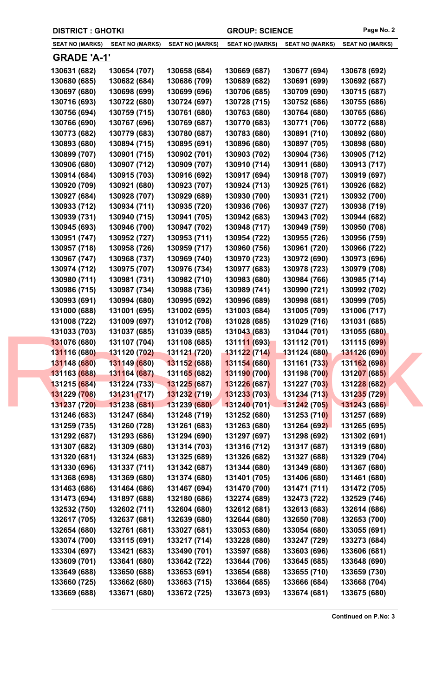| <b>DISTRICT : GHOTKI</b> |                        |                                  | <b>GROUP: SCIENCE</b>  |                        | Page No. 2                 |
|--------------------------|------------------------|----------------------------------|------------------------|------------------------|----------------------------|
| <b>SEAT NO (MARKS)</b>   | <b>SEAT NO (MARKS)</b> | <b>SEAT NO (MARKS)</b>           | <b>SEAT NO (MARKS)</b> | <b>SEAT NO (MARKS)</b> | <b>SEAT NO (MARKS)</b>     |
| <b>GRADE 'A-1'</b>       |                        |                                  |                        |                        |                            |
| 130631 (682)             | 130654 (707)           | 130658 (684)                     | 130669 (687)           | 130677 (694)           | 130678 (692)               |
| 130680 (685)             | 130682 (684)           | 130686 (709)                     | 130689 (682)           | 130691 (699)           | 130692 (687)               |
| 130697 (680)             | 130698 (699)           | 130699 (696)                     | 130706 (685)           | 130709 (690)           | 130715 (687)               |
| 130716 (693)             | 130722 (680)           | 130724 (697)                     | 130728 (715)           | 130752 (686)           | 130755 (686)               |
| 130756 (694)             | 130759 (715)           | 130761 (680)                     | 130763 (680)           | 130764 (680)           | 130765 (686)               |
| 130766 (690)             | 130767 (696)           | 130769 (687)                     | 130770 (683)           | 130771 (706)           | 130772 (688)               |
| 130773 (682)             | 130779 (683)           | 130780 (687)                     | 130783 (680)           | 130891 (710)           | 130892 (680)               |
| 130893 (680)             | 130894 (715)           | 130895 (691)                     | 130896 (680)           | 130897 (705)           | 130898 (680)               |
| 130899 (707)             | 130901 (715)           | 130902 (701)                     | 130903 (702)           | 130904 (736)           | 130905 (712)               |
| 130906 (680)             | 130907 (712)           | 130909 (707)                     | 130910 (714)           | 130911 (680)           | 130913 (717)               |
| 130914 (684)             | 130915 (703)           | 130916 (692)                     | 130917 (694)           | 130918 (707)           | 130919 (697)               |
| 130920 (709)             | 130921 (680)           | 130923 (707)                     | 130924 (713)           | 130925 (761)           | 130926 (682)               |
| 130927 (684)             | 130928 (707)           | 130929 (689)                     | 130930 (700)           | 130931 (721)           | 130932 (700)               |
| 130933 (712)             | 130934 (711)           | 130935 (720)                     | 130936 (706)           | 130937 (727)           | 130938 (719)               |
| 130939 (731)             | 130940 (715)           | 130941 (705)                     | 130942 (683)           | 130943 (702)           | 130944 (682)               |
| 130945 (693)             | 130946 (700)           | 130947 (702)                     | 130948 (717)           | 130949 (759)           | 130950 (708)               |
| 130951 (747)             | 130952 (727)           | 130953 (711)                     | 130954 (722)           | 130955 (726)           | 130956 (759)               |
| 130957 (718)             | 130958 (726)           | 130959 (717)                     | 130960 (756)           | 130961 (720)           | 130966 (722)               |
| 130967 (747)             | 130968 (737)           | 130969 (740)                     | 130970 (723)           | 130972 (690)           | 130973 (696)               |
| 130974 (712)             | 130975 (707)           | 130976 (734)                     | 130977 (683)           | 130978 (723)           | 130979 (708)               |
| 130980 (711)             | 130981 (731)           | 130982 (710)                     | 130983 (680)           | 130984 (766)           | 130985 (714)               |
| 130986 (715)             | 130987 (734)           | 130988 (736)                     | 130989 (741)           | 130990 (721)           | 130992 (702)               |
| 130993 (691)             | 130994 (680)           | 130995 (692)                     | 130996 (689)           | 130998 (681)           | 130999 (705)               |
| 131000 (688)             | 131001 (695)           | 131002 (695)                     | 131003 (684)           | 131005 (709)           | 131006 (717)               |
| 131008 (722)             | 131009 (697)           | 131012 (708)                     | 131028 (685)           | 131029 (716)           | 131031 (685)               |
| 131033 (703)             | 131037 (685)           | 131039 (685)                     | 131043 (683)           | 131044 (701)           | 131055 (680)               |
| 131076 (680)             | 131107 (704)           | 131108 (685)                     | 131111 (693)           | 131112 (701)           | 131115 (69 <mark>9)</mark> |
| 131116 (680)             | 131120 (702)           | 131121 (720)                     | 131122 (714)           | 131124 (680)           | 131126 (690)               |
| 131148 (680)             | 131149 (680)           | 131152 (688)                     | 131154 (680)           | 131161 (733)           | 131162 (698)               |
| 131163 (688)             | 131164 (687)           | 13116 <mark>5 (</mark> 682)      | 131190 (700)           | 131198 (700)           | 131207 (685)               |
| 131215 (684)             | 131224 (733)           | <b>13122<mark>5 (</mark>687)</b> | 131226 (687)           | 131227 (703)           | 131228 (682)               |
| 131229 (708)             | 131231 (717)           | 131232 (719)                     | 131233 (703)           | 131234 (713)           | 131235 (729)               |
| 131237 (720)             | 131238 (681)           | 131239 (680)                     | 131240(701)            | 131242 (705)           | 131243 (686)               |
| 131246 (683)             | 131247 (684)           | 131248 (719)                     | 131252 (680)           | 131253 (710)           | 131257 (689)               |
| 131259 (735)             | 131260 (728)           | 131261 (683)                     | 131263 (680)           | 131264 (692)           | 131265 (695)               |
| 131292 (687)             | 131293 (686)           | 131294 (690)                     | 131297 (697)           | 131298 (692)           | 131302 (691)               |
| 131307 (682)             | 131309 (680)           | 131314 (703)                     | 131316 (712)           | 131317 (687)           | 131319 (680)               |
| 131320 (681)             | 131324 (683)           | 131325 (689)                     | 131326 (682)           | 131327 (688)           | 131329 (704)               |
| 131330 (696)             | 131337 (711)           | 131342 (687)                     | 131344 (680)           | 131349 (680)           | 131367 (680)               |
|                          | 131369 (680)           | 131374 (680)                     | 131401 (705)           |                        |                            |
| 131368 (698)             |                        |                                  |                        | 131406 (680)           | 131461 (680)               |
| 131463 (686)             | 131464 (686)           | 131467 (694)                     | 131470 (700)           | 131471 (711)           | 131472 (705)               |
| 131473 (694)             | 131897 (688)           | 132180 (686)                     | 132274 (689)           | 132473 (722)           | 132529 (746)               |
| 132532 (750)             | 132602 (711)           | 132604 (680)                     | 132612 (681)           | 132613 (683)           | 132614 (686)               |
| 132617 (705)             | 132637 (681)           | 132639 (680)                     | 132644 (680)           | 132650 (708)           | 132653 (700)               |
| 132654 (680)             | 132761 (681)           | 133027 (681)                     | 133053 (680)           | 133054 (680)           | 133055 (691)               |
| 133074 (700)             | 133115 (691)           | 133217 (714)                     | 133228 (680)           | 133247 (729)           | 133273 (684)               |
| 133304 (697)             | 133421 (683)           | 133490 (701)                     | 133597 (688)           | 133603 (696)           | 133606 (681)               |
| 133609 (701)             | 133641 (680)           | 133642 (722)                     | 133644 (706)           | 133645 (685)           | 133648 (690)               |
| 133649 (688)             | 133650 (688)           | 133653 (691)                     | 133654 (688)           | 133655 (710)           | 133659 (730)               |
| 133660 (725)             | 133662 (680)           | 133663 (715)                     | 133664 (685)           | 133666 (684)           | 133668 (704)               |
| 133669 (688)             | 133671 (680)           | 133672 (725)                     | 133673 (693)           | 133674 (681)           | 133675 (680)               |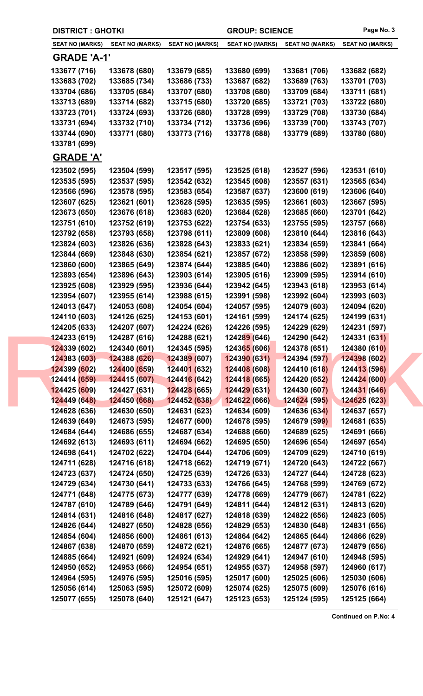|  | <b>DISTRICT : GHOTKI</b>     |                              |                                   | <b>GROUP: SCIENCE</b>        |                              | Page No. 3                   |
|--|------------------------------|------------------------------|-----------------------------------|------------------------------|------------------------------|------------------------------|
|  | SEAT NO (MARKS)              | <b>SEAT NO (MARKS)</b>       | <b>SEAT NO (MARKS)</b>            | <b>SEAT NO (MARKS)</b>       | <b>SEAT NO (MARKS)</b>       | <b>SEAT NO (MARKS)</b>       |
|  | <u>GRADE 'A-1'</u>           |                              |                                   |                              |                              |                              |
|  | 133677 (716)                 | 133678 (680)                 | 133679 (685)                      | 133680 (699)                 | 133681 (706)                 | 133682 (682)                 |
|  | 133683 (702)                 | 133685 (734)                 | 133686 (733)                      | 133687 (682)                 | 133689 (763)                 | 133701 (703)                 |
|  | 133704 (686)                 | 133705 (684)                 | 133707 (680)                      | 133708 (680)                 | 133709 (684)                 | 133711 (681)                 |
|  | 133713 (689)                 | 133714 (682)                 | 133715 (680)                      | 133720 (685)                 | 133721 (703)                 | 133722 (680)                 |
|  | 133723 (701)                 | 133724 (693)                 | 133726 (680)                      | 133728 (699)                 | 133729 (708)                 | 133730 (684)                 |
|  | 133731 (694)                 | 133732 (710)                 | 133734 (712)                      | 133736 (696)                 | 133739 (700)                 | 133743 (707)                 |
|  | 133744 (690)                 | 133771 (680)                 | 133773 (716)                      | 133778 (688)                 | 133779 (689)                 | 133780 (680)                 |
|  | 133781 (699)                 |                              |                                   |                              |                              |                              |
|  | <b>GRADE 'A'</b>             |                              |                                   |                              |                              |                              |
|  | 123502 (595)                 | 123504 (599)                 | 123517 (595)                      | 123525 (618)                 | 123527 (596)                 | 123531 (610)                 |
|  | 123535 (595)                 | 123537 (595)                 | 123542 (632)                      | 123545 (608)                 | 123557 (631)                 | 123565 (634)                 |
|  | 123566 (596)                 | 123578 (595)                 | 123583 (654)                      | 123587 (637)                 | 123600 (619)                 | 123606 (640)                 |
|  | 123607 (625)                 | 123621 (601)                 | 123628 (595)                      | 123635 (595)                 | 123661 (603)                 | 123667 (595)                 |
|  | 123673 (650)                 | 123676 (618)                 | 123683 (620)                      | 123684 (628)                 | 123685 (660)                 | 123701 (642)                 |
|  | 123751 (610)                 | 123752 (619)                 | 123753 (622)                      | 123754 (633)                 | 123755 (595)                 | 123757 (668)                 |
|  | 123792 (658)                 | 123793 (658)                 | 123798 (611)                      | 123809 (608)                 | 123810 (644)                 | 123816 (643)                 |
|  | 123824 (603)                 | 123826 (636)                 | 123828 (643)                      | 123833 (621)                 | 123834 (659)                 | 123841 (664)                 |
|  | 123844 (669)                 | 123848 (630)                 | 123854 (621)                      | 123857 (672)                 | 123858 (599)                 | 123859 (608)                 |
|  | 123860 (600)                 | 123865 (649)                 | 123874 (644)                      | 123885 (640)                 | 123886 (602)                 | 123891 (616)                 |
|  | 123893 (654)                 | 123896 (643)                 | 123903 (614)                      | 123905 (616)                 | 123909 (595)                 | 123914 (610)                 |
|  | 123925 (608)                 | 123929 (595)                 | 123936 (644)                      | 123942 (645)                 | 123943 (618)                 | 123953 (614)                 |
|  | 123954 (607)                 | 123955 (614)                 | 123988 (615)                      | 123991 (598)                 | 123992 (604)                 | 123993 (603)                 |
|  | 124013 (647)                 | 124053 (608)                 | 124054 (604)                      | 124057 (595)                 | 124079 (603)                 | 124094 (620)                 |
|  | 124110 (603)                 | 124126 (625)                 | 124153 (601)                      | 124161 (599)                 | 124174 (625)                 | 124199 (631)                 |
|  | 124205 (633)                 | 124207 (607)                 | 124224 (626)                      | 124226 (595)                 | 124229 (629)                 | 124231 (597)                 |
|  | 124233 (619)                 | 124287 (616)                 | 124288 (621)                      | 124289 (646)                 | 124290 (642)                 | 124331 (631)                 |
|  | 124339 (602)                 | 124340 (601)                 | 124345 (595)                      | 124365 (606)                 | 124378 (651)                 | 124380 (610)                 |
|  | 124383 (603)                 | 124388 (626)                 | 124389 (607)                      | 124390 (631)                 | 124394 (597)                 | 124398 (602)                 |
|  | 124399 (602)                 | 124400 (659)                 | 124401 (632)                      | 124408 (608)                 | 124410 (618)                 | 124413 (596)                 |
|  | 124414 (659)                 | 124415 (607)                 | <b>12441<mark>6 (</mark>642</b> ) | 124418 (665)                 | 124420 (652)                 | 124424 (600)                 |
|  | 124425 (609)                 | 124427 (631)                 | <b>12442<mark>8</mark></b> (665)  | 124429 (631)                 | 124430 (607)                 | 124431 (646)                 |
|  | 124449 (648)<br>124628 (636) | 124450 (668)<br>124630 (650) | 124452 (638)<br>124631 (623)      | 124622 (666)<br>124634 (609) | 124624 (595)<br>124636 (634) | 124625 (623)<br>124637 (657) |
|  | 124639 (649)                 | 124673 (595)                 | 124677 (600)                      | 124678 (595)                 | 124679 (599)                 | 124681 (635)                 |
|  | 124684 (644)                 | 124686 (655)                 | 124687 (634)                      | 124688 (660)                 | 124689 (625)                 | 124691 (666)                 |
|  | 124692 (613)                 | 124693 (611)                 | 124694 (662)                      | 124695 (650)                 | 124696 (654)                 | 124697 (654)                 |
|  | 124698 (641)                 | 124702 (622)                 | 124704 (644)                      | 124706 (609)                 | 124709 (629)                 | 124710 (619)                 |
|  | 124711 (628)                 | 124716 (618)                 | 124718 (662)                      | 124719 (671)                 | 124720 (643)                 | 124722 (667)                 |
|  | 124723 (637)                 | 124724 (650)                 | 124725 (639)                      | 124726 (633)                 | 124727 (644)                 | 124728 (623)                 |
|  | 124729 (634)                 | 124730 (641)                 | 124733 (633)                      | 124766 (645)                 | 124768 (599)                 | 124769 (672)                 |
|  | 124771 (648)                 | 124775 (673)                 | 124777 (639)                      | 124778 (669)                 | 124779 (667)                 | 124781 (622)                 |
|  | 124787 (610)                 | 124789 (646)                 | 124791 (649)                      | 124811 (644)                 | 124812 (631)                 | 124813 (620)                 |
|  | 124814 (631)                 | 124816 (648)                 | 124817 (627)                      | 124818 (639)                 | 124822 (656)                 | 124823 (605)                 |
|  | 124826 (644)                 | 124827 (650)                 | 124828 (656)                      | 124829 (653)                 | 124830 (648)                 | 124831 (656)                 |
|  | 124854 (604)                 | 124856 (600)                 | 124861 (613)                      | 124864 (642)                 | 124865 (644)                 | 124866 (629)                 |
|  | 124867 (638)                 | 124870 (659)                 | 124872 (621)                      | 124876 (665)                 | 124877 (673)                 | 124879 (656)                 |
|  | 124885 (664)                 | 124921 (609)                 | 124924 (634)                      | 124929 (641)                 | 124947 (610)                 | 124948 (595)                 |
|  | 124950 (652)                 | 124953 (666)                 | 124954 (651)                      | 124955 (637)                 | 124958 (597)                 | 124960 (617)                 |
|  | 124964 (595)                 | 124976 (595)                 | 125016 (595)                      | 125017 (600)                 | 125025 (606)                 | 125030 (606)                 |
|  | 125056 (614)                 | 125063 (595)                 | 125072 (609)                      | 125074 (625)                 | 125075 (609)                 | 125076 (616)                 |
|  | 125077 (655)                 | 125078 (640)                 | 125121 (647)                      | 125123 (653)                 | 125124 (595)                 | 125125 (664)                 |
|  |                              |                              |                                   |                              |                              |                              |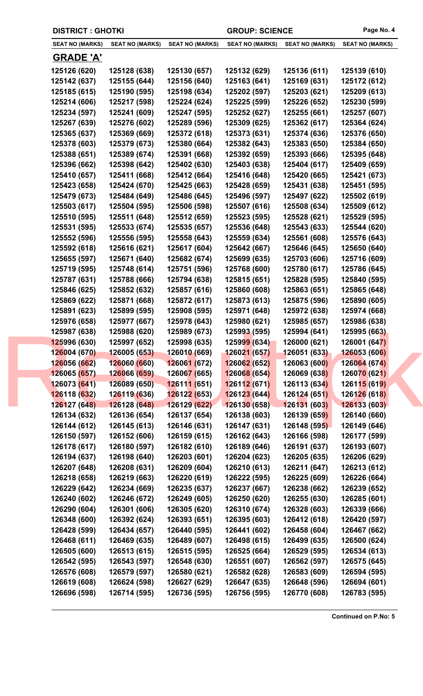|  | <b>DISTRICT : GHOTKI</b>     |                              |                                  | <b>GROUP: SCIENCE</b>        |                              | Page No. 4                   |
|--|------------------------------|------------------------------|----------------------------------|------------------------------|------------------------------|------------------------------|
|  | <b>SEAT NO (MARKS)</b>       | <b>SEAT NO (MARKS)</b>       | <b>SEAT NO (MARKS)</b>           | <b>SEAT NO (MARKS)</b>       | <b>SEAT NO (MARKS)</b>       | <b>SEAT NO (MARKS)</b>       |
|  | <b>GRADE 'A'</b>             |                              |                                  |                              |                              |                              |
|  | 125126 (620)                 | 125128 (638)                 | 125130 (657)                     | 125132 (629)                 | 125136 (611)                 | 125139 (610)                 |
|  | 125142 (637)                 | 125155 (644)                 | 125156 (640)                     | 125163 (641)                 | 125169 (631)                 | 125172 (612)                 |
|  | 125185 (615)                 | 125190 (595)                 | 125198 (634)                     | 125202 (597)                 | 125203 (621)                 | 125209 (613)                 |
|  | 125214 (606)                 | 125217 (598)                 | 125224 (624)                     | 125225 (599)                 | 125226 (652)                 | 125230 (599)                 |
|  | 125234 (597)                 | 125241 (609)                 | 125247 (595)                     | 125252 (627)                 | 125255 (661)                 | 125257 (607)                 |
|  | 125267 (639)                 | 125276 (602)                 | 125289 (596)                     | 125309 (625)                 | 125362 (617)                 | 125364 (624)                 |
|  | 125365 (637)                 | 125369 (669)                 | 125372 (618)                     | 125373 (631)                 | 125374 (636)                 | 125376 (650)                 |
|  | 125378 (603)                 | 125379 (673)                 | 125380 (664)                     | 125382 (643)                 | 125383 (650)                 | 125384 (650)                 |
|  | 125388 (651)                 | 125389 (674)                 | 125391 (668)                     | 125392 (659)                 | 125393 (666)                 | 125395 (648)                 |
|  | 125396 (662)                 | 125398 (642)                 | 125402 (630)                     | 125403 (638)                 | 125404 (617)                 | 125409 (659)                 |
|  | 125410 (657)                 | 125411 (668)                 | 125412 (664)                     | 125416 (648)                 | 125420 (665)                 | 125421 (673)                 |
|  | 125423 (658)                 | 125424 (670)                 | 125425 (663)                     | 125428 (659)                 | 125431 (638)                 | 125451 (595)                 |
|  | 125479 (673)                 | 125484 (649)                 | 125486 (645)                     | 125496 (597)                 | 125497 (622)                 | 125502 (619)                 |
|  | 125503 (617)                 | 125504 (595)                 | 125506 (598)                     | 125507 (616)                 | 125508 (634)                 | 125509 (612)                 |
|  | 125510 (595)                 | 125511 (648)                 | 125512 (659)                     | 125523 (595)                 | 125528 (621)                 | 125529 (595)                 |
|  | 125531 (595)                 | 125533 (674)                 | 125535 (657)                     | 125536 (648)                 | 125543 (633)                 | 125544 (620)                 |
|  | 125552 (596)                 | 125556 (595)                 | 125558 (643)                     | 125559 (634)                 | 125561 (608)                 | 125576 (643)                 |
|  | 125592 (618)                 | 125616 (621)                 | 125617 (604)                     | 125642 (667)                 | 125646 (645)                 | 125650 (640)                 |
|  | 125655 (597)                 | 125671 (640)                 | 125682 (674)                     | 125699 (635)                 | 125703 (606)                 | 125716 (609)                 |
|  | 125719 (595)                 | 125748 (614)                 | 125751 (596)                     | 125768 (600)                 | 125780 (617)                 | 125786 (645)                 |
|  | 125787 (631)                 | 125788 (666)                 | 125794 (638)                     | 125815 (651)                 | 125828 (595)                 | 125840 (595)                 |
|  | 125846 (625)                 | 125852 (632)                 | 125857 (616)                     | 125860 (608)                 | 125863 (651)                 | 125865 (648)                 |
|  | 125869 (622)                 | 125871 (668)                 | 125872 (617)                     | 125873 (613)                 | 125875 (596)                 | 125890 (605)                 |
|  | 125891 (623)                 | 125899 (595)                 | 125908 (595)                     | 125971 (648)                 | 125972 (638)                 | 125974 (668)                 |
|  | 125976 (658)                 | 125977 (667)                 | 125978 (643)                     | 125980 (621)                 | 125985 (657)                 | 125986 (638)                 |
|  | 125987 (638)                 | 125988 (620)                 | 125989 (673)                     | 125993 (595)                 | 125994 (641)                 | 125995 (663)                 |
|  | 125996 (630)                 | 125997 (652)                 | 125998 (635)                     | 125999 (634)                 | 126000 (621)                 | 126001 (647)                 |
|  | 126004 (670)                 | 126005 (653)                 | 126010 (669)                     | 126021 (657)                 | 126051 (633)                 | 126053 (606)                 |
|  | 126056 (662)                 | 126060 (660)                 | 126061 (672)                     | 126062 (652)                 | 126063 (600)                 | 126064 (674)                 |
|  | 126065 (657)                 | 126066 (659)                 | 126067 (665)                     | 126068 (654)                 | 126069 (638)                 | 126070 (621)                 |
|  | 126073 (641)                 | 126089 (650)                 | 126111 (651)                     | 126112(671)                  | 126113 (634)                 | 126115 (619)                 |
|  | 126118 (632)                 | 126119 (636)                 | <b>12612<mark>2</mark></b> (653) | 126123 (644)                 | 126124 (651)                 | 126126 (618)                 |
|  | 126127 (648)                 | 126128 (648)                 | 126129 (622)                     | 126130 (658)                 | 126131 (603)                 | 126133 (603)                 |
|  | 126134 (632)                 | 126136 (654)                 | 126137 (654)                     | 126138 (603)                 | 126139 (659)                 | 126140 (660)                 |
|  | 126144 (612)                 | 126145 (613)                 | 126146 (631)                     | 126147 (631)                 | 126148 (595)                 | 126149 (646)                 |
|  | 126150 (597)                 | 126152 (606)                 | 126159 (615)                     | 126162 (643)                 | 126166 (598)                 | 126177 (599)                 |
|  | 126178 (617)                 | 126180 (597)                 | 126182 (610)                     | 126189 (646)                 | 126191 (637)                 | 126193 (607)                 |
|  | 126194 (637)                 | 126198 (640)                 | 126203 (601)                     | 126204 (623)                 | 126205 (635)                 | 126206 (629)                 |
|  | 126207 (648)                 | 126208 (631)                 | 126209 (604)                     | 126210 (613)                 | 126211 (647)                 | 126213 (612)                 |
|  | 126218 (658)                 | 126219 (663)                 | 126220 (619)                     | 126222 (595)                 | 126225 (609)                 | 126226 (664)                 |
|  | 126229 (642)                 | 126234 (669)                 | 126235 (637)                     | 126237 (667)                 | 126238 (662)                 | 126239 (652)                 |
|  | 126240 (602)                 | 126246 (672)                 | 126249 (605)                     | 126250 (620)                 | 126255 (630)                 | 126285 (601)                 |
|  | 126290 (604)                 | 126301 (606)                 | 126305 (620)                     | 126310 (674)                 | 126328 (603)                 | 126339 (666)                 |
|  | 126348 (600)                 | 126392 (624)                 | 126393 (651)                     | 126395 (603)                 | 126412 (618)<br>126458 (604) | 126420 (597)                 |
|  | 126428 (599)                 | 126434 (657)                 | 126440 (595)                     | 126441 (602)                 |                              | 126467 (662)                 |
|  | 126468 (611)                 | 126469 (635)                 | 126489 (607)                     | 126498 (615)                 | 126499 (635)                 | 126500 (624)                 |
|  | 126505 (600)<br>126542 (595) | 126513 (615)                 | 126515 (595)                     | 126525 (664)                 | 126529 (595)                 | 126534 (613)<br>126575 (645) |
|  | 126576 (608)                 | 126543 (597)<br>126579 (597) | 126548 (630)<br>126580 (621)     | 126551 (607)<br>126582 (628) | 126562 (597)<br>126583 (609) | 126594 (595)                 |
|  | 126619 (608)                 | 126624 (598)                 | 126627 (629)                     | 126647 (635)                 | 126648 (596)                 | 126694 (601)                 |
|  | 126696 (598)                 | 126714 (595)                 | 126736 (595)                     | 126756 (595)                 | 126770 (608)                 | 126783 (595)                 |
|  |                              |                              |                                  |                              |                              |                              |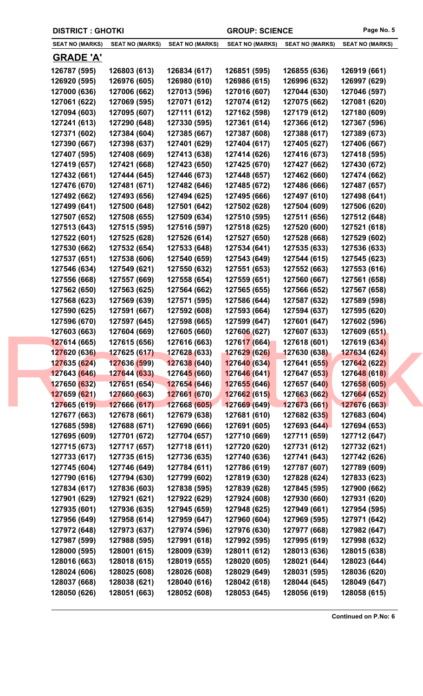| <b>DISTRICT : GHOTKI</b> |                        |                             | <b>GROUP: SCIENCE</b>  |                        | Page No. 5             |
|--------------------------|------------------------|-----------------------------|------------------------|------------------------|------------------------|
| <b>SEAT NO (MARKS)</b>   | <b>SEAT NO (MARKS)</b> | <b>SEAT NO (MARKS)</b>      | <b>SEAT NO (MARKS)</b> | <b>SEAT NO (MARKS)</b> | <b>SEAT NO (MARKS)</b> |
| <b>GRADE 'A'</b>         |                        |                             |                        |                        |                        |
| 126787 (595)             | 126803 (613)           | 126834 (617)                | 126851 (595)           | 126855 (636)           | 126919 (661)           |
| 126920 (595)             | 126976 (605)           | 126980 (610)                | 126986 (615)           | 126996 (632)           | 126997 (629)           |
| 127000 (636)             | 127006 (662)           | 127013 (596)                | 127016 (607)           | 127044 (630)           | 127046 (597)           |
| 127061 (622)             | 127069 (595)           | 127071 (612)                | 127074 (612)           | 127075 (662)           | 127081 (620)           |
| 127094 (603)             | 127095 (607)           | 127111 (612)                | 127162 (598)           | 127179 (612)           | 127180 (609)           |
| 127241 (613)             | 127290 (648)           | 127330 (595)                | 127361 (614)           | 127366 (612)           | 127367 (596)           |
| 127371 (602)             | 127384 (604)           | 127385 (667)                | 127387 (608)           | 127388 (617)           | 127389 (673)           |
| 127390 (667)             | 127398 (637)           | 127401 (629)                | 127404 (617)           | 127405 (627)           | 127406 (667)           |
| 127407 (595)             | 127408 (669)           | 127413 (638)                | 127414 (626)           | 127416 (673)           | 127418 (595)           |
| 127419 (657)             | 127421 (668)           | 127423 (650)                | 127425 (670)           | 127427 (662)           | 127430 (672)           |
| 127432 (661)             | 127444 (645)           | 127446 (673)                | 127448 (657)           | 127462 (660)           | 127474 (662)           |
| 127476 (670)             | 127481 (671)           | 127482 (646)                | 127485 (672)           | 127486 (666)           | 127487 (657)           |
| 127492 (662)             | 127493 (656)           | 127494 (625)                | 127495 (666)           | 127497 (610)           | 127498 (641)           |
| 127499 (641)             | 127500 (648)           | 127501 (642)                | 127502 (628)           | 127504 (609)           | 127506 (620)           |
| 127507 (652)             | 127508 (655)           | 127509 (634)                | 127510 (595)           | 127511 (656)           | 127512 (648)           |
| 127513 (643)             | 127515 (595)           | 127516 (597)                | 127518 (625)           | 127520 (600)           | 127521 (618)           |
| 127522 (601)             | 127525 (628)           | 127526 (614)                | 127527 (650)           | 127528 (668)           | 127529 (602)           |
| 127530 (662)             | 127532 (654)           | 127533 (648)                | 127534 (641)           | 127535 (633)           | 127536 (633)           |
| 127537 (651)             | 127538 (606)           | 127540 (659)                | 127543 (649)           | 127544 (615)           | 127545 (623)           |
| 127546 (634)             | 127549 (621)           | 127550 (632)                | 127551 (653)           | 127552 (663)           | 127553 (616)           |
| 127556 (668)             | 127557 (669)           | 127558 (654)                | 127559 (651)           | 127560 (667)           | 127561 (658)           |
| 127562 (650)             | 127563 (625)           | 127564 (662)                | 127565 (655)           | 127566 (652)           | 127567 (658)           |
| 127568 (623)             | 127569 (639)           | 127571 (595)                | 127586 (644)           | 127587 (632)           | 127589 (598)           |
| 127590 (625)             | 127591 (667)           | 127592 (608)                | 127593 (664)           | 127594 (637)           | 127595 (620)           |
| 127596 (670)             | 127597 (645)           | 127598 (665)                | 127599 (647)           | 127601 (647)           | 127602 (596)           |
| 127603 (663)             | 127604 (669)           | 127605 (660)                | 127606 (627)           | 127607 (633)           | 127609 (651)           |
| 127614 (665)             | 127615 (656)           | 127616 (663)                | 127617 (664)           | 127618 (601)           | 127619 (634)           |
| 127620 (636)             | 127625 (617)           | 127628 (633)                | 127629 (626)           | 127630 (638)           | <b>127634 (624)</b>    |
| 127635 (624)             | 127636 (599)           | 127638 (640)                | 127640 (634)           | 127641 (655)           | 127642 (622)           |
| 127643 (646)             | 127644 (633)           | 12764 <mark>5 (</mark> 660) | 127646 (641)           | 127647 (653)           | 127648 (618)           |
| 127650 (632)             | 127651 (654)           | 127654 (646)                | 127655 (646)           | 127657 (640)           | 127658 (605)           |
| 127659 (621)             | 127660 (663)           | <b>127661 (670)</b>         | 127662 (615)           | 127663 (662)           | 127664 (652)           |
| 127665 (619)             | 127666 (617)           | 127668 (605)                | 127669 (649)           | 127673 (661)           | 127676 (663)           |
| 127677 (663)             | 127678 (661)           | 127679 (638)                | 127681 (610)           | 127682 (635)           | 127683 (604)           |
| 127685 (598)             | 127688 (671)           | 127690 (666)                | 127691 (605)           | 127693 (644)           | 127694 (653)           |
| 127695 (609)             | 127701 (672)           | 127704 (657)                | 127710 (669)           | 127711 (659)           | 127712 (647)           |
| 127715 (673)             | 127717 (657)           | 127718 (611)                | 127720 (620)           | 127731 (612)           | 127732 (621)           |
| 127733 (617)             | 127735 (615)           | 127736 (635)                | 127740 (636)           | 127741 (643)           | 127742 (626)           |
| 127745 (604)             | 127746 (649)           | 127784 (611)                | 127786 (619)           | 127787 (607)           | 127789 (609)           |
| 127790 (616)             | 127794 (630)           | 127799 (602)                | 127819 (630)           | 127828 (624)           | 127833 (623)           |
| 127834 (617)             | 127836 (603)           | 127838 (595)                | 127839 (628)           | 127845 (595)           | 127900 (662)           |
| 127901 (629)             | 127921 (621)           | 127922 (629)                | 127924 (608)           | 127930 (660)           | 127931 (620)           |
| 127935 (601)             | 127936 (635)           | 127945 (659)                | 127948 (625)           | 127949 (661)           | 127954 (595)           |
| 127956 (649)             | 127958 (614)           | 127959 (647)                | 127960 (604)           | 127969 (595)           | 127971 (642)           |
| 127972 (648)             | 127973 (637)           | 127974 (596)                | 127976 (630)           | 127977 (668)           | 127982 (647)           |
| 127987 (599)             | 127988 (595)           | 127991 (618)                | 127992 (595)           | 127995 (619)           | 127998 (632)           |
| 128000 (595)             | 128001 (615)           | 128009 (639)                | 128011 (612)           | 128013 (636)           | 128015 (638)           |
| 128016 (663)             | 128018 (615)           | 128019 (655)                | 128020 (605)           | 128021 (644)           | 128023 (644)           |
| 128024 (606)             | 128025 (608)           | 128026 (608)                | 128029 (649)           | 128031 (595)           | 128036 (620)           |
| 128037 (668)             | 128038 (621)           | 128040 (616)                | 128042 (618)           | 128044 (645)           | 128049 (647)           |
| 128050 (626)             | 128051 (663)           | 128052 (608)                | 128053 (645)           | 128056 (619)           | 128058 (615)           |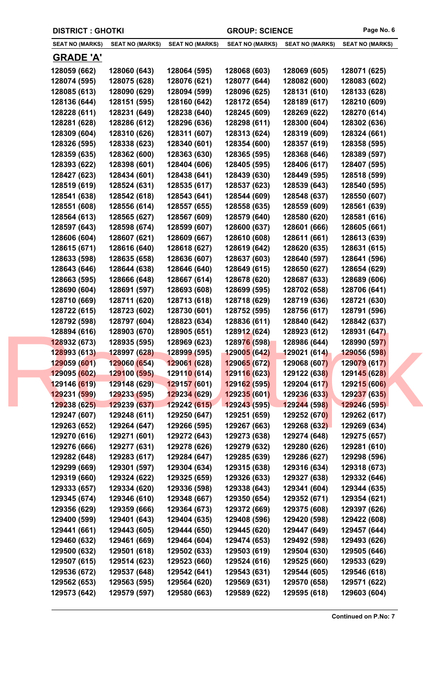|  | <b>DISTRICT : GHOTKI</b>     |                              |                              | <b>GROUP: SCIENCE</b>        |                              | Page No. 6                   |
|--|------------------------------|------------------------------|------------------------------|------------------------------|------------------------------|------------------------------|
|  | <b>SEAT NO (MARKS)</b>       | <b>SEAT NO (MARKS)</b>       | <b>SEAT NO (MARKS)</b>       | <b>SEAT NO (MARKS)</b>       | <b>SEAT NO (MARKS)</b>       | <b>SEAT NO (MARKS)</b>       |
|  | <u>GRADE 'A'</u>             |                              |                              |                              |                              |                              |
|  | 128059 (662)                 | 128060 (643)                 | 128064 (595)                 | 128068 (603)                 | 128069 (605)                 | 128071 (625)                 |
|  | 128074 (595)                 | 128075 (628)                 | 128076 (621)                 | 128077 (644)                 | 128082 (600)                 | 128083 (602)                 |
|  | 128085 (613)                 | 128090 (629)                 | 128094 (599)                 | 128096 (625)                 | 128131 (610)                 | 128133 (628)                 |
|  | 128136 (644)                 | 128151 (595)                 | 128160 (642)                 | 128172 (654)                 | 128189 (617)                 | 128210 (609)                 |
|  | 128228 (611)                 | 128231 (649)                 | 128238 (640)                 | 128245 (609)                 | 128269 (622)                 | 128270 (614)                 |
|  | 128281 (628)                 | 128286 (612)                 | 128296 (636)                 | 128298 (611)                 | 128300 (604)                 | 128302 (636)                 |
|  | 128309 (604)                 | 128310 (626)                 | 128311 (607)                 | 128313 (624)                 | 128319 (609)                 | 128324 (661)                 |
|  | 128326 (595)                 | 128338 (623)                 | 128340 (601)                 | 128354 (600)                 | 128357 (619)                 | 128358 (595)                 |
|  | 128359 (635)                 | 128362 (600)                 | 128363 (630)                 | 128365 (595)                 | 128368 (646)                 | 128389 (597)                 |
|  | 128393 (622)                 | 128398 (601)                 | 128404 (606)                 | 128405 (595)                 | 128406 (617)                 | 128407 (595)                 |
|  | 128427 (623)                 | 128434 (601)                 | 128438 (641)                 | 128439 (630)                 | 128449 (595)                 | 128518 (599)                 |
|  | 128519 (619)                 | 128524 (631)                 | 128535 (617)                 | 128537 (623)                 | 128539 (643)                 | 128540 (595)                 |
|  | 128541 (638)                 | 128542 (618)                 | 128543 (641)                 | 128544 (609)                 | 128548 (637)                 | 128550 (607)                 |
|  | 128551 (608)                 | 128556 (614)                 | 128557 (655)                 | 128558 (635)                 | 128559 (609)                 | 128561 (639)                 |
|  | 128564 (613)                 | 128565 (627)                 | 128567 (609)                 | 128579 (640)                 | 128580 (620)                 | 128581 (616)                 |
|  | 128597 (643)                 | 128598 (674)                 | 128599 (607)                 | 128600 (637)                 | 128601 (666)                 | 128605 (661)                 |
|  | 128606 (604)                 | 128607 (621)                 | 128609 (667)                 | 128610 (608)                 | 128611 (661)                 | 128613 (639)                 |
|  | 128615 (671)                 | 128616 (640)                 | 128618 (627)                 | 128619 (642)                 | 128620 (635)                 | 128631 (615)                 |
|  | 128633 (598)                 | 128635 (658)                 | 128636 (607)                 | 128637 (603)                 | 128640 (597)                 | 128641 (596)                 |
|  | 128643 (646)                 | 128644 (638)                 | 128646 (640)                 | 128649 (615)                 | 128650 (627)                 | 128654 (629)                 |
|  | 128663 (595)                 | 128666 (648)                 | 128667 (614)                 | 128678 (620)                 | 128687 (633)                 | 128689 (606)                 |
|  | 128690 (604)                 | 128691 (597)                 | 128693 (608)                 | 128699 (595)                 | 128702 (658)                 | 128706 (641)                 |
|  | 128710 (669)                 | 128711 (620)                 | 128713 (618)                 | 128718 (629)                 | 128719 (636)                 | 128721 (630)                 |
|  | 128722 (615)                 | 128723 (602)                 | 128730 (601)                 | 128752 (595)                 | 128756 (617)                 | 128791 (596)                 |
|  | 128792 (598)                 | 128797 (604)                 | 128823 (634)                 | 128836 (611)                 | 128840 (642)                 | 128842 (637)                 |
|  | 128894 (616)                 | 128903 (670)                 | 128905 (651)                 | 128912 (624)                 | 128923 (612)                 | 128931 (647)                 |
|  | 128932 (673)                 | 128935 (595)                 | 128969 (623)                 | 128976 (598)                 | 128986 (644)                 | 128990 (597)                 |
|  | 128993 (613)                 | 128997 (628)                 | <b>128999 (595)</b>          | 129005 (642)                 | 129021 (614)                 | <b>129056 (598)</b>          |
|  | 129059 (601)                 | 129060 (654)                 | 129061 (628)                 | 129065 (672)                 | 129068 (607)                 | 129079 (617)                 |
|  | 129095 (602)                 | 129100 (595)                 | 12911 <mark>0 (</mark> 614)  | 129116 (623)                 | 129122 (638)                 | 129145 (628)                 |
|  | 129146 (619)                 | 129148 (629)                 | 129157 (601)                 | 129162 (595)                 | 129204 (617)                 | 129215 (606)                 |
|  | 129231 (599)                 | 129233 (595)                 | 129234 (629)                 | 129235 (601)                 | 129236 (633)                 | 129237 (635)                 |
|  | 129238 (625)                 | 129239 (637)                 | 129242(615)                  | 129243(595)                  | 129244 (598)                 | 129246 (595)                 |
|  | 129247 (607)                 | 129248 (611)                 | 129250 (647)                 | 129251 (659)                 | 129252 (670)                 | 129262 (617)                 |
|  | 129263 (652)                 | 129264 (647)                 | 129266 (595)                 | 129267 (663)                 | 129268 (632)                 | 129269 (634)                 |
|  | 129270 (616)                 | 129271 (601)                 | 129272 (643)                 | 129273 (638)                 | 129274 (648)                 | 129275 (657)                 |
|  | 129276 (666)                 | 129277 (631)                 | 129278 (626)                 | 129279 (632)                 | 129280 (626)                 | 129281 (610)                 |
|  | 129282 (648)                 | 129283 (617)                 | 129284 (647)                 | 129285 (639)                 | 129286 (627)                 | 129298 (596)                 |
|  | 129299 (669)                 | 129301 (597)                 | 129304 (634)                 | 129315 (638)                 | 129316 (634)                 | 129318 (673)                 |
|  | 129319 (660)                 | 129324 (622)                 | 129325 (659)                 | 129326 (633)                 | 129327 (638)                 | 129332 (646)                 |
|  | 129333 (657)                 | 129334 (620)                 | 129336 (598)                 | 129338 (643)                 | 129341 (604)                 | 129344 (635)                 |
|  | 129345 (674)                 | 129346 (610)                 | 129348 (667)                 | 129350 (654)                 | 129352 (671)                 | 129354 (621)                 |
|  | 129356 (629)                 | 129359 (666)                 | 129364 (673)                 | 129372 (669)                 | 129375 (608)                 | 129397 (626)                 |
|  | 129400 (599)                 | 129401 (643)                 | 129404 (635)                 | 129408 (596)                 | 129420 (598)                 | 129422 (608)                 |
|  | 129441 (661)                 | 129443 (605)                 | 129444 (650)                 | 129445 (620)                 | 129447 (649)                 | 129457 (644)                 |
|  | 129460 (632)                 | 129461 (669)                 | 129464 (604)                 | 129474 (653)                 | 129492 (598)                 | 129493 (626)                 |
|  | 129500 (632)<br>129507 (615) | 129501 (618)<br>129514 (623) | 129502 (633)<br>129523 (660) | 129503 (619)<br>129524 (616) | 129504 (630)<br>129525 (660) | 129505 (646)                 |
|  | 129536 (672)                 | 129537 (648)                 | 129542 (641)                 | 129543 (631)                 | 129544 (605)                 | 129533 (629)<br>129546 (618) |
|  | 129562 (653)                 | 129563 (595)                 | 129564 (620)                 | 129569 (631)                 | 129570 (658)                 | 129571 (622)                 |
|  | 129573 (642)                 | 129579 (597)                 | 129580 (663)                 | 129589 (622)                 | 129595 (618)                 | 129603 (604)                 |
|  |                              |                              |                              |                              |                              |                              |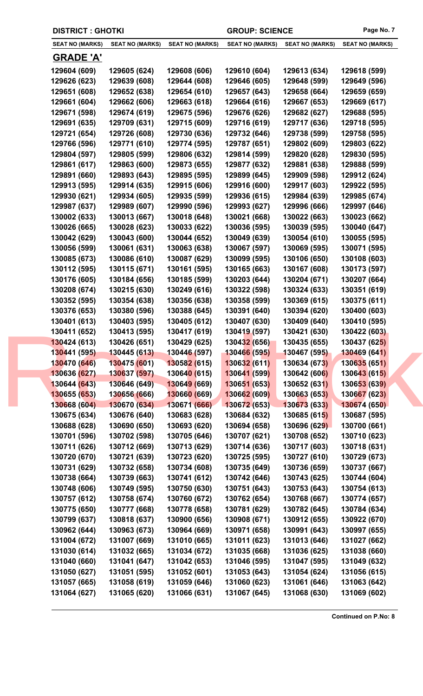| <b>DISTRICT : GHOTKI</b>     |                              |                              | <b>GROUP: SCIENCE</b>        |                              | Page No. 7                   |
|------------------------------|------------------------------|------------------------------|------------------------------|------------------------------|------------------------------|
| <b>SEAT NO (MARKS)</b>       | <b>SEAT NO (MARKS)</b>       | <b>SEAT NO (MARKS)</b>       | <b>SEAT NO (MARKS)</b>       | <b>SEAT NO (MARKS)</b>       | <b>SEAT NO (MARKS)</b>       |
| <b>GRADE 'A'</b>             |                              |                              |                              |                              |                              |
| 129604 (609)                 | 129605 (624)                 | 129608 (606)                 | 129610 (604)                 | 129613 (634)                 | 129618 (599)                 |
| 129626 (623)                 | 129639 (608)                 | 129644 (608)                 | 129646 (605)                 | 129648 (599)                 | 129649 (596)                 |
| 129651 (608)                 | 129652 (638)                 | 129654 (610)                 | 129657 (643)                 | 129658 (664)                 | 129659 (659)                 |
| 129661 (604)                 | 129662 (606)                 | 129663 (618)                 | 129664 (616)                 | 129667 (653)                 | 129669 (617)                 |
| 129671 (598)                 | 129674 (619)                 | 129675 (596)                 | 129676 (626)                 | 129682 (627)                 | 129688 (595)                 |
| 129691 (635)                 | 129709 (631)                 | 129715 (609)                 | 129716 (619)                 | 129717 (636)                 | 129718 (595)                 |
| 129721 (654)                 | 129726 (608)                 | 129730 (636)                 | 129732 (646)                 | 129738 (599)                 | 129758 (595)                 |
| 129766 (596)                 | 129771 (610)                 | 129774 (595)                 | 129787 (651)                 | 129802 (609)                 | 129803 (622)                 |
| 129804 (597)                 | 129805 (599)                 | 129806 (632)                 | 129814 (599)                 | 129820 (628)                 | 129830 (595)                 |
| 129861 (617)                 | 129863 (600)                 | 129873 (655)                 | 129877 (632)                 | 129881 (638)                 | 129888 (599)                 |
| 129891 (660)                 | 129893 (643)                 | 129895 (595)                 | 129899 (645)                 | 129909 (598)                 | 129912 (624)                 |
| 129913 (595)                 | 129914 (635)                 | 129915 (606)                 | 129916 (600)                 | 129917 (603)                 | 129922 (595)                 |
| 129930 (621)                 | 129934 (605)                 | 129935 (599)                 | 129936 (615)                 | 129984 (639)                 | 129985 (674)                 |
| 129987 (637)                 | 129989 (607)                 | 129990 (596)                 | 129993 (627)                 | 129996 (666)                 | 129997 (646)                 |
| 130002 (633)                 | 130013 (667)                 | 130018 (648)                 | 130021 (668)                 | 130022 (663)                 | 130023 (662)                 |
| 130026 (665)                 | 130028 (623)                 | 130033 (622)                 | 130036 (595)                 | 130039 (595)                 | 130040 (647)                 |
| 130042 (629)                 | 130043 (600)                 | 130044 (652)                 | 130049 (639)                 | 130054 (610)                 | 130055 (595)                 |
| 130056 (599)                 | 130061 (631)                 | 130063 (638)                 | 130067 (597)                 | 130069 (595)                 | 130071 (595)                 |
| 130085 (673)                 | 130086 (610)                 | 130087 (629)                 | 130099 (595)                 | 130106 (650)                 | 130108 (603)                 |
| 130112 (595)                 | 130115 (671)                 | 130161 (595)                 | 130165 (663)                 | 130167 (608)                 | 130173 (597)                 |
| 130176 (605)                 | 130184 (656)                 | 130185 (599)                 | 130203 (644)                 | 130204 (671)                 | 130207 (664)                 |
| 130208 (674)                 | 130215 (630)                 | 130249 (616)                 | 130322 (598)                 | 130324 (633)                 | 130351 (619)                 |
| 130352 (595)                 | 130354 (638)                 | 130356 (638)                 | 130358 (599)                 | 130369 (615)                 | 130375 (611)                 |
| 130376 (653)                 | 130380 (596)                 | 130388 (645)                 | 130391 (640)                 | 130394 (620)                 | 130400 (603)                 |
| 130401 (613)                 | 130403 (595)                 | 130405 (612)                 | 130407 (630)                 | 130409 (640)                 | 130410 (595)                 |
| 130411 (652)                 | 130413 (595)                 | 130417 (619)                 | 130419 (597)                 | 130421 (630)                 | 130422 (603)                 |
| 130424 (613)                 | 130426 (651)                 | 130429 (625)                 | 130432 (656)                 | 130435 (655)                 | <b>130437 (625)</b>          |
| 130441 (595)                 | 130445 (613)                 | 130446 (597)                 | 130466 (595)                 | 130467 (595)                 | 130469 (641)                 |
| 130470 (646)<br>130636 (627) | 130475 (601)<br>130637 (597) | 130582 (615)<br>130640 (615) | 130632 (611)<br>130641 (599) | 130634 (673)<br>130642 (606) | 130635 (651)<br>130643 (615) |
| 130644 (643)                 | 130646 (649)                 | 130649 (669)                 | 130651 (653)                 | 130652 (631)                 | 130653 (639)                 |
| 130655 (653)                 | 130656 (666)                 | 130660 (669)                 | 130662 (609)                 | 130663 (653)                 | 130667 (623)                 |
| 130668 (604)                 | 130670 (634)                 | 130671 (666)                 | 130672 (653)                 | 130673 (633)                 | 130674 (650)                 |
| 130675 (634)                 | 130676 (640)                 | 130683 (628)                 | 130684 (632)                 | 130685 (615)                 | 130687 (595)                 |
| 130688 (628)                 | 130690 (650)                 | 130693 (620)                 | 130694 (658)                 | 130696 (629)                 | 130700 (661)                 |
| 130701 (596)                 | 130702 (598)                 | 130705 (646)                 | 130707 (621)                 | 130708 (652)                 | 130710 (623)                 |
| 130711 (626)                 | 130712 (669)                 | 130713 (629)                 | 130714 (636)                 | 130717 (603)                 | 130718 (631)                 |
| 130720 (670)                 | 130721 (639)                 | 130723 (620)                 | 130725 (595)                 | 130727 (610)                 | 130729 (673)                 |
| 130731 (629)                 | 130732 (658)                 | 130734 (608)                 | 130735 (649)                 | 130736 (659)                 | 130737 (667)                 |
| 130738 (664)                 | 130739 (663)                 | 130741 (612)                 | 130742 (646)                 | 130743 (625)                 | 130744 (604)                 |
| 130748 (606)                 | 130749 (595)                 | 130750 (630)                 | 130751 (643)                 | 130753 (643)                 | 130754 (613)                 |
| 130757 (612)                 | 130758 (674)                 | 130760 (672)                 | 130762 (654)                 | 130768 (667)                 | 130774 (657)                 |
| 130775 (650)                 | 130777 (668)                 | 130778 (658)                 | 130781 (629)                 | 130782 (645)                 | 130784 (634)                 |
| 130799 (637)                 | 130818 (637)                 | 130900 (656)                 | 130908 (671)                 | 130912 (655)                 | 130922 (670)                 |
| 130962 (644)                 | 130963 (673)                 | 130964 (669)                 | 130971 (658)                 | 130991 (643)                 | 130997 (655)                 |
| 131004 (672)                 | 131007 (669)                 | 131010 (665)                 | 131011 (623)                 | 131013 (646)                 | 131027 (662)                 |
| 131030 (614)                 | 131032 (665)                 | 131034 (672)                 | 131035 (668)                 | 131036 (625)                 | 131038 (660)                 |
| 131040 (660)                 | 131041 (647)                 | 131042 (653)                 | 131046 (595)                 | 131047 (595)                 | 131049 (632)                 |
| 131050 (627)                 | 131051 (595)                 | 131052 (601)                 | 131053 (643)                 | 131054 (624)                 | 131056 (615)                 |
| 131057 (665)                 | 131058 (619)                 | 131059 (646)                 | 131060 (623)                 | 131061 (646)                 | 131063 (642)                 |
| 131064 (627)                 | 131065 (620)                 | 131066 (631)                 | 131067 (645)                 | 131068 (630)                 | 131069 (602)                 |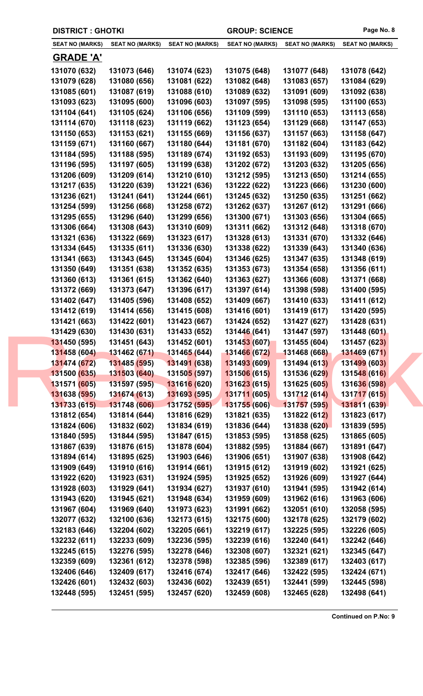| <b>DISTRICT : GHOTKI</b> |                        |                             | <b>GROUP: SCIENCE</b>  |                        | Page No. 8             |
|--------------------------|------------------------|-----------------------------|------------------------|------------------------|------------------------|
| <b>SEAT NO (MARKS)</b>   | <b>SEAT NO (MARKS)</b> | <b>SEAT NO (MARKS)</b>      | <b>SEAT NO (MARKS)</b> | <b>SEAT NO (MARKS)</b> | <b>SEAT NO (MARKS)</b> |
| <b>GRADE 'A'</b>         |                        |                             |                        |                        |                        |
| 131070 (632)             | 131073 (646)           | 131074 (623)                | 131075 (648)           | 131077 (648)           | 131078 (642)           |
| 131079 (628)             | 131080 (656)           | 131081 (622)                | 131082 (648)           | 131083 (657)           | 131084 (629)           |
| 131085 (601)             | 131087 (619)           | 131088 (610)                | 131089 (632)           | 131091 (609)           | 131092 (638)           |
| 131093 (623)             | 131095 (600)           | 131096 (603)                | 131097 (595)           | 131098 (595)           | 131100 (653)           |
| 131104 (641)             | 131105 (624)           | 131106 (656)                | 131109 (599)           | 131110 (653)           | 131113 (658)           |
| 131114 (670)             | 131118 (623)           | 131119 (662)                | 131123 (654)           | 131129 (668)           | 131147 (653)           |
| 131150 (653)             | 131153 (621)           | 131155 (669)                | 131156 (637)           | 131157 (663)           | 131158 (647)           |
| 131159 (671)             | 131160 (667)           | 131180 (644)                | 131181 (670)           | 131182 (604)           | 131183 (642)           |
| 131184 (595)             | 131188 (595)           | 131189 (674)                | 131192 (653)           | 131193 (609)           | 131195 (670)           |
| 131196 (595)             | 131197 (605)           | 131199 (638)                | 131202 (672)           | 131203 (632)           | 131205 (656)           |
| 131206 (609)             | 131209 (614)           | 131210 (610)                | 131212 (595)           | 131213 (650)           | 131214 (655)           |
| 131217 (635)             | 131220 (639)           | 131221 (636)                | 131222 (622)           | 131223 (666)           | 131230 (600)           |
| 131236 (621)             | 131241 (641)           | 131244 (661)                | 131245 (632)           | 131250 (635)           | 131251 (662)           |
| 131254 (599)             | 131256 (668)           | 131258 (672)                | 131262 (637)           | 131267 (612)           | 131291 (666)           |
| 131295 (655)             | 131296 (640)           | 131299 (656)                | 131300 (671)           | 131303 (656)           | 131304 (665)           |
| 131306 (664)             | 131308 (643)           | 131310 (609)                | 131311 (662)           | 131312 (648)           | 131318 (670)           |
| 131321 (636)             | 131322 (669)           | 131323 (617)                | 131328 (613)           | 131331 (670)           | 131332 (646)           |
| 131334 (645)             | 131335 (611)           | 131336 (630)                | 131338 (622)           | 131339 (643)           | 131340 (636)           |
| 131341 (663)             | 131343 (645)           | 131345 (604)                | 131346 (625)           | 131347 (635)           | 131348 (619)           |
| 131350 (649)             | 131351 (638)           | 131352 (635)                | 131353 (673)           | 131354 (658)           | 131356 (611)           |
| 131360 (613)             | 131361 (615)           | 131362 (640)                | 131363 (627)           | 131366 (608)           | 131371 (668)           |
| 131372 (669)             | 131373 (647)           | 131396 (617)                | 131397 (614)           | 131398 (598)           | 131400 (595)           |
| 131402 (647)             | 131405 (596)           | 131408 (652)                | 131409 (667)           | 131410 (633)           | 131411 (612)           |
| 131412 (619)             | 131414 (656)           | 131415 (608)                | 131416 (601)           | 131419 (617)           | 131420 (595)           |
| 131421 (663)             | 131422 (601)           | 131423 (667)                | 131424 (652)           | 131427 (627)           | 131428 (631)           |
| 131429 (630)             | 131430 (631)           | 131433 (652)                | 131446 (641)           | 131447 (597)           | 131448 (601)           |
| 131450 (595)             | 131451 (643)           | 131452 (601)                | 131453(607)            | 131455 (604)           | 131457 (623)           |
| 131458 (604)             | 131462 (671)           | 131465 (644)                | 131466 (672)           | 131468 (668)           | 131469 (671)           |
| 131474 (672)             | 131485 (595)           | 131491 (638)                | 131493 (609)           | 131494 (613)           | 131499 (603)           |
| 131500 (635)             | 131503 (640)           | 13150 <mark>5 (</mark> 597) | 131506 (615)           | 131536 (629)           | 131548 (616)           |
| 131571 (605)             | 131597 (595)           | 131616 (620)                | 131623 (615)           | 131625 (605)           | 131636 (598)           |
| 131638 (595)             | 131674 (613)           | 131693 (595)                | 131711 (605)           | 131712 (614)           | 131717 (615)           |
| 131733 (615)             | 131748 (606)           | 131752 (595)                | 131755 (606)           | 131757 (595)           | 131811 (639)           |
| 131812 (654)             | 131814 (644)           | 131816 (629)                | 131821 (635)           | 131822 (612)           | 131823 (617)           |
| 131824 (606)             | 131832 (602)           | 131834 (619)                | 131836 (644)           | 131838 (620)           | 131839 (595)           |
| 131840 (595)             | 131844 (595)           | 131847 (615)                | 131853 (595)           | 131858 (625)           | 131865 (605)           |
| 131867 (639)             | 131876 (615)           | 131878 (604)                | 131882 (595)           | 131884 (667)           | 131891 (647)           |
| 131894 (614)             | 131895 (625)           | 131903 (646)                | 131906 (651)           | 131907 (638)           | 131908 (642)           |
| 131909 (649)             | 131910 (616)           | 131914 (661)                | 131915 (612)           | 131919 (602)           | 131921 (625)           |
| 131922 (620)             | 131923 (631)           | 131924 (595)                | 131925 (652)           | 131926 (609)           | 131927 (644)           |
| 131928 (603)             | 131929 (641)           | 131934 (627)                | 131937 (610)           | 131941 (595)           | 131942 (614)           |
| 131943 (620)             | 131945 (621)           | 131948 (634)                | 131959 (609)           | 131962 (616)           | 131963 (606)           |
| 131967 (604)             | 131969 (640)           | 131973 (623)                | 131991 (662)           | 132051 (610)           | 132058 (595)           |
| 132077 (632)             | 132100 (636)           | 132173 (615)                | 132175 (600)           | 132178 (625)           | 132179 (602)           |
| 132183 (646)             | 132204 (602)           | 132205 (661)                | 132219 (617)           | 132225 (595)           | 132226 (605)           |
| 132232 (611)             | 132233 (609)           | 132236 (595)                | 132239 (616)           | 132240 (641)           | 132242 (646)           |
| 132245 (615)             | 132276 (595)           | 132278 (646)                | 132308 (607)           | 132321 (621)           | 132345 (647)           |
| 132359 (609)             | 132361 (612)           | 132378 (598)                | 132385 (596)           | 132389 (617)           | 132403 (617)           |
| 132406 (646)             | 132409 (617)           | 132416 (674)                | 132417 (646)           | 132422 (595)           | 132424 (671)           |
| 132426 (601)             | 132432 (603)           | 132436 (602)                | 132439 (651)           | 132441 (599)           | 132445 (598)           |
| 132448 (595)             | 132451 (595)           | 132457 (620)                | 132459 (608)           | 132465 (628)           | 132498 (641)           |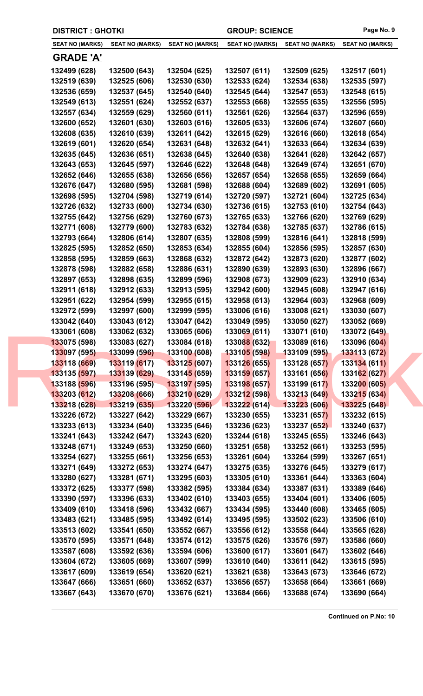| <b>DISTRICT : GHOTKI</b>     |                              |                              | <b>GROUP: SCIENCE</b>        |                              | Page No. 9                   |
|------------------------------|------------------------------|------------------------------|------------------------------|------------------------------|------------------------------|
| <b>SEAT NO (MARKS)</b>       | <b>SEAT NO (MARKS)</b>       | <b>SEAT NO (MARKS)</b>       | <b>SEAT NO (MARKS)</b>       | <b>SEAT NO (MARKS)</b>       | <b>SEAT NO (MARKS)</b>       |
| <b>GRADE 'A'</b>             |                              |                              |                              |                              |                              |
| 132499 (628)                 | 132500 (643)                 | 132504 (625)                 | 132507 (611)                 | 132509 (625)                 | 132517 (601)                 |
| 132519 (639)                 | 132525 (606)                 | 132530 (630)                 | 132533 (624)                 | 132534 (638)                 | 132535 (597)                 |
| 132536 (659)                 | 132537 (645)                 | 132540 (640)                 | 132545 (644)                 | 132547 (653)                 | 132548 (615)                 |
| 132549 (613)                 | 132551 (624)                 | 132552 (637)                 | 132553 (668)                 | 132555 (635)                 | 132556 (595)                 |
| 132557 (634)                 | 132559 (629)                 | 132560 (611)                 | 132561 (626)                 | 132564 (637)                 | 132596 (659)                 |
| 132600 (652)                 | 132601 (630)                 | 132603 (616)                 | 132605 (633)                 | 132606 (674)                 | 132607 (660)                 |
| 132608 (635)                 | 132610 (639)                 | 132611 (642)                 | 132615 (629)                 | 132616 (660)                 | 132618 (654)                 |
| 132619 (601)                 | 132620 (654)                 | 132631 (648)                 | 132632 (641)                 | 132633 (664)                 | 132634 (639)                 |
| 132635 (645)                 | 132636 (651)                 | 132638 (645)                 | 132640 (638)                 | 132641 (628)                 | 132642 (657)                 |
| 132643 (653)                 | 132645 (597)                 | 132646 (622)                 | 132648 (648)                 | 132649 (674)                 | 132651 (670)                 |
| 132652 (646)                 | 132655 (638)                 | 132656 (656)                 | 132657 (654)                 | 132658 (655)                 | 132659 (664)                 |
| 132676 (647)                 | 132680 (595)                 | 132681 (598)                 | 132688 (604)                 | 132689 (602)                 | 132691 (605)                 |
| 132698 (595)                 | 132704 (598)                 | 132719 (614)                 | 132720 (597)                 | 132721 (604)                 | 132725 (634)                 |
| 132726 (632)                 | 132733 (600)                 | 132734 (630)                 | 132736 (615)                 | 132753 (610)                 | 132754 (643)                 |
| 132755 (642)                 | 132756 (629)                 | 132760 (673)                 | 132765 (633)                 | 132766 (620)                 | 132769 (629)                 |
| 132771 (608)                 | 132779 (600)                 | 132783 (632)                 | 132784 (638)                 | 132785 (637)                 | 132786 (615)                 |
| 132793 (664)                 | 132806 (614)                 | 132807 (635)                 | 132808 (599)                 | 132816 (641)                 | 132818 (599)                 |
| 132825 (595)                 | 132852 (650)                 | 132853 (634)                 | 132855 (604)                 | 132856 (595)                 | 132857 (630)                 |
| 132858 (595)                 | 132859 (663)                 | 132868 (632)                 | 132872 (642)                 | 132873 (620)                 | 132877 (602)                 |
| 132878 (598)                 | 132882 (658)                 | 132886 (631)                 | 132890 (639)                 | 132893 (630)                 | 132896 (667)                 |
| 132897 (653)                 | 132898 (635)                 | 132899 (596)                 | 132908 (673)                 | 132909 (623)                 | 132910 (634)                 |
| 132911 (618)                 | 132912 (633)                 | 132913 (595)                 | 132942 (600)                 | 132945 (608)                 | 132947 (616)                 |
| 132951 (622)                 | 132954 (599)                 | 132955 (615)                 | 132958 (613)                 | 132964 (603)                 | 132968 (609)                 |
| 132972 (599)                 | 132997 (600)                 | 132999 (595)                 | 133006 (616)                 | 133008 (621)                 | 133030 (607)                 |
| 133042 (640)                 | 133043 (612)                 | 133047 (642)                 | 133049 (595)                 | 133050 (627)                 | 133052 (669)<br>133072 (649) |
| 133061 (608)<br>133075 (598) | 133062 (632)<br>133083 (627) | 133065 (606)<br>133084 (618) | 133069 (611)<br>133088 (632) | 133071 (610)<br>133089 (616) | 133096 (604)                 |
| 133097 (595)                 | 133099 (596)                 | 133100 (608)                 | <b>133105 (598)</b>          | 133109 (595)                 | 133113 (672)                 |
| 133118 (669)                 | 133119 (617)                 | 133125 (607)                 | 133126 (655)                 | 133128 (657)                 | 133134 (611)                 |
| 133135 (597)                 | 133139 (629)                 | 13314 <mark>5 (</mark> 659)  | 133159 (657)                 | 133161 (656)                 | 133162 (627)                 |
| 133188 (596)                 | 133196 (595)                 | 133197 (595)                 | 133198 (657)                 | 133199 (617)                 | 133200 (605)                 |
| 133203 (612)                 | 133208 (666)                 | 133210 (629)                 | 133212 (598)                 | 133213 (649)                 | 133215 (634)                 |
| 133218 (628)                 | 133219 (635)                 | 133220 (596)                 | 133222(614)                  | 133223(606)                  | 133225 (648)                 |
| 133226 (672)                 | 133227 (642)                 | 133229 (667)                 | 133230 (655)                 | 133231 (657)                 | 133232 (615)                 |
| 133233 (613)                 | 133234 (640)                 | 133235 (646)                 | 133236 (623)                 | 133237 (652)                 | 133240 (637)                 |
| 133241 (643)                 | 133242 (647)                 | 133243 (620)                 | 133244 (618)                 | 133245 (655)                 | 133246 (643)                 |
| 133248 (671)                 | 133249 (653)                 | 133250 (660)                 | 133251 (658)                 | 133252 (661)                 | 133253 (595)                 |
| 133254 (627)                 | 133255 (661)                 | 133256 (653)                 | 133261 (604)                 | 133264 (599)                 | 133267 (651)                 |
| 133271 (649)                 | 133272 (653)                 | 133274 (647)                 | 133275 (635)                 | 133276 (645)                 | 133279 (617)                 |
| 133280 (627)                 | 133281 (671)                 | 133295 (603)                 | 133305 (610)                 | 133361 (644)                 | 133363 (604)                 |
| 133372 (625)                 | 133377 (598)                 | 133382 (595)                 | 133384 (634)                 | 133387 (631)                 | 133389 (646)                 |
| 133390 (597)                 | 133396 (633)                 | 133402 (610)                 | 133403 (655)                 | 133404 (601)                 | 133406 (605)                 |
| 133409 (610)                 | 133418 (596)                 | 133432 (667)                 | 133434 (595)                 | 133440 (608)                 | 133465 (605)                 |
| 133483 (621)                 | 133485 (595)                 | 133492 (614)                 | 133495 (595)                 | 133502 (623)                 | 133506 (610)                 |
| 133513 (602)                 | 133541 (650)                 | 133552 (667)                 | 133556 (612)                 | 133558 (644)                 | 133565 (628)                 |
| 133570 (595)                 | 133571 (648)                 | 133574 (612)                 | 133575 (626)                 | 133576 (597)                 | 133586 (660)                 |
| 133587 (608)                 | 133592 (636)                 | 133594 (606)                 | 133600 (617)                 | 133601 (647)                 | 133602 (646)                 |
| 133604 (672)                 | 133605 (669)                 | 133607 (599)                 | 133610 (640)                 | 133611 (642)                 | 133615 (595)                 |
| 133617 (609)<br>133647 (666) | 133619 (654)<br>133651 (660) | 133620 (621)<br>133652 (637) | 133621 (638)<br>133656 (657) | 133643 (673)<br>133658 (664) | 133646 (672)<br>133661 (669) |
| 133667 (643)                 | 133670 (670)                 | 133676 (621)                 | 133684 (666)                 | 133688 (674)                 | 133690 (664)                 |
|                              |                              |                              |                              |                              |                              |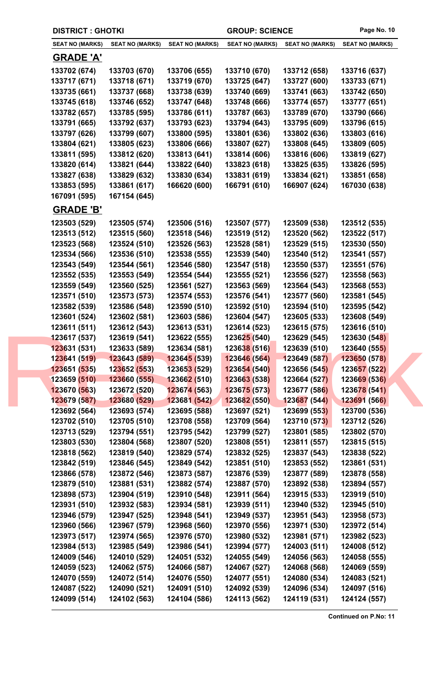|                              | <b>DISTRICT : GHOTKI</b>     |                                     |                              | <b>GROUP: SCIENCE</b>        | Page No. 10                  |
|------------------------------|------------------------------|-------------------------------------|------------------------------|------------------------------|------------------------------|
| <b>SEAT NO (MARKS)</b>       | <b>SEAT NO (MARKS)</b>       | <b>SEAT NO (MARKS)</b>              | <b>SEAT NO (MARKS)</b>       | <b>SEAT NO (MARKS)</b>       | <b>SEAT NO (MARKS)</b>       |
| <b>GRADE 'A'</b>             |                              |                                     |                              |                              |                              |
| 133702 (674)                 | 133703 (670)                 | 133706 (655)                        | 133710 (670)                 | 133712 (658)                 | 133716 (637)                 |
| 133717 (671)                 | 133718 (671)                 | 133719 (670)                        | 133725 (647)                 | 133727 (600)                 | 133733 (671)                 |
| 133735 (661)                 | 133737 (668)                 | 133738 (639)                        | 133740 (669)                 | 133741 (663)                 | 133742 (650)                 |
| 133745 (618)                 | 133746 (652)                 | 133747 (648)                        | 133748 (666)                 | 133774 (657)                 | 133777 (651)                 |
| 133782 (657)                 | 133785 (595)                 | 133786 (611)                        | 133787 (663)                 | 133789 (670)                 | 133790 (666)                 |
| 133791 (665)                 | 133792 (637)                 | 133793 (623)                        | 133794 (643)                 | 133795 (609)                 | 133796 (615)                 |
| 133797 (626)                 | 133799 (607)                 | 133800 (595)                        | 133801 (636)                 | 133802 (636)                 | 133803 (616)                 |
| 133804 (621)                 | 133805 (623)                 | 133806 (666)                        | 133807 (627)                 | 133808 (645)                 | 133809 (605)                 |
| 133811 (595)                 | 133812 (620)                 | 133813 (641)                        | 133814 (606)                 | 133816 (606)                 | 133819 (627)                 |
| 133820 (614)                 | 133821 (644)                 | 133822 (640)                        | 133823 (618)                 | 133825 (635)                 | 133826 (595)                 |
| 133827 (638)                 | 133829 (632)                 | 133830 (634)                        | 133831 (619)                 | 133834 (621)                 | 133851 (658)                 |
| 133853 (595)                 | 133861 (617)                 | 166620 (600)                        | 166791 (610)                 | 166907 (624)                 | 167030 (638)                 |
| 167091 (595)                 | 167154 (645)                 |                                     |                              |                              |                              |
| <b>GRADE 'B'</b>             |                              |                                     |                              |                              |                              |
| 123503 (529)                 | 123505 (574)                 | 123506 (516)                        | 123507 (577)                 | 123509 (538)                 | 123512 (535)                 |
| 123513 (512)                 | 123515 (560)                 | 123518 (546)                        | 123519 (512)                 | 123520 (562)                 | 123522 (517)                 |
| 123523 (568)                 | 123524 (510)                 | 123526 (563)                        | 123528 (581)                 | 123529 (515)                 | 123530 (550)                 |
| 123534 (566)                 | 123536 (510)                 | 123538 (555)                        | 123539 (540)                 | 123540 (512)                 | 123541 (557)                 |
| 123543 (549)                 | 123544 (561)                 | 123546 (580)                        | 123547 (518)                 | 123550 (537)                 | 123551 (576)                 |
| 123552 (535)                 | 123553 (549)                 | 123554 (544)                        | 123555 (521)                 | 123556 (527)                 | 123558 (563)                 |
| 123559 (549)                 | 123560 (525)                 | 123561 (527)                        | 123563 (569)                 | 123564 (543)                 | 123568 (553)                 |
| 123571 (510)                 | 123573 (573)                 | 123574 (553)                        | 123576 (541)                 | 123577 (560)                 | 123581 (545)                 |
| 123582 (539)                 | 123586 (548)                 | 123590 (510)                        | 123592 (510)                 | 123594 (510)                 | 123595 (542)                 |
| 123601 (524)                 | 123602 (581)                 | 123603 (586)                        | 123604 (547)                 | 123605 (533)                 | 123608 (549)                 |
| 123611 (511)                 | 123612 (543)                 | 123613 (531)                        | 123614 (523)                 | 123615 (575)                 | 123616 (510)                 |
| 123617 (537)                 | 123619 (541)                 | 123622 (555)                        | 123625 (540)                 | 123629 (545)                 | 123630 (548)                 |
| 123631 (531)                 | 123633 (589)                 | 123634 (581)                        | 123638 (516)                 | 123639 (510)                 | 123640 (555)                 |
| 123641 (519)                 | 123643 (589)                 | 123645 (539)                        | 123646 (564)                 | 123649 (587)                 | 123650 (578)                 |
| 123651 (535)<br>123659 (510) | 123652 (553)<br>123660 (555) | 123653 (529)<br><b>123662 (510)</b> | 123654 (540)<br>123663 (538) | 123656 (545)<br>123664 (527) | 123657 (522)                 |
| 123670 (563)                 | 123672 (520)                 | 123674 (563)                        | 123675 (573)                 | 123677 (586)                 | 123669 (536)<br>123678 (541) |
| 123679 (587)                 | 123680 (529)                 | 123681 (542)                        | 123682 (550)                 | 123687 (544)                 | 123691 (566)                 |
| 123692 (564)                 | 123693 (574)                 | 123695 (588)                        | 123697 (521)                 | 123699 (553)                 | 123700 (536)                 |
| 123702 (510)                 | 123705 (510)                 | 123708 (558)                        | 123709 (564)                 | 123710 (573)                 | 123712 (526)                 |
| 123713 (529)                 | 123794 (551)                 | 123795 (542)                        | 123799 (527)                 | 123801 (585)                 | 123802 (570)                 |
| 123803 (530)                 | 123804 (568)                 | 123807 (520)                        | 123808 (551)                 | 123811 (557)                 | 123815 (515)                 |
| 123818 (562)                 | 123819 (540)                 | 123829 (574)                        | 123832 (525)                 | 123837 (543)                 | 123838 (522)                 |
| 123842 (519)                 | 123846 (545)                 | 123849 (542)                        | 123851 (510)                 | 123853 (552)                 | 123861 (531)                 |
| 123866 (578)                 | 123872 (546)                 | 123873 (587)                        | 123876 (539)                 | 123877 (589)                 | 123878 (558)                 |
| 123879 (510)                 | 123881 (531)                 | 123882 (574)                        | 123887 (570)                 | 123892 (538)                 | 123894 (557)                 |
| 123898 (573)                 | 123904 (519)                 | 123910 (548)                        | 123911 (564)                 | 123915 (533)                 | 123919 (510)                 |
| 123931 (510)                 | 123932 (583)                 | 123934 (581)                        | 123939 (511)                 | 123940 (532)                 | 123945 (510)                 |
| 123946 (579)                 | 123947 (525)                 | 123948 (541)                        | 123949 (537)                 | 123951 (543)                 | 123958 (573)                 |
| 123960 (566)                 | 123967 (579)                 | 123968 (560)                        | 123970 (556)                 | 123971 (530)                 | 123972 (514)                 |
| 123973 (517)                 | 123974 (565)                 | 123976 (570)                        | 123980 (532)                 | 123981 (571)                 | 123982 (523)                 |
| 123984 (513)                 | 123985 (549)                 | 123986 (541)                        | 123994 (577)                 | 124003 (511)                 | 124008 (512)                 |
| 124009 (546)                 | 124010 (529)                 | 124051 (532)                        | 124055 (549)                 | 124056 (563)                 | 124058 (555)                 |
| 124059 (523)                 | 124062 (575)                 | 124066 (587)                        | 124067 (527)                 | 124068 (568)                 | 124069 (559)                 |
| 124070 (559)                 | 124072 (514)                 | 124076 (550)                        | 124077 (551)                 | 124080 (534)                 | 124083 (521)                 |
| 124087 (522)                 | 124090 (521)                 | 124091 (510)                        | 124092 (539)                 | 124096 (534)                 | 124097 (516)                 |
| 124099 (514)                 | 124102 (563)                 | 124104 (586)                        | 124113 (562)                 | 124119 (531)                 | 124124 (557)                 |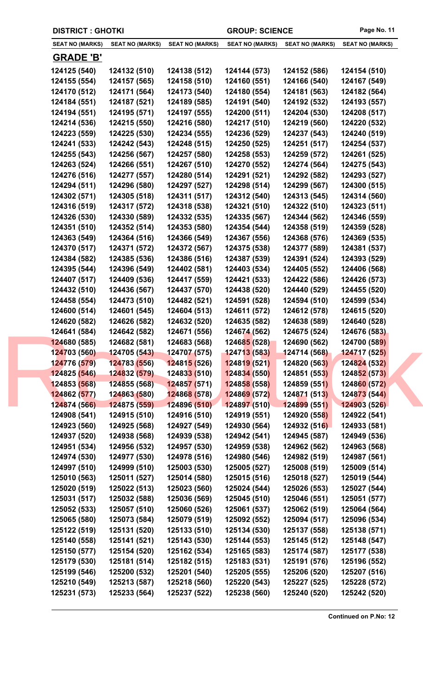|  | <b>DISTRICT : GHOTKI</b> |                        |                             | <b>GROUP: SCIENCE</b>  |                        | Page No. 11            |
|--|--------------------------|------------------------|-----------------------------|------------------------|------------------------|------------------------|
|  | <b>SEAT NO (MARKS)</b>   | <b>SEAT NO (MARKS)</b> | <b>SEAT NO (MARKS)</b>      | <b>SEAT NO (MARKS)</b> | <b>SEAT NO (MARKS)</b> | <b>SEAT NO (MARKS)</b> |
|  | <b>GRADE 'B'</b>         |                        |                             |                        |                        |                        |
|  | 124125 (540)             | 124132 (510)           | 124138 (512)                | 124144 (573)           | 124152 (586)           | 124154 (510)           |
|  | 124155 (554)             | 124157 (565)           | 124158 (510)                | 124160 (551)           | 124166 (540)           | 124167 (549)           |
|  | 124170 (512)             | 124171 (564)           | 124173 (540)                | 124180 (554)           | 124181 (563)           | 124182 (564)           |
|  | 124184 (551)             | 124187 (521)           | 124189 (585)                | 124191 (540)           | 124192 (532)           | 124193 (557)           |
|  | 124194 (551)             | 124195 (571)           | 124197 (555)                | 124200 (511)           | 124204 (530)           | 124208 (517)           |
|  | 124214 (536)             | 124215 (550)           | 124216 (580)                | 124217 (510)           | 124219 (560)           | 124220 (532)           |
|  | 124223 (559)             | 124225 (530)           | 124234 (555)                | 124236 (529)           | 124237 (543)           | 124240 (519)           |
|  | 124241 (533)             | 124242 (543)           | 124248 (515)                | 124250 (525)           | 124251 (517)           | 124254 (537)           |
|  | 124255 (543)             | 124256 (567)           | 124257 (580)                | 124258 (553)           | 124259 (572)           | 124261 (525)           |
|  | 124263 (524)             | 124266 (551)           | 124267 (510)                | 124270 (552)           | 124274 (564)           | 124275 (543)           |
|  | 124276 (516)             | 124277 (557)           | 124280 (514)                | 124291 (521)           | 124292 (582)           | 124293 (527)           |
|  | 124294 (511)             | 124296 (580)           | 124297 (527)                | 124298 (514)           | 124299 (567)           | 124300 (515)           |
|  | 124302 (571)             | 124305 (518)           | 124311 (517)                | 124312 (540)           | 124313 (545)           | 124314 (560)           |
|  | 124316 (519)             | 124317 (572)           | 124318 (538)                | 124321 (510)           | 124322 (510)           | 124323 (511)           |
|  | 124326 (530)             | 124330 (589)           | 124332 (535)                | 124335 (567)           | 124344 (562)           | 124346 (559)           |
|  | 124351 (510)             | 124352 (514)           | 124353 (580)                | 124354 (544)           | 124358 (519)           | 124359 (528)           |
|  | 124363 (549)             | 124364 (516)           | 124366 (549)                | 124367 (556)           | 124368 (576)           | 124369 (535)           |
|  | 124370 (517)             | 124371 (572)           | 124372 (567)                | 124375 (538)           | 124377 (589)           | 124381 (537)           |
|  | 124384 (582)             | 124385 (536)           | 124386 (516)                | 124387 (539)           | 124391 (524)           | 124393 (529)           |
|  | 124395 (544)             | 124396 (549)           | 124402 (581)                | 124403 (534)           | 124405 (552)           | 124406 (568)           |
|  | 124407 (517)             | 124409 (536)           | 124417 (559)                | 124421 (533)           | 124422 (586)           | 124426 (573)           |
|  | 124432 (510)             | 124436 (567)           | 124437 (570)                | 124438 (520)           | 124440 (529)           | 124455 (520)           |
|  | 124458 (554)             | 124473 (510)           | 124482 (521)                | 124591 (528)           | 124594 (510)           | 124599 (534)           |
|  | 124600 (514)             | 124601 (545)           | 124604 (513)                | 124611 (572)           | 124612 (578)           | 124615 (520)           |
|  | 124620 (582)             | 124626 (582)           | 124632 (520)                | 124635 (582)           | 124638 (589)           | 124640 (528)           |
|  | 124641 (584)             | 124642 (582)           | 124671 (556)                | 124674 (562)           | 124675 (524)           | 124676 (583)           |
|  | 124680 (585)             | 124682 (581)           | 124683 (568)                | 124685 (528)           | 124690 (562)           | 124700 (589)           |
|  | 124703 (560)             | 124705 (543)           | 124707 (575)                | 124713 (583)           | 124714 (568)           | 124717 (525)           |
|  | 124776 (579)             | 124783 (556)           | 124815 (526)                | 124819 (521)           | 124820 (563)           | 124824 (532)           |
|  | 124825 (546)             | 124832 (579)           | 12483 <mark>3 (</mark> 510) | 124834 (550)           | 124851 (553)           | 124852 (573)           |
|  | 124853 (568)             | 124855 (568)           | 124857 (571)                | 124858 (558)           | 124859 (551)           | 124860 (572)           |
|  | 124862 (577)             | 124863 (580)           | 124868 (578)                | 124869 (572)           | 124871 (513)           | 124873 (544)           |
|  | 124874 (566)             | 124875 (559)           | 124896 (510)                | 124897 (510)           | 124899(551)            | 124903 (526)           |
|  | 124908 (541)             | 124915 (510)           | 124916 (510)                | 124919 (551)           | 124920 (558)           | 124922 (541)           |
|  | 124923 (560)             | 124925 (568)           | 124927 (549)                | 124930 (564)           | 124932 (516)           | 124933 (581)           |
|  | 124937 (520)             | 124938 (568)           | 124939 (538)                | 124942 (541)           | 124945 (587)           | 124949 (536)           |
|  | 124951 (534)             | 124956 (532)           | 124957 (530)                | 124959 (538)           | 124962 (562)           | 124963 (568)           |
|  | 124974 (530)             | 124977 (530)           | 124978 (516)                | 124980 (546)           | 124982 (519)           | 124987 (561)           |
|  | 124997 (510)             | 124999 (510)           | 125003 (530)                | 125005 (527)           | 125008 (519)           | 125009 (514)           |
|  | 125010 (563)             | 125011 (527)           | 125014 (580)                | 125015 (516)           | 125018 (527)           | 125019 (544)           |
|  | 125020 (519)             | 125022 (513)           | 125023 (560)                | 125024 (544)           | 125026 (553)           | 125027 (544)           |
|  | 125031 (517)             | 125032 (588)           | 125036 (569)                | 125045 (510)           | 125046 (551)           | 125051 (577)           |
|  | 125052 (533)             | 125057 (510)           | 125060 (526)                | 125061 (537)           | 125062 (519)           | 125064 (564)           |
|  | 125065 (580)             | 125073 (584)           | 125079 (519)                | 125092 (552)           | 125094 (517)           | 125096 (534)           |
|  | 125122 (519)             | 125131 (520)           | 125133 (510)                | 125134 (530)           | 125137 (558)           | 125138 (571)           |
|  | 125140 (558)             | 125141 (521)           | 125143 (530)                | 125144 (553)           | 125145 (512)           | 125148 (547)           |
|  | 125150 (577)             | 125154 (520)           | 125162 (534)                | 125165 (583)           | 125174 (587)           | 125177 (538)           |
|  | 125179 (530)             | 125181 (514)           | 125182 (515)                | 125183 (531)           | 125191 (576)           | 125196 (552)           |
|  | 125199 (546)             | 125200 (532)           | 125201 (540)                | 125205 (555)           | 125206 (520)           | 125207 (516)           |
|  | 125210 (549)             | 125213 (587)           | 125218 (560)                | 125220 (543)           | 125227 (525)           | 125228 (572)           |
|  | 125231 (573)             | 125233 (564)           | 125237 (522)                | 125238 (560)           | 125240 (520)           | 125242 (520)           |
|  |                          |                        |                             |                        |                        |                        |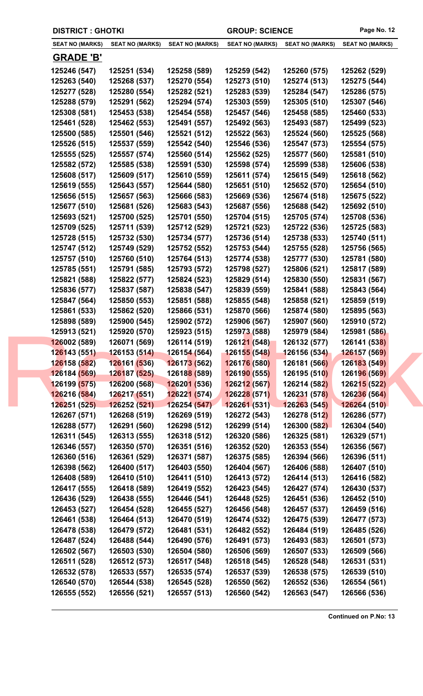| <b>DISTRICT : GHOTKI</b>     |                              |                                             | <b>GROUP: SCIENCE</b>        |                              | Page No. 12                  |  |
|------------------------------|------------------------------|---------------------------------------------|------------------------------|------------------------------|------------------------------|--|
| <b>SEAT NO (MARKS)</b>       | <b>SEAT NO (MARKS)</b>       | <b>SEAT NO (MARKS)</b>                      | <b>SEAT NO (MARKS)</b>       | <b>SEAT NO (MARKS)</b>       | <b>SEAT NO (MARKS)</b>       |  |
| <b>GRADE 'B'</b>             |                              |                                             |                              |                              |                              |  |
| 125246 (547)                 | 125251 (534)                 | 125258 (589)                                | 125259 (542)                 | 125260 (575)                 | 125262 (529)                 |  |
| 125263 (540)                 | 125268 (537)                 | 125270 (554)                                | 125273 (510)                 | 125274 (513)                 | 125275 (544)                 |  |
| 125277 (528)                 | 125280 (554)                 | 125282 (521)                                | 125283 (539)                 | 125284 (547)                 | 125286 (575)                 |  |
| 125288 (579)                 | 125291 (562)                 | 125294 (574)                                | 125303 (559)                 | 125305 (510)                 | 125307 (546)                 |  |
| 125308 (581)                 | 125453 (538)                 | 125454 (558)                                | 125457 (546)                 | 125458 (585)                 | 125460 (533)                 |  |
| 125461 (528)                 | 125462 (553)                 | 125491 (557)                                | 125492 (563)                 | 125493 (587)                 | 125499 (523)                 |  |
| 125500 (585)                 | 125501 (546)                 | 125521 (512)                                | 125522 (563)                 | 125524 (560)                 | 125525 (568)                 |  |
| 125526 (515)                 | 125537 (559)                 | 125542 (540)                                | 125546 (536)                 | 125547 (573)                 | 125554 (575)                 |  |
| 125555 (525)                 | 125557 (574)                 | 125560 (514)                                | 125562 (525)                 | 125577 (560)                 | 125581 (510)                 |  |
| 125582 (572)                 | 125585 (538)                 | 125591 (530)                                | 125598 (574)                 | 125599 (538)                 | 125606 (538)                 |  |
| 125608 (517)                 | 125609 (517)                 | 125610 (559)                                | 125611 (574)                 | 125615 (549)                 | 125618 (562)                 |  |
| 125619 (555)                 | 125643 (557)                 | 125644 (580)                                | 125651 (510)                 | 125652 (570)                 | 125654 (510)                 |  |
| 125656 (515)                 | 125657 (563)                 | 125666 (583)                                | 125669 (536)                 | 125674 (518)                 | 125675 (522)                 |  |
| 125677 (510)                 | 125681 (526)                 | 125683 (543)                                | 125687 (556)                 | 125688 (542)                 | 125692 (510)                 |  |
| 125693 (521)                 | 125700 (525)                 | 125701 (550)                                | 125704 (515)                 | 125705 (574)                 | 125708 (536)                 |  |
| 125709 (525)                 | 125711 (539)                 | 125712 (529)                                | 125721 (523)                 | 125722 (536)                 | 125725 (583)                 |  |
| 125728 (515)                 | 125732 (530)                 | 125734 (577)                                | 125736 (514)                 | 125738 (533)                 | 125740 (511)                 |  |
| 125747 (512)                 | 125749 (529)                 | 125752 (552)                                | 125753 (544)                 | 125755 (528)                 | 125756 (565)                 |  |
| 125757 (510)                 | 125760 (510)                 | 125764 (513)                                | 125774 (538)                 | 125777 (530)                 | 125781 (580)                 |  |
| 125785 (551)                 | 125791 (585)                 | 125793 (572)                                | 125798 (527)                 | 125806 (521)                 | 125817 (589)                 |  |
| 125821 (588)                 | 125822 (577)                 | 125824 (523)                                | 125829 (514)                 | 125830 (550)                 | 125831 (567)                 |  |
| 125836 (577)                 | 125837 (587)                 | 125838 (547)                                | 125839 (559)                 | 125841 (588)                 | 125843 (564)                 |  |
| 125847 (564)                 | 125850 (553)                 | 125851 (588)                                | 125855 (548)                 | 125858 (521)                 | 125859 (519)                 |  |
| 125861 (533)                 | 125862 (520)                 | 125866 (531)                                | 125870 (566)                 | 125874 (580)                 | 125895 (563)                 |  |
| 125898 (589)                 | 125900 (545)                 | 125902 (572)                                | 125906 (567)                 | 125907 (560)                 | 125910 (572)                 |  |
| 125913 (521)                 | 125920 (570)                 | 125923 (515)                                | 125973 (588)                 | 125979 (584)                 | 125981 (586)                 |  |
| 126002 (589)                 | 126071 (569)                 | 126114 (519)                                | 126121 (548)                 | 126132 (577)                 | 126141 (538)                 |  |
| 126143 (551)                 | 126153(514)                  | 126154 (564)                                | <b>126155 (548)</b>          | 126156 (534)                 | <b>126157 (569)</b>          |  |
| 126158 (582)                 | 126161 (536)<br>126187 (525) | 126173 (562)<br>12618 <mark>8 (</mark> 589) | 126176 (580)                 | 126181 (566)                 | 126183 (549)<br>126196 (569) |  |
| 126184 (569)<br>126199 (575) | 126200 (568)                 | 126201 (536)                                | 126190 (555)<br>126212 (567) | 126195 (510)<br>126214 (582) | <b>126215 (522)</b>          |  |
| 126216 (584)                 | 126217 (551)                 | 126221 (574)                                | 126228 (571)                 | 126231 (578)                 | 126236 (564)                 |  |
| 126251 (525)                 | 126252 (521)                 | 126254 (547)                                | 126261(531)                  | 126263 (545)                 | 126264 (510)                 |  |
| 126267 (571)                 | 126268 (519)                 | 126269 (519)                                | 126272 (543)                 | 126278 (512)                 | 126286 (577)                 |  |
| 126288 (577)                 | 126291 (560)                 | 126298 (512)                                | 126299 (514)                 | 126300 (582)                 | 126304 (540)                 |  |
| 126311 (545)                 | 126313 (555)                 | 126318 (512)                                | 126320 (586)                 | 126325 (581)                 | 126329 (571)                 |  |
| 126346 (557)                 | 126350 (570)                 | 126351 (516)                                | 126352 (520)                 | 126353 (554)                 | 126356 (567)                 |  |
| 126360 (516)                 | 126361 (529)                 | 126371 (587)                                | 126375 (585)                 | 126394 (566)                 | 126396 (511)                 |  |
| 126398 (562)                 | 126400 (517)                 | 126403 (550)                                | 126404 (567)                 | 126406 (588)                 | 126407 (510)                 |  |
| 126408 (589)                 | 126410 (510)                 | 126411 (510)                                | 126413 (572)                 | 126414 (513)                 | 126416 (582)                 |  |
| 126417 (555)                 | 126418 (589)                 | 126419 (552)                                | 126423 (545)                 | 126427 (574)                 | 126430 (537)                 |  |
| 126436 (529)                 | 126438 (555)                 | 126446 (541)                                | 126448 (525)                 | 126451 (536)                 | 126452 (510)                 |  |
| 126453 (527)                 | 126454 (528)                 | 126455 (527)                                | 126456 (548)                 | 126457 (537)                 | 126459 (516)                 |  |
| 126461 (538)                 | 126464 (513)                 | 126470 (519)                                | 126474 (532)                 | 126475 (539)                 | 126477 (573)                 |  |
| 126478 (538)                 | 126479 (572)                 | 126481 (531)                                | 126482 (552)                 | 126484 (519)                 | 126485 (526)                 |  |
| 126487 (524)                 | 126488 (544)                 | 126490 (576)                                | 126491 (573)                 | 126493 (583)                 | 126501 (573)                 |  |
| 126502 (567)                 | 126503 (530)                 | 126504 (580)                                | 126506 (569)                 | 126507 (533)                 | 126509 (566)                 |  |
| 126511 (528)                 | 126512 (573)                 | 126517 (548)                                | 126518 (545)                 | 126528 (548)                 | 126531 (531)                 |  |
| 126532 (578)                 | 126533 (557)                 | 126535 (574)                                | 126537 (539)                 | 126538 (575)                 | 126539 (510)                 |  |
| 126540 (570)                 | 126544 (538)                 | 126545 (528)                                | 126550 (562)                 | 126552 (536)                 | 126554 (561)                 |  |
| 126555 (552)                 | 126556 (521)                 | 126557 (513)                                | 126560 (542)                 | 126563 (547)                 | 126566 (536)                 |  |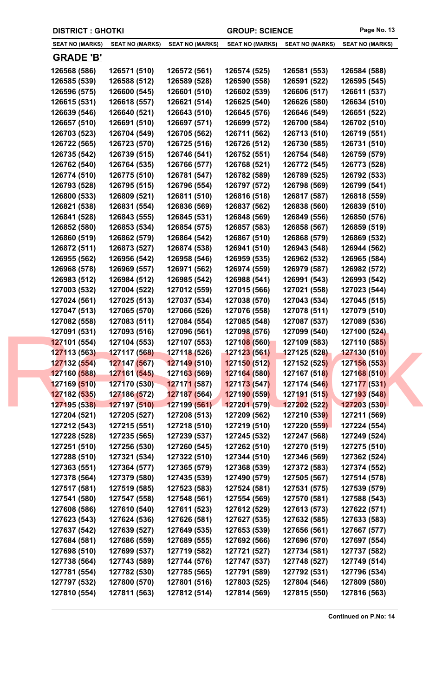|  | <b>DISTRICT : GHOTKI</b>     |                              |                              | <b>GROUP: SCIENCE</b>        |                              | Page No. 13                      |
|--|------------------------------|------------------------------|------------------------------|------------------------------|------------------------------|----------------------------------|
|  | <b>SEAT NO (MARKS)</b>       | <b>SEAT NO (MARKS)</b>       | <b>SEAT NO (MARKS)</b>       | <b>SEAT NO (MARKS)</b>       | <b>SEAT NO (MARKS)</b>       | <b>SEAT NO (MARKS)</b>           |
|  | <b>GRADE 'B'</b>             |                              |                              |                              |                              |                                  |
|  | 126568 (586)                 | 126571 (510)                 | 126572 (561)                 | 126574 (525)                 | 126581 (553)                 | 126584 (588)                     |
|  | 126585 (539)                 | 126588 (512)                 | 126589 (528)                 | 126590 (558)                 | 126591 (522)                 | 126595 (545)                     |
|  | 126596 (575)                 | 126600 (545)                 | 126601 (510)                 | 126602 (539)                 | 126606 (517)                 | 126611 (537)                     |
|  | 126615 (531)                 | 126618 (557)                 | 126621 (514)                 | 126625 (540)                 | 126626 (580)                 | 126634 (510)                     |
|  | 126639 (546)                 | 126640 (521)                 | 126643 (510)                 | 126645 (576)                 | 126646 (549)                 | 126651 (522)                     |
|  | 126657 (510)                 | 126691 (510)                 | 126697 (571)                 | 126699 (572)                 | 126700 (584)                 | 126702 (510)                     |
|  | 126703 (523)                 | 126704 (549)                 | 126705 (562)                 | 126711 (562)                 | 126713 (510)                 | 126719 (551)                     |
|  | 126722 (565)                 | 126723 (570)                 | 126725 (516)                 | 126726 (512)                 | 126730 (585)                 | 126731 (510)                     |
|  | 126735 (542)                 | 126739 (515)                 | 126746 (541)                 | 126752 (551)                 | 126754 (548)                 | 126759 (579)                     |
|  | 126762 (540)                 | 126764 (535)                 | 126766 (577)                 | 126768 (521)                 | 126772 (545)                 | 126773 (528)                     |
|  | 126774 (510)                 | 126775 (510)                 | 126781 (547)                 | 126782 (589)                 | 126789 (525)                 | 126792 (533)                     |
|  | 126793 (528)                 | 126795 (515)                 | 126796 (554)                 | 126797 (572)                 | 126798 (569)                 | 126799 (541)                     |
|  | 126800 (533)                 | 126809 (521)                 | 126811 (510)                 | 126816 (518)                 | 126817 (587)                 | 126818 (559)                     |
|  | 126821 (538)                 | 126831 (554)                 | 126836 (569)                 | 126837 (562)                 | 126838 (560)                 | 126839 (510)                     |
|  | 126841 (528)                 | 126843 (555)                 | 126845 (531)                 | 126848 (569)                 | 126849 (556)                 | 126850 (576)                     |
|  | 126852 (580)                 | 126853 (534)                 | 126854 (575)                 | 126857 (583)                 | 126858 (567)                 | 126859 (519)                     |
|  | 126860 (519)                 | 126862 (579)                 | 126864 (542)                 | 126867 (510)                 | 126868 (579)                 | 126869 (532)                     |
|  | 126872 (511)                 | 126873 (527)                 | 126874 (538)                 | 126941 (510)                 | 126943 (548)                 | 126944 (562)                     |
|  | 126955 (562)                 | 126956 (542)                 | 126958 (546)                 | 126959 (535)                 | 126962 (532)                 | 126965 (584)                     |
|  | 126968 (578)                 | 126969 (557)                 | 126971 (562)                 | 126974 (559)                 | 126979 (587)                 | 126982 (572)                     |
|  | 126983 (512)                 | 126984 (512)                 | 126985 (542)                 | 126988 (541)                 | 126991 (543)                 | 126993 (542)                     |
|  | 127003 (532)                 | 127004 (522)                 | 127012 (559)                 | 127015 (566)                 | 127021 (558)                 | 127023 (544)                     |
|  | 127024 (561)                 | 127025 (513)                 | 127037 (534)                 | 127038 (570)                 | 127043 (534)                 | 127045 (515)                     |
|  | 127047 (513)                 | 127065 (570)                 | 127066 (526)                 | 127076 (558)                 | 127078 (511)                 | 127079 (510)                     |
|  | 127082 (558)                 | 127083 (511)                 | 127084 (554)                 | 127085 (548)                 | 127087 (537)                 | 127089 (536)                     |
|  | 127091 (531)                 | 127093 (516)                 | 127096 (561)                 | 127098 (576)                 | 127099 (540)                 | 127100 (524)                     |
|  | 127101 (554)                 | 127104 (553)                 | 127107 (553)                 | 127108 (560)                 | 127109 (583)                 | <b>127110 (58<mark>5)</mark></b> |
|  | 127113 (563)                 | 127117 (568)                 | 127118 (526)                 | 127123 (561)                 | 127125 (528)                 | 127130 (510)                     |
|  | 127132 (554)                 | 127147 (567)                 | 127149 (510)                 | 127150 (512)                 | 127152 (525)                 | 127156 (553)                     |
|  | 127160 (588)                 | 127161 (545)                 | 12716 <mark>3 (</mark> 569)  | 127164 (580)                 | 127167 (518)                 | 127168 (510)                     |
|  | 127169 (510)                 | 127170 (530)                 | 127171 (587)                 | 127173 (547)                 | 127174 (546)                 | 127177 (531)                     |
|  | 127182 (535)                 | 127186 (572)                 | 127187 (564)                 | 127190 (559)                 | 127191 (515)                 | 127193 (548)                     |
|  | 127195 (538)                 | 127197 (510)                 | 127199 (561)                 | 127201 (579)                 | 127202 (522)                 | 127203 (530)                     |
|  | 127204 (521)                 | 127205 (527)                 | 127208 (513)                 | 127209 (562)                 | 127210 (539)                 | 127211 (569)                     |
|  | 127212 (543)                 | 127215 (551)                 | 127218 (510)                 | 127219 (510)                 | 127220 (559)                 | 127224 (554)                     |
|  | 127228 (528)                 | 127235 (565)                 | 127239 (537)                 | 127245 (532)                 | 127247 (568)                 | 127249 (524)                     |
|  | 127251 (510)                 | 127256 (530)                 | 127260 (545)                 | 127262 (510)                 | 127270 (519)                 | 127275 (510)                     |
|  | 127288 (510)                 | 127321 (534)                 | 127322 (510)                 | 127344 (510)                 | 127346 (569)                 | 127362 (524)                     |
|  | 127363 (551)                 | 127364 (577)                 | 127365 (579)                 | 127368 (539)                 | 127372 (583)                 | 127374 (552)                     |
|  | 127378 (564)                 | 127379 (580)                 | 127435 (539)                 | 127490 (579)                 | 127505 (567)                 | 127514 (578)                     |
|  | 127517 (581)                 | 127519 (585)                 | 127523 (583)                 | 127524 (581)                 | 127531 (575)                 | 127539 (579)                     |
|  | 127541 (580)                 | 127547 (558)                 | 127548 (561)                 | 127554 (569)                 | 127570 (581)                 | 127588 (543)                     |
|  | 127608 (586)                 | 127610 (540)                 | 127611 (523)                 | 127612 (529)                 | 127613 (573)                 | 127622 (571)                     |
|  | 127623 (543)                 | 127624 (536)                 | 127626 (581)                 | 127627 (535)                 | 127632 (585)                 | 127633 (583)                     |
|  | 127637 (542)                 | 127639 (527)                 | 127649 (535)                 | 127653 (539)                 | 127656 (561)                 | 127667 (577)                     |
|  | 127684 (581)                 | 127686 (559)                 | 127689 (555)                 | 127692 (566)                 | 127696 (570)                 | 127697 (554)                     |
|  | 127698 (510)                 | 127699 (537)                 | 127719 (582)                 | 127721 (527)                 | 127734 (581)                 | 127737 (582)                     |
|  | 127738 (564)                 | 127743 (589)                 | 127744 (576)                 | 127747 (537)                 | 127748 (527)                 | 127749 (514)                     |
|  |                              |                              |                              |                              |                              |                                  |
|  | 127781 (554)<br>127797 (532) | 127782 (530)<br>127800 (570) | 127785 (565)<br>127801 (516) | 127791 (589)<br>127803 (525) | 127792 (531)<br>127804 (546) | 127796 (534)<br>127809 (580)     |
|  |                              |                              | 127812 (514)                 |                              | 127815 (550)                 |                                  |
|  | 127810 (554)                 | 127811 (563)                 |                              | 127814 (569)                 |                              | 127816 (563)                     |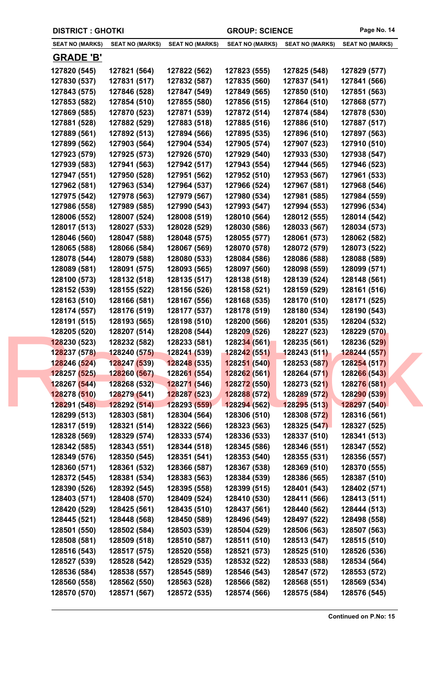| <b>DISTRICT: GHOTKI</b>      |                              |                                  | <b>GROUP: SCIENCE</b>       |                              | Page No. 14                  |
|------------------------------|------------------------------|----------------------------------|-----------------------------|------------------------------|------------------------------|
| <b>SEAT NO (MARKS)</b>       | <b>SEAT NO (MARKS)</b>       | <b>SEAT NO (MARKS)</b>           | <b>SEAT NO (MARKS)</b>      | <b>SEAT NO (MARKS)</b>       | <b>SEAT NO (MARKS)</b>       |
| <b>GRADE 'B'</b>             |                              |                                  |                             |                              |                              |
| 127820 (545)                 | 127821 (564)                 | 127822 (562)                     | 127823 (555)                | 127825 (548)                 | 127829 (577)                 |
| 127830 (537)                 | 127831 (517)                 | 127832 (587)                     | 127835 (560)                | 127837 (541)                 | 127841 (566)                 |
| 127843 (575)                 | 127846 (528)                 | 127847 (549)                     | 127849 (565)                | 127850 (510)                 | 127851 (563)                 |
| 127853 (582)                 | 127854 (510)                 | 127855 (580)                     | 127856 (515)                | 127864 (510)                 | 127868 (577)                 |
| 127869 (585)                 | 127870 (523)                 | 127871 (539)                     | 127872 (514)                | 127874 (584)                 | 127878 (530)                 |
| 127881 (528)                 | 127882 (529)                 | 127883 (518)                     | 127885 (516)                | 127886 (510)                 | 127887 (517)                 |
| 127889 (561)                 | 127892 (513)                 | 127894 (566)                     | 127895 (535)                | 127896 (510)                 | 127897 (563)                 |
| 127899 (562)                 | 127903 (564)                 | 127904 (534)                     | 127905 (574)                | 127907 (523)                 | 127910 (510)                 |
| 127923 (579)                 | 127925 (573)                 | 127926 (570)                     | 127929 (540)                | 127933 (530)                 | 127938 (547)                 |
| 127939 (583)                 | 127941 (563)                 | 127942 (517)                     | 127943 (554)                | 127944 (565)                 | 127946 (523)                 |
| 127947 (551)                 | 127950 (528)                 | 127951 (562)                     | 127952 (510)                | 127953 (567)                 | 127961 (533)                 |
| 127962 (581)                 | 127963 (534)                 | 127964 (537)                     | 127966 (524)                | 127967 (581)                 | 127968 (546)                 |
| 127975 (542)                 | 127978 (563)                 | 127979 (567)                     | 127980 (534)                | 127981 (585)                 | 127984 (559)                 |
| 127986 (558)                 | 127989 (585)                 | 127990 (543)                     | 127993 (547)                | 127994 (553)                 | 127996 (534)                 |
| 128006 (552)                 | 128007 (524)                 | 128008 (519)                     | 128010 (564)                | 128012 (555)                 | 128014 (542)                 |
| 128017 (513)                 | 128027 (533)                 | 128028 (529)                     | 128030 (586)                | 128033 (567)                 | 128034 (573)                 |
| 128046 (560)                 | 128047 (588)                 | 128048 (575)                     | 128055 (577)                | 128061 (573)                 | 128062 (582)                 |
| 128065 (588)                 | 128066 (584)                 | 128067 (569)                     | 128070 (578)                | 128072 (579)                 | 128073 (522)                 |
| 128078 (544)                 | 128079 (588)                 | 128080 (533)                     | 128084 (586)                | 128086 (588)                 | 128088 (589)                 |
| 128089 (581)                 | 128091 (575)                 | 128093 (565)                     | 128097 (560)                | 128098 (559)                 | 128099 (571)                 |
| 128100 (573)                 | 128132 (518)                 | 128135 (517)                     | 128138 (518)                | 128139 (524)                 | 128148 (561)                 |
| 128152 (539)                 | 128155 (522)                 | 128156 (526)                     | 128158 (521)                | 128159 (529)                 | 128161 (516)                 |
| 128163 (510)                 | 128166 (581)                 | 128167 (556)                     | 128168 (535)                | 128170 (510)                 | 128171 (525)                 |
| 128174 (557)                 | 128176 (519)                 | 128177 (537)                     | 128178 (519)                | 128180 (534)                 | 128190 (543)                 |
| 128191 (515)                 | 128193 (565)                 | 128198 (510)                     | 128200 (566)                | 128201 (535)                 | 128204 (532)                 |
| 128205 (520)                 | 128207 (514)                 | 128208 (544)                     | 128209 (526)                | 128227 (523)                 | 128229 (570)                 |
| 128230 (523)<br>128237 (578) | 128232 (582)<br>128240 (575) | 128233 (581)<br>128241 (539)     | 128234(561)<br>128242 (551) | 128235 (561)<br>128243 (511) | 128236 (529)<br>128244 (557) |
| 128246 (524)                 | 128247 (539)                 | <b>12824<mark>8</mark></b> (535) | 128251 (540)                | 128253 (587)                 | 128254 (517)                 |
| 128257 (525)                 | 128260 (567)                 | 12826 <mark>1 (</mark> 554)      | 128262 (561)                | 128264 (571)                 | 128266 (543)                 |
| 128267 (544)                 | 128268 (532)                 | 128271 (546)                     | 128272 (550)                | 128273 (521)                 | 128276 (581)                 |
| 128278 (510)                 | 128279 (541)                 | 128287 (523)                     | 128288 (572)                | 128289 (572)                 | 128290 (539)                 |
| 128291 (548)                 | 128292 (514)                 | 128293 (559)                     | 128294 (562)                | 128295 (513)                 | 128297 (540)                 |
| 128299 (513)                 | 128303 (581)                 | 128304 (564)                     | 128306 (510)                | 128308 (572)                 | 128316 (561)                 |
| 128317 (519)                 | 128321 (514)                 | 128322 (566)                     | 128323 (563)                | 128325 (547)                 | 128327 (525)                 |
| 128328 (569)                 | 128329 (574)                 | 128333 (574)                     | 128336 (533)                | 128337 (510)                 | 128341 (513)                 |
| 128342 (585)                 | 128343 (551)                 | 128344 (518)                     | 128345 (586)                | 128346 (551)                 | 128347 (552)                 |
| 128349 (576)                 | 128350 (545)                 | 128351 (541)                     | 128353 (540)                | 128355 (531)                 | 128356 (557)                 |
| 128360 (571)                 | 128361 (532)                 | 128366 (587)                     | 128367 (538)                | 128369 (510)                 | 128370 (555)                 |
| 128372 (545)                 | 128381 (534)                 | 128383 (563)                     | 128384 (539)                | 128386 (565)                 | 128387 (510)                 |
| 128390 (526)                 | 128392 (545)                 | 128395 (558)                     | 128399 (515)                | 128401 (543)                 | 128402 (571)                 |
| 128403 (571)                 | 128408 (570)                 | 128409 (524)                     | 128410 (530)                | 128411 (566)                 | 128413 (511)                 |
| 128420 (529)                 | 128425 (561)                 | 128435 (510)                     | 128437 (561)                | 128440 (562)                 | 128444 (513)                 |
| 128445 (521)                 | 128448 (568)                 | 128450 (589)                     | 128496 (549)                | 128497 (522)                 | 128498 (558)                 |
| 128501 (550)                 | 128502 (584)                 | 128503 (539)                     | 128504 (529)                | 128506 (563)                 | 128507 (563)                 |
| 128508 (581)                 | 128509 (518)                 | 128510 (587)                     | 128511 (510)                | 128513 (547)                 | 128515 (510)                 |
| 128516 (543)                 | 128517 (575)                 | 128520 (558)                     | 128521 (573)                | 128525 (510)                 | 128526 (536)                 |
| 128527 (539)                 | 128528 (542)                 | 128529 (535)                     | 128532 (522)                | 128533 (588)                 | 128534 (564)                 |
| 128536 (584)                 | 128538 (557)                 | 128545 (589)                     | 128546 (543)                | 128547 (572)                 | 128553 (572)                 |
| 128560 (558)                 | 128562 (550)                 | 128563 (528)                     | 128566 (582)                | 128568 (551)                 | 128569 (534)                 |
| 128570 (570)                 | 128571 (567)                 | 128572 (535)                     | 128574 (566)                | 128575 (584)                 | 128576 (545)                 |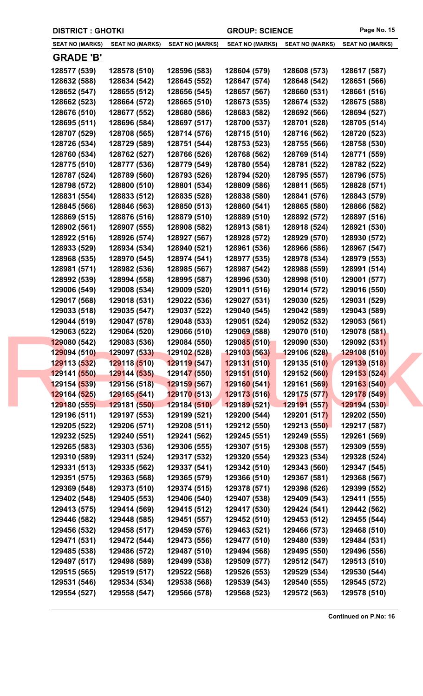| <b>DISTRICT: GHOTKI</b> |                        |                             | <b>GROUP: SCIENCE</b>  |                        | Page No. 15            |
|-------------------------|------------------------|-----------------------------|------------------------|------------------------|------------------------|
| <b>SEAT NO (MARKS)</b>  | <b>SEAT NO (MARKS)</b> | <b>SEAT NO (MARKS)</b>      | <b>SEAT NO (MARKS)</b> | <b>SEAT NO (MARKS)</b> | <b>SEAT NO (MARKS)</b> |
| <b>GRADE 'B'</b>        |                        |                             |                        |                        |                        |
| 128577 (539)            | 128578 (510)           | 128596 (583)                | 128604 (579)           | 128608 (573)           | 128617 (587)           |
| 128632 (588)            | 128634 (542)           | 128645 (552)                | 128647 (574)           | 128648 (542)           | 128651 (566)           |
| 128652 (547)            | 128655 (512)           | 128656 (545)                | 128657 (567)           | 128660 (531)           | 128661 (516)           |
| 128662 (523)            | 128664 (572)           | 128665 (510)                | 128673 (535)           | 128674 (532)           | 128675 (588)           |
| 128676 (510)            | 128677 (552)           | 128680 (586)                | 128683 (582)           | 128692 (566)           | 128694 (527)           |
| 128695 (511)            | 128696 (584)           | 128697 (517)                | 128700 (537)           | 128701 (528)           | 128705 (514)           |
| 128707 (529)            | 128708 (565)           | 128714 (576)                | 128715 (510)           | 128716 (562)           | 128720 (523)           |
| 128726 (534)            | 128729 (589)           | 128751 (544)                | 128753 (523)           | 128755 (566)           | 128758 (530)           |
| 128760 (534)            | 128762 (527)           | 128766 (526)                | 128768 (562)           | 128769 (514)           | 128771 (559)           |
| 128775 (510)            | 128777 (536)           | 128779 (549)                | 128780 (554)           | 128781 (522)           | 128782 (522)           |
| 128787 (524)            | 128789 (560)           | 128793 (526)                | 128794 (520)           | 128795 (557)           | 128796 (575)           |
| 128798 (572)            | 128800 (510)           | 128801 (534)                | 128809 (586)           | 128811 (565)           | 128828 (571)           |
| 128831 (554)            | 128833 (512)           | 128835 (528)                | 128838 (580)           | 128841 (576)           | 128843 (579)           |
| 128845 (566)            | 128846 (563)           | 128850 (513)                | 128860 (541)           | 128865 (580)           | 128866 (582)           |
| 128869 (515)            | 128876 (516)           | 128879 (510)                | 128889 (510)           | 128892 (572)           | 128897 (516)           |
| 128902 (561)            | 128907 (555)           | 128908 (582)                | 128913 (581)           | 128918 (524)           | 128921 (530)           |
| 128922 (516)            | 128926 (574)           | 128927 (567)                | 128928 (572)           | 128929 (570)           | 128930 (572)           |
| 128933 (529)            | 128934 (534)           | 128940 (521)                | 128961 (536)           | 128966 (586)           | 128967 (547)           |
| 128968 (535)            | 128970 (545)           | 128974 (541)                | 128977 (535)           | 128978 (534)           | 128979 (553)           |
| 128981 (571)            | 128982 (536)           | 128985 (567)                | 128987 (542)           | 128988 (559)           | 128991 (514)           |
| 128992 (539)            | 128994 (558)           | 128995 (587)                | 128996 (530)           | 128998 (510)           | 129001 (577)           |
| 129006 (549)            | 129008 (534)           | 129009 (520)                | 129011 (516)           | 129014 (572)           | 129016 (550)           |
| 129017 (568)            | 129018 (531)           | 129022 (536)                | 129027 (531)           | 129030 (525)           | 129031 (529)           |
| 129033 (518)            | 129035 (547)           | 129037 (522)                | 129040 (545)           | 129042 (589)           | 129043 (589)           |
| 129044 (519)            | 129047 (578)           | 129048 (533)                | 129051 (524)           | 129052 (532)           | 129053 (561)           |
| 129063 (522)            | 129064 (520)           | 129066 (510)                | 129069 (588)           | 129070 (510)           | 129078 (581)           |
| 129080 (542)            | 129083 (536)           | 129084 (550)                | 129085(510)            | 129090 (530)           | 129092 (531)           |
| 129094 (510)            | 129097 (533)           | 129102 (528)                | 129103 (563)           | 129106 (528)           | 129108 (510)           |
| 129113 (532)            | 129118 (510)           | <mark>129119 (547)</mark>   | 129131 (510)           | 129135 (510)           | 129139 (518)           |
| 129141 (550)            | 129144 (535)           | 12914 <mark>7 (</mark> 550) | 129151 (510)           | 129152 (560)           | 129153 (524)           |
| 129154 (539)            | 129156 (518)           | 129159 (567)                | 129160(541)            | 129161 (569)           | 129163 (540)           |
| 129164 (525)            | 129165 (541)           | 129170 (513)                | 129173 (516)           | 129175 (577)           | 129178 (549)           |
| 129180 (555)            | 129181 (550)           | 129184 (510)                | 129189 (521)           | 129191 (557)           | 129194 (530)           |
| 129196 (511)            | 129197 (553)           | 129199 (521)                | 129200 (544)           | 129201 (517)           | 129202 (550)           |
| 129205 (522)            | 129206 (571)           | 129208 (511)                | 129212 (550)           | 129213 (550)           | 129217 (587)           |
| 129232 (525)            | 129240 (551)           | 129241 (562)                | 129245 (551)           | 129249 (555)           | 129261 (569)           |
| 129265 (583)            | 129303 (536)           | 129306 (555)                | 129307 (515)           | 129308 (557)           | 129309 (559)           |
| 129310 (589)            | 129311 (524)           | 129317 (532)                | 129320 (554)           | 129323 (534)           | 129328 (524)           |
| 129331 (513)            | 129335 (562)           | 129337 (541)                | 129342 (510)           | 129343 (560)           | 129347 (545)           |
| 129351 (575)            | 129363 (568)           | 129365 (579)                | 129366 (510)           | 129367 (581)           | 129368 (567)           |
| 129369 (548)            | 129373 (510)           | 129374 (515)                | 129378 (571)           | 129398 (526)           | 129399 (552)           |
| 129402 (548)            | 129405 (553)           | 129406 (540)                | 129407 (538)           | 129409 (543)           | 129411 (555)           |
| 129413 (575)            | 129414 (569)           | 129415 (512)                | 129417 (530)           | 129424 (541)           | 129442 (562)           |
| 129446 (582)            | 129448 (585)           | 129451 (557)                | 129452 (510)           | 129453 (512)           | 129455 (544)           |
| 129456 (532)            | 129458 (517)           | 129459 (576)                | 129463 (521)           | 129466 (573)           | 129468 (510)           |
| 129471 (531)            | 129472 (544)           | 129473 (556)                | 129477 (510)           | 129480 (539)           | 129484 (531)           |
| 129485 (538)            | 129486 (572)           | 129487 (510)                | 129494 (568)           | 129495 (550)           | 129496 (556)           |
| 129497 (517)            | 129498 (589)           | 129499 (538)                | 129509 (577)           | 129512 (547)           | 129513 (510)           |
| 129515 (565)            | 129519 (517)           | 129522 (568)                | 129526 (553)           | 129529 (534)           | 129530 (544)           |
| 129531 (546)            | 129534 (534)           | 129538 (568)                | 129539 (543)           | 129540 (555)           | 129545 (572)           |
| 129554 (527)            | 129558 (547)           | 129566 (578)                | 129568 (523)           | 129572 (563)           | 129578 (510)           |
|                         |                        |                             |                        |                        |                        |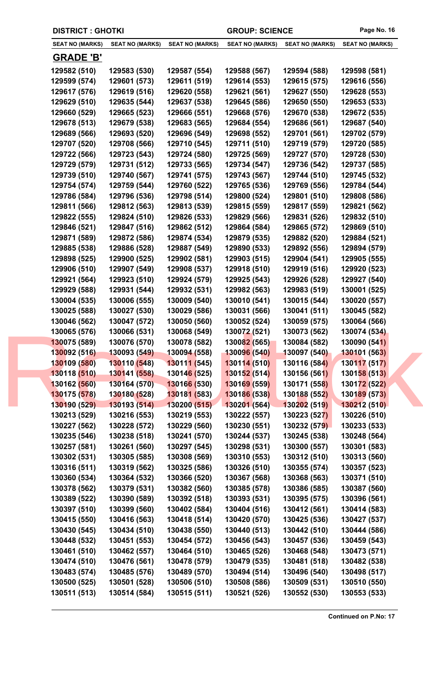| <b>DISTRICT : GHOTKI</b>     |                              |                              | <b>GROUP: SCIENCE</b>        |                              | Page No. 16                  |
|------------------------------|------------------------------|------------------------------|------------------------------|------------------------------|------------------------------|
| <b>SEAT NO (MARKS)</b>       | <b>SEAT NO (MARKS)</b>       | <b>SEAT NO (MARKS)</b>       | <b>SEAT NO (MARKS)</b>       | <b>SEAT NO (MARKS)</b>       | <b>SEAT NO (MARKS)</b>       |
| <b>GRADE 'B'</b>             |                              |                              |                              |                              |                              |
| 129582 (510)                 | 129583 (530)                 | 129587 (554)                 | 129588 (567)                 | 129594 (588)                 | 129598 (581)                 |
| 129599 (574)                 | 129601 (573)                 | 129611 (519)                 | 129614 (553)                 | 129615 (575)                 | 129616 (556)                 |
| 129617 (576)                 | 129619 (516)                 | 129620 (558)                 | 129621 (561)                 | 129627 (550)                 | 129628 (553)                 |
| 129629 (510)                 | 129635 (544)                 | 129637 (538)                 | 129645 (586)                 | 129650 (550)                 | 129653 (533)                 |
| 129660 (529)                 | 129665 (523)                 | 129666 (551)                 | 129668 (576)                 | 129670 (538)                 | 129672 (535)                 |
| 129678 (513)                 | 129679 (538)                 | 129683 (565)                 | 129684 (554)                 | 129686 (561)                 | 129687 (540)                 |
| 129689 (566)                 | 129693 (520)                 | 129696 (549)                 | 129698 (552)                 | 129701 (561)                 | 129702 (579)                 |
| 129707 (520)                 | 129708 (566)                 | 129710 (545)                 | 129711 (510)                 | 129719 (579)                 | 129720 (585)                 |
| 129722 (566)                 | 129723 (543)                 | 129724 (580)                 | 129725 (569)                 | 129727 (570)                 | 129728 (530)                 |
| 129729 (579)                 | 129731 (512)                 | 129733 (565)                 | 129734 (547)                 | 129736 (542)                 | 129737 (585)                 |
| 129739 (510)                 | 129740 (567)                 | 129741 (575)                 | 129743 (567)                 | 129744 (510)                 | 129745 (532)                 |
| 129754 (574)                 | 129759 (544)                 | 129760 (522)                 | 129765 (536)                 | 129769 (556)                 | 129784 (544)                 |
| 129786 (584)                 | 129796 (536)                 | 129798 (514)                 | 129800 (524)                 | 129801 (510)                 | 129808 (586)                 |
| 129811 (566)                 | 129812 (563)                 | 129813 (539)                 | 129815 (559)                 | 129817 (559)                 | 129821 (562)                 |
| 129822 (555)                 | 129824 (510)                 | 129826 (533)                 | 129829 (566)                 | 129831 (526)                 | 129832 (510)                 |
| 129846 (521)                 | 129847 (516)                 | 129862 (512)                 | 129864 (584)                 | 129865 (572)                 | 129869 (510)                 |
| 129871 (589)                 | 129872 (586)                 | 129874 (534)                 | 129879 (535)                 | 129882 (520)                 | 129884 (521)                 |
| 129885 (538)                 | 129886 (528)                 | 129887 (549)                 | 129890 (533)                 | 129892 (556)                 | 129894 (579)                 |
| 129898 (525)                 | 129900 (525)                 | 129902 (581)                 | 129903 (515)                 | 129904 (541)                 | 129905 (555)                 |
| 129906 (510)                 | 129907 (549)                 | 129908 (537)                 | 129918 (510)                 | 129919 (516)                 | 129920 (523)                 |
| 129921 (564)                 | 129923 (510)                 | 129924 (579)                 | 129925 (543)                 | 129926 (528)                 | 129927 (540)                 |
| 129929 (588)                 | 129931 (544)                 | 129932 (531)                 | 129982 (563)                 | 129983 (519)                 | 130001 (525)                 |
| 130004 (535)                 | 130006 (555)                 | 130009 (540)                 | 130010 (541)                 | 130015 (544)                 | 130020 (557)                 |
| 130025 (588)                 | 130027 (530)                 | 130029 (586)                 | 130031 (566)                 | 130041 (511)                 | 130045 (582)                 |
| 130046 (562)                 | 130047 (572)                 | 130050 (560)                 | 130052 (524)                 | 130059 (575)                 | 130064 (566)                 |
| 130065 (576)                 | 130066 (531)                 | 130068 (549)                 | 130072 (521)                 | 130073 (562)                 | 130074 (534)                 |
| 130075 (589)                 | 130076 (570)                 | 130078 (582)                 | 130082 (565)                 | 130084 (582)                 | 130090 (541)                 |
| 130092 (516)                 | 130093 (549)                 | 130094 (558)                 | 130096 (540)                 | 130097 (540)                 | 130101 (563)                 |
| 130109 (580)                 | 130110 (548)                 | 130111 (545)                 | 130114 (510)                 | 130116 (584)                 | 130117 (517)                 |
| 130118 (510)                 | 130141 (558)                 | 13014 <mark>6 (</mark> 525)  | 130152(514)                  | 130156 (561)                 | 130158 (513)                 |
| 130162 (560)                 | 130164 (570)                 | 130166 (530)                 | 130169 (559)                 | 130171 (558)                 | 130172 (522)                 |
| 130175 (578)                 | 130180 (528)                 | 130181 (583)                 | 130186 (538)                 | 130188 (552)                 | 130189 (573)                 |
| 130190 (529)                 | 130193 (514)                 | 130200 (515)                 | 130201(564)                  | 130202 (519)                 | 130212 (510)                 |
| 130213 (529)                 | 130216 (553)                 | 130219 (553)                 | 130222 (557)                 | 130223 (527)                 | 130226 (510)                 |
| 130227 (562)                 | 130228 (572)                 | 130229 (560)                 | 130230 (551)                 | 130232 (579)                 | 130233 (533)                 |
| 130235 (546)                 | 130238 (518)                 | 130241 (570)                 | 130244 (537)                 | 130245 (538)                 | 130248 (564)                 |
| 130257 (581)                 | 130261 (560)                 | 130297 (545)                 | 130298 (531)                 | 130300 (557)                 | 130301 (583)                 |
| 130302 (531)                 | 130305 (585)                 | 130308 (569)                 | 130310 (553)                 | 130312 (510)                 | 130313 (560)                 |
| 130316 (511)                 | 130319 (562)                 | 130325 (586)                 | 130326 (510)                 | 130355 (574)                 | 130357 (523)                 |
| 130360 (534)                 | 130364 (532)                 | 130366 (520)                 | 130367 (568)                 | 130368 (563)                 | 130371 (510)                 |
| 130378 (562)                 | 130379 (531)                 | 130382 (560)                 | 130385 (578)                 | 130386 (585)                 | 130387 (560)                 |
| 130389 (522)                 | 130390 (589)                 | 130392 (518)                 | 130393 (531)                 | 130395 (575)                 | 130396 (561)                 |
| 130397 (510)                 | 130399 (560)                 | 130402 (584)                 | 130404 (516)                 | 130412 (561)                 | 130414 (583)                 |
| 130415 (550)<br>130430 (545) | 130416 (563)<br>130434 (510) | 130418 (514)<br>130438 (550) | 130420 (570)<br>130440 (513) | 130425 (536)<br>130442 (510) | 130427 (537)<br>130444 (586) |
| 130448 (532)                 | 130451 (553)                 | 130454 (572)                 | 130456 (543)                 | 130457 (536)                 | 130459 (543)                 |
| 130461 (510)                 | 130462 (557)                 | 130464 (510)                 | 130465 (526)                 | 130468 (548)                 | 130473 (571)                 |
| 130474 (510)                 | 130476 (561)                 | 130478 (579)                 | 130479 (535)                 | 130481 (518)                 | 130482 (538)                 |
| 130483 (574)                 | 130485 (576)                 | 130489 (570)                 | 130494 (514)                 | 130496 (540)                 | 130498 (517)                 |
| 130500 (525)                 | 130501 (528)                 | 130506 (510)                 | 130508 (586)                 | 130509 (531)                 | 130510 (550)                 |
| 130511 (513)                 | 130514 (584)                 | 130515 (511)                 | 130521 (526)                 | 130552 (530)                 | 130553 (533)                 |
|                              |                              |                              |                              |                              |                              |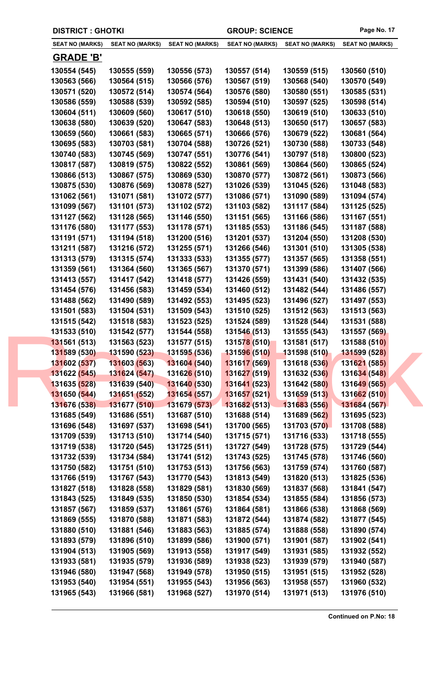|  | <b>DISTRICT : GHOTKI</b>     |                              |                              | <b>GROUP: SCIENCE</b>        |                              | Page No. 17                  |
|--|------------------------------|------------------------------|------------------------------|------------------------------|------------------------------|------------------------------|
|  | <b>SEAT NO (MARKS)</b>       | <b>SEAT NO (MARKS)</b>       | <b>SEAT NO (MARKS)</b>       | <b>SEAT NO (MARKS)</b>       | <b>SEAT NO (MARKS)</b>       | <b>SEAT NO (MARKS)</b>       |
|  | <b>GRADE 'B'</b>             |                              |                              |                              |                              |                              |
|  | 130554 (545)                 | 130555 (559)                 | 130556 (573)                 | 130557 (514)                 | 130559 (515)                 | 130560 (510)                 |
|  | 130563 (566)                 | 130564 (515)                 | 130566 (576)                 | 130567 (519)                 | 130568 (540)                 | 130570 (549)                 |
|  | 130571 (520)                 | 130572 (514)                 | 130574 (564)                 | 130576 (580)                 | 130580 (551)                 | 130585 (531)                 |
|  | 130586 (559)                 | 130588 (539)                 | 130592 (585)                 | 130594 (510)                 | 130597 (525)                 | 130598 (514)                 |
|  | 130604 (511)                 | 130609 (560)                 | 130617 (510)                 | 130618 (550)                 | 130619 (510)                 | 130633 (510)                 |
|  | 130638 (580)                 | 130639 (520)                 | 130647 (583)                 | 130648 (513)                 | 130650 (517)                 | 130657 (583)                 |
|  | 130659 (560)                 | 130661 (583)                 | 130665 (571)                 | 130666 (576)                 | 130679 (522)                 | 130681 (564)                 |
|  | 130695 (583)                 | 130703 (581)                 | 130704 (588)                 | 130726 (521)                 | 130730 (588)                 | 130733 (548)                 |
|  | 130740 (583)                 | 130745 (569)                 | 130747 (551)                 | 130776 (541)                 | 130797 (518)                 | 130800 (523)                 |
|  | 130817 (587)                 | 130819 (575)                 | 130822 (552)                 | 130861 (569)                 | 130864 (560)                 | 130865 (524)                 |
|  | 130866 (513)                 | 130867 (575)                 | 130869 (530)                 | 130870 (577)                 | 130872 (561)                 | 130873 (566)                 |
|  | 130875 (530)                 | 130876 (569)                 | 130878 (527)                 | 131026 (539)                 | 131045 (526)                 | 131048 (583)                 |
|  | 131062 (561)                 | 131071 (581)                 | 131072 (577)                 | 131086 (571)                 | 131090 (589)                 | 131094 (574)                 |
|  | 131099 (567)                 | 131101 (573)                 | 131102 (572)                 | 131103 (582)                 | 131117 (584)                 | 131125 (525)                 |
|  | 131127 (562)                 | 131128 (565)                 | 131146 (550)                 | 131151 (565)                 | 131166 (586)                 | 131167 (551)                 |
|  | 131176 (580)                 | 131177 (553)                 | 131178 (571)                 | 131185 (553)                 | 131186 (545)                 | 131187 (588)                 |
|  | 131191 (571)                 | 131194 (518)                 | 131200 (516)                 | 131201 (537)                 | 131204 (550)                 | 131208 (530)                 |
|  | 131211 (587)                 | 131216 (572)                 | 131255 (571)                 | 131266 (546)                 | 131301 (510)                 | 131305 (538)                 |
|  | 131313 (579)                 | 131315 (574)                 | 131333 (533)                 | 131355 (577)                 | 131357 (565)                 | 131358 (551)                 |
|  | 131359 (561)                 | 131364 (560)                 | 131365 (567)                 | 131370 (571)                 | 131399 (586)                 | 131407 (566)                 |
|  | 131413 (557)                 | 131417 (542)                 | 131418 (577)                 | 131426 (559)                 | 131431 (540)                 | 131432 (535)                 |
|  | 131454 (576)                 | 131456 (583)                 | 131459 (534)                 | 131460 (512)                 | 131482 (544)                 | 131486 (557)                 |
|  | 131488 (562)                 | 131490 (589)                 | 131492 (553)                 | 131495 (523)                 | 131496 (527)                 | 131497 (553)                 |
|  | 131501 (583)                 | 131504 (531)                 | 131509 (543)                 | 131510 (525)                 | 131512 (563)                 | 131513 (563)                 |
|  | 131515 (542)<br>131533 (510) | 131518 (583)<br>131542 (577) | 131523 (525)<br>131544 (558) | 131524 (589)<br>131546 (513) | 131528 (544)<br>131555 (543) | 131531 (588)<br>131557 (569) |
|  | 131561 (513)                 | 131563 (523)                 | 131577 (515)                 | 131578 (510)                 | 131581 (517)                 | 131588 (510)                 |
|  | 131589 (530)                 | 131590 (523)                 | 131595 (536)                 | 131596 (510)                 | 131598 (510)                 | 131599 (528)                 |
|  | 131602 (537)                 | 131603 (563)                 | 131604 (540)                 | 131617 (569)                 | 131618 (536)                 | 131621 (585)                 |
|  | 131622 (545)                 | 131624 (547)                 | 13162 <mark>6 (</mark> 510)  | 131627 (519)                 | 131632 (536)                 | 131634 (548)                 |
|  | 131635 (528)                 | 131639 (540)                 | 131640 (530)                 | 131641 (523)                 | 131642 (580)                 | 131649 (565)                 |
|  | 131650 (544)                 | 131651 (552)                 | 131654 (557)                 | 131657 (521)                 | 131659 (513)                 | 131662 (510)                 |
|  | 131676 (538)                 | 131677 (510)                 | 131679 (573)                 | 131682(513)                  | 131683 (556)                 | 131684 (567)                 |
|  | 131685 (549)                 | 131686 (551)                 | 131687 (510)                 | 131688 (514)                 | 131689 (562)                 | 131695 (523)                 |
|  | 131696 (548)                 | 131697 (537)                 | 131698 (541)                 | 131700 (565)                 | 131703 (570)                 | 131708 (588)                 |
|  | 131709 (539)                 | 131713 (510)                 | 131714 (540)                 | 131715 (571)                 | 131716 (533)                 | 131718 (555)                 |
|  | 131719 (538)                 | 131720 (545)                 | 131725 (511)                 | 131727 (549)                 | 131728 (575)                 | 131729 (544)                 |
|  | 131732 (539)                 | 131734 (584)                 | 131741 (512)                 | 131743 (525)                 | 131745 (578)                 | 131746 (560)                 |
|  | 131750 (582)                 | 131751 (510)                 | 131753 (513)                 | 131756 (563)                 | 131759 (574)                 | 131760 (587)                 |
|  | 131766 (519)                 | 131767 (543)                 | 131770 (543)                 | 131813 (549)                 | 131820 (513)                 | 131825 (536)                 |
|  | 131827 (518)                 | 131828 (558)                 | 131829 (581)                 | 131830 (569)                 | 131837 (568)                 | 131841 (547)                 |
|  | 131843 (525)                 | 131849 (535)                 | 131850 (530)                 | 131854 (534)                 | 131855 (584)                 | 131856 (573)                 |
|  | 131857 (567)                 | 131859 (537)                 | 131861 (576)                 | 131864 (581)                 | 131866 (538)                 | 131868 (569)                 |
|  | 131869 (555)                 | 131870 (588)                 | 131871 (583)                 | 131872 (544)                 | 131874 (582)                 | 131877 (545)                 |
|  | 131880 (510)                 | 131881 (546)                 | 131883 (563)                 | 131885 (574)                 | 131888 (558)                 | 131890 (574)                 |
|  | 131893 (579)                 | 131896 (510)                 | 131899 (586)                 | 131900 (571)                 | 131901 (587)                 | 131902 (541)                 |
|  | 131904 (513)<br>131933 (581) | 131905 (569)<br>131935 (579) | 131913 (558)<br>131936 (589) | 131917 (549)<br>131938 (523) | 131931 (585)<br>131939 (579) | 131932 (552)<br>131940 (587) |
|  | 131946 (580)                 | 131947 (568)                 | 131949 (578)                 | 131950 (515)                 | 131951 (515)                 | 131952 (528)                 |
|  | 131953 (540)                 | 131954 (551)                 | 131955 (543)                 | 131956 (563)                 | 131958 (557)                 | 131960 (532)                 |
|  | 131965 (543)                 | 131966 (581)                 | 131968 (527)                 | 131970 (514)                 | 131971 (513)                 | 131976 (510)                 |
|  |                              |                              |                              |                              |                              |                              |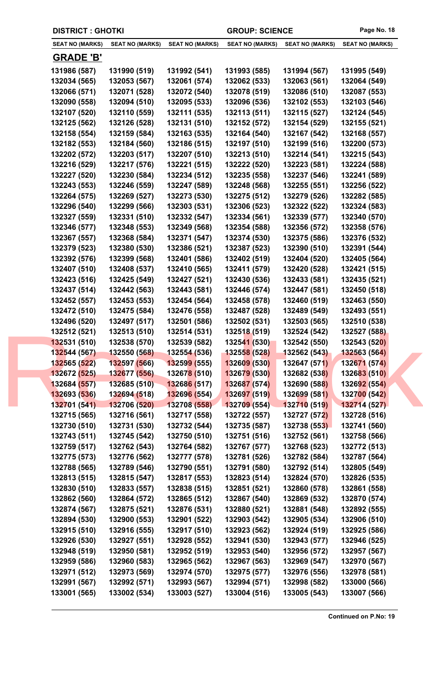| <b>DISTRICT: GHOTKI</b> |                        |                                  | <b>GROUP: SCIENCE</b>  |                        | Page No. 18            |
|-------------------------|------------------------|----------------------------------|------------------------|------------------------|------------------------|
| <b>SEAT NO (MARKS)</b>  | <b>SEAT NO (MARKS)</b> | <b>SEAT NO (MARKS)</b>           | <b>SEAT NO (MARKS)</b> | <b>SEAT NO (MARKS)</b> | <b>SEAT NO (MARKS)</b> |
| <b>GRADE 'B'</b>        |                        |                                  |                        |                        |                        |
| 131986 (587)            | 131990 (519)           | 131992 (541)                     | 131993 (585)           | 131994 (567)           | 131995 (549)           |
| 132034 (565)            | 132053 (567)           | 132061 (574)                     | 132062 (533)           | 132063 (561)           | 132064 (549)           |
| 132066 (571)            | 132071 (528)           | 132072 (540)                     | 132078 (519)           | 132086 (510)           | 132087 (553)           |
| 132090 (558)            | 132094 (510)           | 132095 (533)                     | 132096 (536)           | 132102 (553)           | 132103 (546)           |
| 132107 (520)            | 132110 (559)           | 132111 (535)                     | 132113 (511)           | 132115 (527)           | 132124 (545)           |
| 132125 (562)            | 132126 (528)           | 132131 (510)                     | 132152 (572)           | 132154 (529)           | 132155 (521)           |
| 132158 (554)            | 132159 (584)           | 132163 (535)                     | 132164 (540)           | 132167 (542)           | 132168 (557)           |
| 132182 (553)            | 132184 (560)           | 132186 (515)                     | 132197 (510)           | 132199 (516)           | 132200 (573)           |
| 132202 (572)            | 132203 (517)           | 132207 (510)                     | 132213 (510)           | 132214 (541)           | 132215 (543)           |
| 132216 (529)            | 132217 (576)           | 132221 (515)                     | 132222 (520)           | 132223 (581)           | 132224 (588)           |
| 132227 (520)            | 132230 (584)           | 132234 (512)                     | 132235 (558)           | 132237 (546)           | 132241 (589)           |
| 132243 (553)            | 132246 (559)           | 132247 (589)                     | 132248 (568)           | 132255 (551)           | 132256 (522)           |
| 132264 (575)            | 132269 (527)           | 132273 (530)                     | 132275 (512)           | 132279 (526)           | 132282 (585)           |
| 132296 (540)            | 132299 (566)           | 132303 (531)                     | 132306 (523)           | 132322 (522)           | 132324 (583)           |
| 132327 (559)            | 132331 (510)           | 132332 (547)                     | 132334 (561)           | 132339 (577)           | 132340 (570)           |
| 132346 (577)            | 132348 (553)           | 132349 (568)                     | 132354 (588)           | 132356 (572)           | 132358 (576)           |
| 132367 (557)            | 132368 (584)           | 132371 (547)                     | 132374 (530)           | 132375 (586)           | 132376 (532)           |
| 132379 (523)            | 132380 (530)           | 132386 (521)                     | 132387 (523)           | 132390 (510)           | 132391 (544)           |
| 132392 (576)            | 132399 (568)           | 132401 (586)                     | 132402 (519)           | 132404 (520)           | 132405 (564)           |
| 132407 (510)            | 132408 (537)           | 132410 (565)                     | 132411 (579)           | 132420 (528)           | 132421 (515)           |
| 132423 (516)            | 132425 (549)           | 132427 (521)                     | 132430 (536)           | 132433 (581)           | 132435 (521)           |
| 132437 (514)            | 132442 (563)           | 132443 (581)                     | 132446 (574)           | 132447 (581)           | 132450 (518)           |
| 132452 (557)            | 132453 (553)           | 132454 (564)                     | 132458 (578)           | 132460 (519)           | 132463 (550)           |
| 132472 (510)            | 132475 (584)           | 132476 (558)                     | 132487 (528)           | 132489 (549)           | 132493 (551)           |
| 132496 (520)            | 132497 (517)           | 132501 (586)                     | 132502 (531)           | 132503 (565)           | 132510 (538)           |
| 132512 (521)            | 132513 (510)           | 132514 (531)                     | 132518 (519)           | 132524 (542)           | 132527 (588)           |
| 132531 (510)            | 132538 (570)           | 132539 (582)                     | 132541(530)            | 132542 (550)           | 132543 (520)           |
| 132544 (567)            | 132550 (568)           | 132554 (536)                     | <b>132558 (528)</b>    | 132562 (543)           | <b>132563 (564)</b>    |
| 132565 (522)            | 132597 (566)           | <b>13259<mark>9</mark></b> (555) | 132609 (530)           | 132647 (571)           | 132671 (574)           |
| 132672 (525)            | 132677 (556)           | 13267 <mark>8 (</mark> 510)      | 132679 (530)           | 132682 (538)           | 132683 (510)           |
| 132684 (557)            | 132685 (510)           | 132686 (517)                     | 132687 (574)           | 132690 (588)           | 132692 (554)           |
| 132693 (536)            | 132694 (518)           | 132696 (554)                     | 132697 (519)           | 132699 (581)           | 132700 (542)           |
| 132701 (541)            | 132706 (520)           | 132708 (558)                     | 132709(554)            | 132710 (519)           | 132714 (527)           |
| 132715 (565)            | 132716 (561)           | 132717 (558)                     | 132722 (557)           | 132727 (572)           | 132728 (516)           |
| 132730 (510)            | 132731 (530)           | 132732 (544)                     | 132735 (587)           | 132738 (553)           | 132741 (560)           |
| 132743 (511)            | 132745 (542)           | 132750 (510)                     | 132751 (516)           | 132752 (561)           | 132758 (566)           |
| 132759 (517)            | 132762 (543)           | 132764 (582)                     | 132767 (577)           | 132768 (523)           | 132772 (513)           |
| 132775 (573)            | 132776 (562)           | 132777 (578)                     | 132781 (526)           | 132782 (584)           | 132787 (564)           |
| 132788 (565)            | 132789 (546)           | 132790 (551)                     | 132791 (580)           | 132792 (514)           | 132805 (549)           |
| 132813 (515)            | 132815 (547)           | 132817 (553)                     | 132823 (514)           | 132824 (570)           | 132826 (535)           |
| 132830 (510)            | 132833 (557)           | 132838 (515)                     | 132851 (521)           | 132860 (578)           | 132861 (558)           |
| 132862 (560)            | 132864 (572)           | 132865 (512)                     | 132867 (540)           | 132869 (532)           | 132870 (574)           |
| 132874 (567)            | 132875 (521)           | 132876 (531)                     | 132880 (521)           | 132881 (548)           | 132892 (555)           |
| 132894 (530)            | 132900 (553)           | 132901 (522)                     | 132903 (542)           | 132905 (534)           | 132906 (510)           |
| 132915 (510)            | 132916 (555)           | 132917 (510)                     | 132923 (562)           | 132924 (519)           | 132925 (586)           |
| 132926 (530)            | 132927 (551)           | 132928 (552)                     | 132941 (530)           | 132943 (577)           | 132946 (525)           |
| 132948 (519)            | 132950 (581)           | 132952 (519)                     | 132953 (540)           | 132956 (572)           | 132957 (567)           |
| 132959 (586)            | 132960 (583)           | 132965 (562)                     | 132967 (563)           | 132969 (547)           | 132970 (567)           |
| 132971 (512)            | 132973 (569)           | 132974 (570)                     | 132975 (577)           | 132976 (556)           | 132978 (581)           |
| 132991 (567)            | 132992 (571)           | 132993 (567)                     | 132994 (571)           | 132998 (582)           | 133000 (566)           |
| 133001 (565)            | 133002 (534)           | 133003 (527)                     | 133004 (516)           | 133005 (543)           | 133007 (566)           |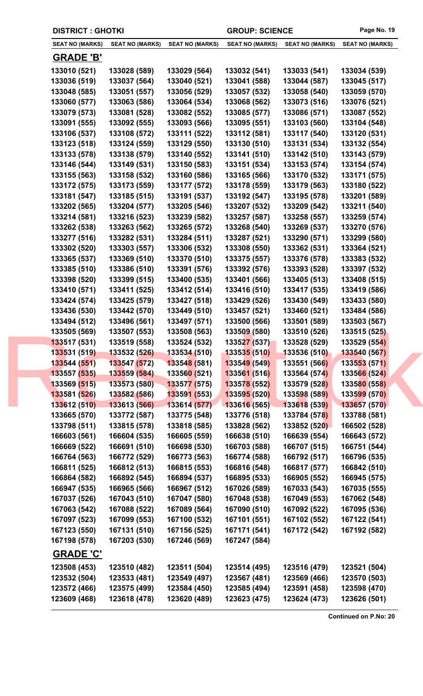| <b>DISTRICT : GHOTKI</b> |                              |                              |                              |                              | <b>GROUP: SCIENCE</b>        | Page No. 19                  |
|--------------------------|------------------------------|------------------------------|------------------------------|------------------------------|------------------------------|------------------------------|
|                          | <b>SEAT NO (MARKS)</b>       | <b>SEAT NO (MARKS)</b>       | <b>SEAT NO (MARKS)</b>       | <b>SEAT NO (MARKS)</b>       | <b>SEAT NO (MARKS)</b>       | <b>SEAT NO (MARKS)</b>       |
|                          | <b>GRADE 'B'</b>             |                              |                              |                              |                              |                              |
|                          | 133010 (521)                 | 133028 (589)                 | 133029 (564)                 | 133032 (541)                 | 133033 (541)                 | 133034 (539)                 |
|                          | 133036 (519)                 | 133037 (564)                 | 133040 (521)                 | 133041 (588)                 | 133044 (587)                 | 133045 (517)                 |
|                          | 133048 (585)                 | 133051 (557)                 | 133056 (529)                 | 133057 (532)                 | 133058 (540)                 | 133059 (570)                 |
|                          | 133060 (577)                 | 133063 (586)                 | 133064 (534)                 | 133068 (562)                 | 133073 (516)                 | 133076 (521)                 |
|                          | 133079 (573)                 | 133081 (528)                 | 133082 (552)                 | 133085 (577)                 | 133086 (571)                 | 133087 (552)                 |
|                          | 133091 (555)                 | 133092 (555)                 | 133093 (566)                 | 133095 (551)                 | 133103 (560)                 | 133104 (548)                 |
|                          | 133106 (537)                 | 133108 (572)                 | 133111 (522)                 | 133112 (581)                 | 133117 (540)                 | 133120 (531)                 |
|                          | 133123 (518)                 | 133124 (559)                 | 133129 (550)                 | 133130 (510)                 | 133131 (534)                 | 133132 (554)                 |
|                          | 133133 (578)                 | 133138 (579)                 | 133140 (552)                 | 133141 (510)                 | 133142 (510)                 | 133143 (579)                 |
|                          | 133146 (544)                 | 133149 (531)                 | 133150 (583)                 | 133151 (534)                 | 133153 (574)                 | 133154 (574)                 |
|                          | 133155 (563)                 | 133158 (532)                 | 133160 (586)                 | 133165 (566)                 | 133170 (532)                 | 133171 (575)                 |
|                          | 133172 (575)                 | 133173 (559)                 | 133177 (572)                 | 133178 (559)                 | 133179 (563)                 | 133180 (522)                 |
|                          | 133181 (547)                 | 133185 (515)                 | 133191 (537)                 | 133192 (547)                 | 133195 (578)                 | 133201 (589)                 |
|                          | 133202 (565)                 | 133204 (577)                 | 133205 (546)                 | 133207 (532)                 | 133209 (542)                 | 133211 (540)                 |
|                          | 133214 (581)                 | 133216 (523)                 | 133239 (582)                 | 133257 (587)                 | 133258 (557)                 | 133259 (574)                 |
|                          | 133262 (538)                 | 133263 (562)                 | 133265 (572)                 | 133268 (540)                 | 133269 (537)                 | 133270 (576)                 |
|                          | 133277 (516)                 | 133282 (531)                 | 133284 (511)                 | 133287 (521)                 | 133290 (571)                 | 133299 (580)                 |
|                          | 133302 (520)                 | 133303 (557)                 | 133306 (532)                 | 133308 (550)                 | 133362 (531)                 | 133364 (521)                 |
|                          | 133365 (537)                 | 133369 (510)                 | 133370 (510)                 | 133375 (557)                 | 133376 (578)                 | 133383 (532)                 |
|                          | 133385 (510)                 | 133386 (510)                 | 133391 (576)                 | 133392 (576)                 | 133393 (528)                 | 133397 (532)                 |
|                          | 133398 (520)                 | 133399 (515)                 | 133400 (535)                 | 133401 (566)                 | 133405 (513)                 | 133408 (515)                 |
|                          | 133410 (571)                 | 133411 (525)                 | 133412 (514)                 | 133416 (510)                 | 133417 (535)                 | 133419 (586)                 |
|                          | 133424 (574)                 | 133425 (579)                 | 133427 (518)                 | 133429 (526)                 | 133430 (549)                 | 133433 (580)                 |
|                          | 133436 (530)<br>133494 (512) | 133442 (570)<br>133496 (561) | 133449 (510)<br>133497 (571) | 133457 (521)<br>133500 (566) | 133460 (521)<br>133501 (589) | 133484 (586)<br>133503 (567) |
|                          | 133505 (569)                 | 133507 (553)                 | 133508 (563)                 | 133509 (580)                 | 133510 (526)                 | 133515 (525)                 |
|                          | 133517 (531)                 | 133519 (558)                 | 133524 (532)                 | 133527 (537)                 | 133528 (529)                 | 133529 (554)                 |
|                          | 133531 (519)                 | 133532 (526)                 | 133534 (510)                 | <b>133535 (510)</b>          | 133536 (510)                 | 133540 (567)                 |
|                          | 133544 (551)                 | 133547 (572)                 | 133548 (581)                 | 133549 (549)                 | 133551 (566)                 | 133553 (571)                 |
|                          | 133557 (535)                 | 133559 (584)                 | 13356 <mark>0 (</mark> 521)  | 133561 (516)                 | 133564 (574)                 | 133566 (524)                 |
|                          | 133569 (515)                 | 133573 (580)                 | 133577 (575)                 | 133578 (552)                 | 133579 (528)                 | 133580 (558)                 |
|                          | 133581 (526)                 | 133582 (586)                 | <b>133591 (553)</b>          | 133595 (520)                 | 133598 (589)                 | 133599 (570)                 |
|                          | 133612 (510)                 | 133613 (566)                 | 133614 (577)                 | 133616 (565)                 | 133618 (539)                 | 133657 (570)                 |
|                          | 133665 (570)                 | 133772 (587)                 | 133775 (548)                 | 133776 (518)                 | 133784 (578)                 | 133788 (581)                 |
|                          | 133798 (511)                 | 133815 (578)                 | 133818 (585)                 | 133828 (562)                 | 133852 (520)                 | 166502 (528)                 |
|                          | 166603 (561)                 | 166604 (535)                 | 166605 (559)                 | 166638 (510)                 | 166639 (554)                 | 166643 (572)                 |
|                          | 166669 (522)                 | 166691 (510)                 | 166698 (530)                 | 166703 (588)                 | 166707 (515)                 | 166751 (544)                 |
|                          | 166764 (563)                 | 166772 (529)                 | 166773 (563)                 | 166774 (588)                 | 166792 (517)                 | 166796 (535)                 |
|                          | 166811 (525)                 | 166812 (513)                 | 166815 (553)                 | 166816 (548)                 | 166817 (577)                 | 166842 (510)                 |
|                          | 166864 (582)                 | 166892 (545)                 | 166894 (537)                 | 166895 (533)                 | 166905 (552)                 | 166945 (575)                 |
|                          | 166947 (535)                 | 166965 (566)                 | 166967 (512)                 | 167026 (589)                 | 167033 (543)                 | 167035 (555)                 |
|                          | 167037 (526)                 | 167043 (510)                 | 167047 (580)                 | 167048 (538)                 | 167049 (553)                 | 167062 (548)                 |
|                          | 167063 (542)                 | 167088 (522)                 | 167089 (564)                 | 167090 (510)                 | 167092 (522)                 | 167095 (536)                 |
|                          | 167097 (523)                 | 167099 (553)                 | 167100 (532)                 | 167101 (551)                 | 167102 (552)                 | 167122 (541)                 |
|                          | 167123 (550)<br>167198 (578) | 167131 (510)<br>167203 (530) | 167156 (525)<br>167246 (569) | 167171 (541)<br>167247 (584) | 167172 (542)                 | 167192 (582)                 |
|                          | <b>GRADE 'C'</b>             |                              |                              |                              |                              |                              |
|                          | 123508 (453)                 | 123510 (482)                 | 123511 (504)                 | 123514 (495)                 | 123516 (479)                 | 123521 (504)                 |
|                          | 123532 (504)                 | 123533 (481)                 | 123549 (497)                 | 123567 (481)                 | 123569 (466)                 | 123570 (503)                 |
|                          | 123572 (466)                 | 123575 (499)                 | 123584 (450)                 | 123585 (494)                 | 123591 (458)                 | 123598 (470)                 |
|                          | 123609 (468)                 | 123618 (478)                 | 123620 (489)                 | 123623 (475)                 | 123624 (473)                 | 123626 (501)                 |
|                          |                              |                              |                              |                              |                              |                              |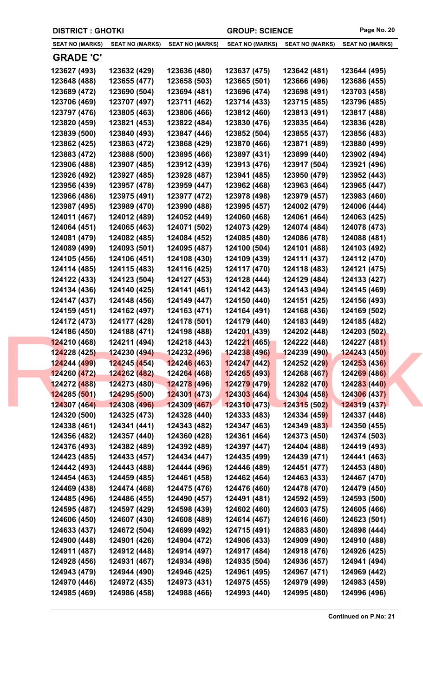|  | <b>DISTRICT : GHOTKI</b>     |                              |                              | <b>GROUP: SCIENCE</b>        |                              | Page No. 20                  |  |
|--|------------------------------|------------------------------|------------------------------|------------------------------|------------------------------|------------------------------|--|
|  | <b>SEAT NO (MARKS)</b>       | <b>SEAT NO (MARKS)</b>       | <b>SEAT NO (MARKS)</b>       | <b>SEAT NO (MARKS)</b>       | <b>SEAT NO (MARKS)</b>       | <b>SEAT NO (MARKS)</b>       |  |
|  | <b>GRADE 'C'</b>             |                              |                              |                              |                              |                              |  |
|  | 123627 (493)                 | 123632 (429)                 | 123636 (480)                 | 123637 (475)                 | 123642 (481)                 | 123644 (495)                 |  |
|  | 123648 (488)                 | 123655 (477)                 | 123658 (503)                 | 123665 (501)                 | 123666 (496)                 | 123686 (455)                 |  |
|  | 123689 (472)                 | 123690 (504)                 | 123694 (481)                 | 123696 (474)                 | 123698 (491)                 | 123703 (458)                 |  |
|  | 123706 (469)                 | 123707 (497)                 | 123711 (462)                 | 123714 (433)                 | 123715 (485)                 | 123796 (485)                 |  |
|  | 123797 (476)                 | 123805 (463)                 | 123806 (466)                 | 123812 (460)                 | 123813 (491)                 | 123817 (488)                 |  |
|  | 123820 (459)                 | 123821 (453)                 | 123822 (484)                 | 123830 (476)                 | 123835 (464)                 | 123836 (428)                 |  |
|  | 123839 (500)                 | 123840 (493)                 | 123847 (446)                 | 123852 (504)                 | 123855 (437)                 | 123856 (483)                 |  |
|  | 123862 (425)                 | 123863 (472)                 | 123868 (429)                 | 123870 (466)                 | 123871 (489)                 | 123880 (499)                 |  |
|  | 123883 (472)                 | 123888 (500)                 | 123895 (466)                 | 123897 (431)                 | 123899 (440)                 | 123902 (494)                 |  |
|  | 123906 (488)                 | 123907 (485)                 | 123912 (439)                 | 123913 (476)                 | 123917 (504)                 | 123921 (496)                 |  |
|  | 123926 (492)                 | 123927 (485)                 | 123928 (487)                 | 123941 (485)                 | 123950 (479)                 | 123952 (443)                 |  |
|  | 123956 (439)                 | 123957 (478)                 | 123959 (447)                 | 123962 (468)                 | 123963 (464)                 | 123965 (447)                 |  |
|  | 123966 (486)                 | 123975 (491)                 | 123977 (472)                 | 123978 (498)                 | 123979 (457)                 | 123983 (460)                 |  |
|  | 123987 (495)                 | 123989 (470)                 | 123990 (488)                 | 123995 (457)                 | 124002 (479)                 | 124006 (444)                 |  |
|  | 124011 (467)                 | 124012 (489)                 | 124052 (449)                 | 124060 (468)                 | 124061 (464)                 | 124063 (425)                 |  |
|  | 124064 (451)                 | 124065 (463)                 | 124071 (502)                 | 124073 (429)                 | 124074 (484)                 | 124078 (473)                 |  |
|  | 124081 (479)                 | 124082 (485)                 | 124084 (452)                 | 124085 (480)                 | 124086 (478)                 | 124088 (481)                 |  |
|  | 124089 (499)                 | 124093 (501)                 | 124095 (487)                 | 124100 (504)                 | 124101 (488)                 | 124103 (492)                 |  |
|  | 124105 (456)                 | 124106 (451)                 | 124108 (430)                 | 124109 (439)                 | 124111 (437)                 | 124112 (470)                 |  |
|  | 124114 (485)                 | 124115 (483)                 | 124116 (425)                 | 124117 (470)                 | 124118 (483)                 | 124121 (475)                 |  |
|  | 124122 (433)                 | 124123 (504)                 | 124127 (453)                 | 124128 (444)                 | 124129 (484)                 | 124133 (427)                 |  |
|  | 124134 (436)                 | 124140 (425)                 | 124141 (461)                 | 124142 (443)                 | 124143 (494)                 | 124145 (469)                 |  |
|  | 124147 (437)                 | 124148 (456)                 | 124149 (447)                 | 124150 (440)                 | 124151 (425)                 | 124156 (493)                 |  |
|  | 124159 (451)                 | 124162 (497)                 | 124163 (471)                 | 124164 (491)                 | 124168 (436)                 | 124169 (502)                 |  |
|  | 124172 (473)                 | 124177 (428)                 | 124178 (501)                 | 124179 (440)                 | 124183 (449)                 | 124185 (482)                 |  |
|  | 124186 (450)                 | 124188 (471)                 | 124198 (488)                 | 124201 (439)                 | 124202 (448)                 | 124203 (502)                 |  |
|  | 124210 (468)                 | 124211 (494)                 | 124218 (443)                 | 124221 (465)                 | 124222 (448)                 | 124227 (481)                 |  |
|  | 124228 (425)                 | 124230(494)                  | 124232 (496)                 | 124238 (496)                 | 124239 (490)                 | 124243 (450)                 |  |
|  | 124244 (499)                 | 124245 (454)                 | 124246 (463)                 | 124247 (442)                 | 124252 (429)                 | 124253 (436)                 |  |
|  | 124260 (472)                 | 124262 (482)                 | 12426 <mark>4 (</mark> 468)  | 124265 (493)                 | 124268 (467)                 | 124269 (486)                 |  |
|  | 124272 (488)                 | 124273(480)                  | 124278 (496)                 | 124279 (479)                 | 124282 (470)                 | 124283 (440)                 |  |
|  | 124285 (501)                 | 124295 (500)                 | 124301 (473)                 | 124303 (464)                 | 124304 (458)                 | 124306 (437)                 |  |
|  | 124307 (464)                 | 124308 (496)                 | 124309 (467)                 | 124310(473)                  | 124315 (502)                 | 124319 (437)                 |  |
|  | 124320 (500)                 | 124325 (473)                 | 124328 (440)                 | 124333 (483)                 | 124334 (459)                 | 124337 (448)                 |  |
|  | 124338 (461)                 | 124341 (441)                 | 124343 (482)                 | 124347 (463)                 | 124349 (483)                 | 124350 (455)                 |  |
|  | 124356 (482)                 | 124357 (440)                 | 124360 (428)                 | 124361 (464)                 | 124373 (450)                 | 124374 (503)                 |  |
|  | 124376 (493)                 | 124382 (489)                 | 124392 (489)                 | 124397 (447)                 | 124404 (488)                 | 124419 (493)                 |  |
|  | 124423 (485)                 | 124433 (457)                 | 124434 (447)                 | 124435 (499)                 | 124439 (471)                 | 124441 (463)                 |  |
|  | 124442 (493)                 | 124443 (488)                 | 124444 (496)                 | 124446 (489)                 | 124451 (477)                 | 124453 (480)                 |  |
|  | 124454 (463)                 | 124459 (485)                 | 124461 (458)                 | 124462 (464)                 | 124463 (433)                 | 124467 (470)                 |  |
|  | 124469 (438)                 | 124474 (468)                 | 124475 (476)                 | 124476 (460)                 | 124478 (470)                 | 124479 (450)                 |  |
|  | 124485 (496)                 | 124486 (455)                 | 124490 (457)                 | 124491 (481)                 | 124592 (459)                 | 124593 (500)                 |  |
|  | 124595 (487)                 | 124597 (429)                 | 124598 (439)                 | 124602 (460)                 | 124603 (475)                 | 124605 (466)                 |  |
|  | 124606 (450)                 | 124607 (430)                 | 124608 (489)                 | 124614 (467)                 | 124616 (460)                 | 124623 (501)                 |  |
|  | 124633 (437)                 | 124672 (504)                 | 124699 (492)                 | 124715 (491)                 | 124883 (480)                 | 124898 (444)                 |  |
|  | 124900 (448)                 | 124901 (426)                 | 124904 (472)                 | 124906 (433)                 | 124909 (490)                 | 124910 (488)                 |  |
|  | 124911 (487)                 | 124912 (448)                 | 124914 (497)                 | 124917 (484)                 | 124918 (476)                 | 124926 (425)                 |  |
|  | 124928 (456)<br>124943 (479) | 124931 (467)                 | 124934 (498)                 | 124935 (504)                 | 124936 (457)                 | 124941 (494)                 |  |
|  | 124970 (446)                 | 124944 (490)<br>124972 (435) | 124946 (425)<br>124973 (431) | 124961 (495)<br>124975 (455) | 124967 (471)<br>124979 (499) | 124969 (442)<br>124983 (459) |  |
|  | 124985 (469)                 | 124986 (458)                 | 124988 (466)                 | 124993 (440)                 | 124995 (480)                 | 124996 (496)                 |  |
|  |                              |                              |                              |                              |                              |                              |  |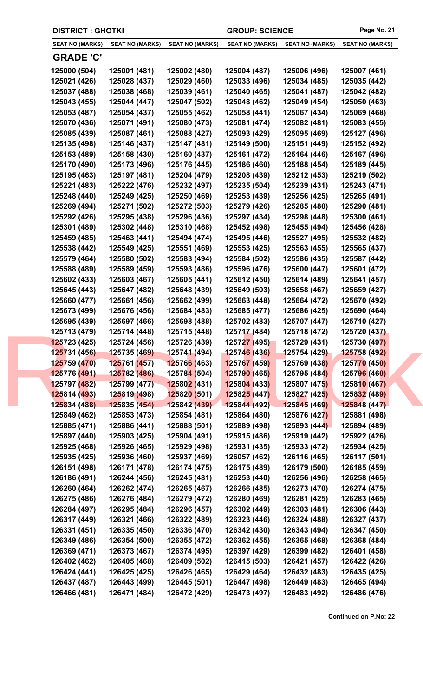|  | <b>DISTRICT : GHOTKI</b>     |                              |                              | <b>GROUP: SCIENCE</b>       |                              | Page No. 21                  |
|--|------------------------------|------------------------------|------------------------------|-----------------------------|------------------------------|------------------------------|
|  | <b>SEAT NO (MARKS)</b>       | <b>SEAT NO (MARKS)</b>       | <b>SEAT NO (MARKS)</b>       | <b>SEAT NO (MARKS)</b>      | <b>SEAT NO (MARKS)</b>       | <b>SEAT NO (MARKS)</b>       |
|  | <b>GRADE 'C'</b>             |                              |                              |                             |                              |                              |
|  | 125000 (504)                 | 125001 (481)                 | 125002 (480)                 | 125004 (487)                | 125006 (496)                 | 125007 (461)                 |
|  | 125021 (426)                 | 125028 (437)                 | 125029 (460)                 | 125033 (496)                | 125034 (485)                 | 125035 (442)                 |
|  | 125037 (488)                 | 125038 (468)                 | 125039 (461)                 | 125040 (465)                | 125041 (487)                 | 125042 (482)                 |
|  | 125043 (455)                 | 125044 (447)                 | 125047 (502)                 | 125048 (462)                | 125049 (454)                 | 125050 (463)                 |
|  | 125053 (487)                 | 125054 (437)                 | 125055 (462)                 | 125058 (441)                | 125067 (434)                 | 125069 (468)                 |
|  | 125070 (436)                 | 125071 (491)                 | 125080 (473)                 | 125081 (474)                | 125082 (481)                 | 125083 (455)                 |
|  | 125085 (439)                 | 125087 (461)                 | 125088 (427)                 | 125093 (429)                | 125095 (469)                 | 125127 (496)                 |
|  | 125135 (498)                 | 125146 (437)                 | 125147 (481)                 | 125149 (500)                | 125151 (449)                 | 125152 (492)                 |
|  | 125153 (489)                 | 125158 (430)                 | 125160 (437)                 | 125161 (472)                | 125164 (446)                 | 125167 (496)                 |
|  | 125170 (490)                 | 125173 (496)                 | 125176 (445)                 | 125186 (460)                | 125188 (454)                 | 125189 (445)                 |
|  | 125195 (463)                 | 125197 (481)                 | 125204 (479)                 | 125208 (439)                | 125212 (453)                 | 125219 (502)                 |
|  | 125221 (483)                 | 125222 (476)                 | 125232 (497)                 | 125235 (504)                | 125239 (431)                 | 125243 (471)                 |
|  | 125248 (440)                 | 125249 (425)                 | 125250 (469)                 | 125253 (439)                | 125256 (425)                 | 125265 (491)                 |
|  | 125269 (494)                 | 125271 (502)                 | 125272 (503)                 | 125279 (426)                | 125285 (480)                 | 125290 (481)                 |
|  | 125292 (426)                 | 125295 (438)                 | 125296 (436)                 | 125297 (434)                | 125298 (448)                 | 125300 (461)                 |
|  | 125301 (489)                 | 125302 (448)                 | 125310 (468)                 | 125452 (498)                | 125455 (494)                 | 125456 (428)                 |
|  | 125459 (485)                 | 125463 (441)                 | 125494 (474)                 | 125495 (446)                | 125527 (495)                 | 125532 (482)                 |
|  | 125538 (442)                 | 125549 (425)                 | 125551 (469)                 | 125553 (425)                | 125563 (455)                 | 125565 (437)                 |
|  | 125579 (464)                 | 125580 (502)                 | 125583 (494)                 | 125584 (502)                | 125586 (435)                 | 125587 (442)                 |
|  | 125588 (489)                 | 125589 (459)                 | 125593 (486)                 | 125596 (476)                | 125600 (447)                 | 125601 (472)                 |
|  | 125602 (433)                 | 125603 (467)                 | 125605 (441)                 | 125612 (450)                | 125614 (489)                 | 125641 (457)                 |
|  | 125645 (443)                 | 125647 (482)                 | 125648 (439)                 | 125649 (503)                | 125658 (467)                 | 125659 (427)                 |
|  | 125660 (477)                 | 125661 (456)                 | 125662 (499)                 | 125663 (448)                | 125664 (472)                 | 125670 (492)                 |
|  | 125673 (499)                 | 125676 (456)                 | 125684 (483)                 | 125685 (477)                | 125686 (425)                 | 125690 (464)                 |
|  | 125695 (439)                 | 125697 (466)                 | 125698 (488)                 | 125702 (483)                | 125707 (447)                 | 125710 (427)                 |
|  | 125713 (479)                 | 125714 (448)                 | 125715 (448)                 | 125717 (484)                | 125718 (472)                 | 125720 (437)                 |
|  | 125723 (425)                 | 125724 (456)                 | 125726 (439)                 | 125727 (495)                | 125729 (431)                 | 125730 (497)                 |
|  | 125731 (456)                 | 125735 (469)                 | 125741 (494)                 | <b>125746 (436)</b>         | 125754 (429)                 | <b>125758 (492)</b>          |
|  | 125759 (470)                 | 125761 (457)                 | 125766 (463)                 | 125767 (459)                | 125769 (438)                 | 125770 (450)                 |
|  | 125776 (491)                 | 125782 (486)                 | 12578 <mark>4 (</mark> 504)  | 125790 (465)                | 125795 (484)                 | 125796 (460)                 |
|  | 125797 (482)<br>125814 (493) | 125799 (477)<br>125819 (498) | 125802 (431)<br>125820 (501) | 125804(433)<br>125825 (447) | 125807 (475)<br>125827 (425) | 125810 (467)<br>125832 (489) |
|  | 125834 (488)                 | 125835 (454)                 | 125842 (439)                 | 125844(492)                 | 125845 (469)                 | 125848 (447)                 |
|  | 125849 (462)                 | 125853 (473)                 | 125854 (481)                 | 125864 (480)                | 125876 (427)                 | 125881 (498)                 |
|  | 125885 (471)                 | 125886 (441)                 | 125888 (501)                 | 125889 (498)                | 125893 (444)                 | 125894 (489)                 |
|  | 125897 (440)                 | 125903 (425)                 | 125904 (491)                 | 125915 (486)                | 125919 (442)                 | 125922 (426)                 |
|  | 125925 (468)                 | 125926 (465)                 | 125929 (498)                 | 125931 (435)                | 125933 (472)                 | 125934 (425)                 |
|  | 125935 (425)                 | 125936 (460)                 | 125937 (469)                 | 126057 (462)                | 126116 (465)                 | 126117 (501)                 |
|  | 126151 (498)                 | 126171 (478)                 | 126174 (475)                 | 126175 (489)                | 126179 (500)                 | 126185 (459)                 |
|  | 126186 (491)                 | 126244 (456)                 | 126245 (481)                 | 126253 (440)                | 126256 (496)                 | 126258 (465)                 |
|  | 126260 (464)                 | 126262 (474)                 | 126265 (467)                 | 126266 (485)                | 126273 (470)                 | 126274 (475)                 |
|  | 126275 (486)                 | 126276 (484)                 | 126279 (472)                 | 126280 (469)                | 126281 (425)                 | 126283 (465)                 |
|  | 126284 (497)                 | 126295 (484)                 | 126296 (457)                 | 126302 (449)                | 126303 (481)                 | 126306 (443)                 |
|  | 126317 (449)                 | 126321 (466)                 | 126322 (489)                 | 126323 (446)                | 126324 (488)                 | 126327 (437)                 |
|  | 126331 (451)                 | 126335 (450)                 | 126336 (470)                 | 126342 (430)                | 126343 (494)                 | 126347 (450)                 |
|  | 126349 (486)                 | 126354 (500)                 | 126355 (472)                 | 126362 (455)                | 126365 (468)                 | 126368 (484)                 |
|  | 126369 (471)                 | 126373 (467)                 | 126374 (495)                 | 126397 (429)                | 126399 (482)                 | 126401 (458)                 |
|  | 126402 (462)                 | 126405 (468)                 | 126409 (502)                 | 126415 (503)                | 126421 (457)                 | 126422 (426)                 |
|  | 126424 (441)                 | 126425 (425)                 | 126426 (465)                 | 126429 (464)                | 126432 (483)                 | 126435 (425)                 |
|  | 126437 (487)                 | 126443 (499)                 | 126445 (501)                 | 126447 (498)                | 126449 (483)                 | 126465 (494)                 |
|  | 126466 (481)                 | 126471 (484)                 | 126472 (429)                 | 126473 (497)                | 126483 (492)                 | 126486 (476)                 |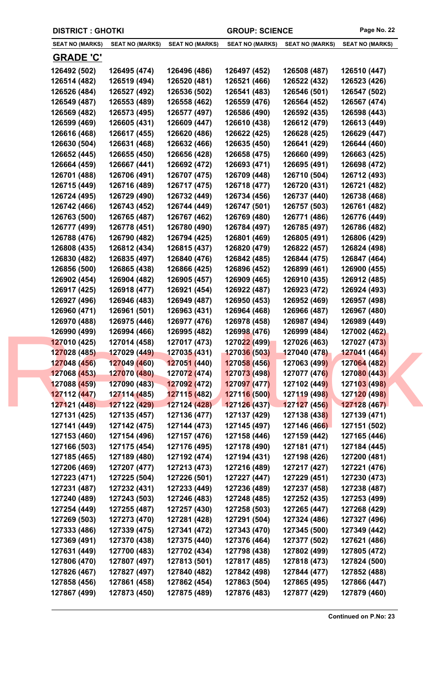| <b>DISTRICT: GHOTKI</b>      |                              |                              | <b>GROUP: SCIENCE</b>        |                              | Page No. 22                  |
|------------------------------|------------------------------|------------------------------|------------------------------|------------------------------|------------------------------|
| <b>SEAT NO (MARKS)</b>       | <b>SEAT NO (MARKS)</b>       | <b>SEAT NO (MARKS)</b>       | <b>SEAT NO (MARKS)</b>       | <b>SEAT NO (MARKS)</b>       | <b>SEAT NO (MARKS)</b>       |
| <b>GRADE 'C'</b>             |                              |                              |                              |                              |                              |
| 126492 (502)                 | 126495 (474)                 | 126496 (486)                 | 126497 (452)                 | 126508 (487)                 | 126510 (447)                 |
| 126514 (482)                 | 126519 (494)                 | 126520 (481)                 | 126521 (466)                 | 126522 (432)                 | 126523 (426)                 |
| 126526 (484)                 | 126527 (492)                 | 126536 (502)                 | 126541 (483)                 | 126546 (501)                 | 126547 (502)                 |
| 126549 (487)                 | 126553 (489)                 | 126558 (462)                 | 126559 (476)                 | 126564 (452)                 | 126567 (474)                 |
| 126569 (482)                 | 126573 (495)                 | 126577 (497)                 | 126586 (490)                 | 126592 (435)                 | 126598 (443)                 |
| 126599 (469)                 | 126605 (431)                 | 126609 (447)                 | 126610 (438)                 | 126612 (479)                 | 126613 (449)                 |
| 126616 (468)                 | 126617 (455)                 | 126620 (486)                 | 126622 (425)                 | 126628 (425)                 | 126629 (447)                 |
| 126630 (504)                 | 126631 (468)                 | 126632 (466)                 | 126635 (450)                 | 126641 (429)                 | 126644 (460)                 |
| 126652 (445)                 | 126655 (450)                 | 126656 (428)                 | 126658 (475)                 | 126660 (499)                 | 126663 (425)                 |
| 126664 (459)                 | 126667 (441)                 | 126692 (472)                 | 126693 (471)                 | 126695 (491)                 | 126698 (472)                 |
| 126701 (488)                 | 126706 (491)                 | 126707 (475)                 | 126709 (448)                 | 126710 (504)                 | 126712 (493)                 |
| 126715 (449)                 | 126716 (489)                 | 126717 (475)                 | 126718 (477)                 | 126720 (431)                 | 126721 (482)                 |
| 126724 (495)                 | 126729 (490)                 | 126732 (449)                 | 126734 (456)                 | 126737 (440)                 | 126738 (468)                 |
| 126742 (466)                 | 126743 (452)                 | 126744 (449)                 | 126747 (501)                 | 126757 (503)                 | 126761 (482)                 |
| 126763 (500)                 | 126765 (487)                 | 126767 (462)                 | 126769 (480)                 | 126771 (486)                 | 126776 (449)                 |
| 126777 (499)                 | 126778 (451)                 | 126780 (490)                 | 126784 (497)                 | 126785 (497)                 | 126786 (482)                 |
| 126788 (476)                 | 126790 (482)                 | 126794 (425)                 | 126801 (469)                 | 126805 (491)                 | 126806 (429)                 |
| 126808 (435)                 | 126812 (434)                 | 126815 (437)                 | 126820 (479)                 | 126822 (457)                 | 126824 (498)                 |
| 126830 (482)                 | 126835 (497)                 | 126840 (476)                 | 126842 (485)                 | 126844 (475)                 | 126847 (464)                 |
| 126856 (500)                 | 126865 (438)                 | 126866 (425)                 | 126896 (452)                 | 126899 (461)                 | 126900 (455)                 |
| 126902 (454)                 | 126904 (482)                 | 126905 (457)                 | 126909 (465)                 | 126910 (435)                 | 126912 (485)                 |
| 126917 (425)                 | 126918 (477)                 | 126921 (454)                 | 126922 (487)                 | 126923 (472)                 | 126924 (493)                 |
| 126927 (496)                 | 126946 (483)                 | 126949 (487)                 | 126950 (453)                 | 126952 (469)                 | 126957 (498)                 |
| 126960 (471)                 | 126961 (501)                 | 126963 (431)                 | 126964 (468)                 | 126966 (487)                 | 126967 (480)                 |
| 126970 (488)                 | 126975 (446)                 | 126977 (476)                 | 126978 (458)                 | 126987 (494)                 | 126989 (449)                 |
| 126990 (499)                 | 126994 (466)                 | 126995 (482)                 | 126998 (476)                 | 126999 (484)                 | 127002 (462)                 |
| 127010 (425)                 | 127014 (458)                 | 127017 (473)                 | 127022 (499)                 | 127026 (463)                 | 127027 (473)<br>127041 (464) |
| 127028 (485)<br>127048 (456) | 127029 (449)<br>127049 (460) | 127035 (431)<br>127051 (440) | 127036 (503)<br>127058 (456) | 127040 (478)<br>127063 (499) | 127064 (482)                 |
| 127068 (453)                 | 127070 (480)                 | 12707 <mark>2 (</mark> 474)  | 127073 (498)                 | 127077 (476)                 | 127080 (443)                 |
| 127088 (459)                 | 127090 (483)                 | 127092 (472)                 | 127097 (477)                 | 127102 (449)                 | 127103 (498)                 |
| 127112 (447)                 | 127114 (485)                 | 127115 (482)                 | 127116 (500)                 | 127119 (498)                 | 127120 (498)                 |
| 127121 (448)                 | 127122 (429)                 | 127124 (428)                 | 127126(437)                  | 127127 (456)                 | 127128 (467)                 |
| 127131 (425)                 | 127135 (457)                 | 127136 (477)                 | 127137 (429)                 | 127138 (438)                 | 127139 (471)                 |
| 127141 (449)                 | 127142 (475)                 | 127144 (473)                 | 127145 (497)                 | 127146 (466)                 | 127151 (502)                 |
| 127153 (460)                 | 127154 (496)                 | 127157 (476)                 | 127158 (446)                 | 127159 (442)                 | 127165 (446)                 |
| 127166 (503)                 | 127175 (454)                 | 127176 (495)                 | 127178 (490)                 | 127181 (471)                 | 127184 (445)                 |
| 127185 (465)                 | 127189 (480)                 | 127192 (474)                 | 127194 (431)                 | 127198 (426)                 | 127200 (481)                 |
| 127206 (469)                 | 127207 (477)                 | 127213 (473)                 | 127216 (489)                 | 127217 (427)                 | 127221 (476)                 |
| 127223 (471)                 | 127225 (504)                 | 127226 (501)                 | 127227 (447)                 | 127229 (451)                 | 127230 (473)                 |
| 127231 (487)                 | 127232 (431)                 | 127233 (449)                 | 127236 (489)                 | 127237 (458)                 | 127238 (487)                 |
| 127240 (489)                 | 127243 (503)                 | 127246 (483)                 | 127248 (485)                 | 127252 (435)                 | 127253 (499)                 |
| 127254 (449)                 | 127255 (487)                 | 127257 (430)                 | 127258 (503)                 | 127265 (447)                 | 127268 (429)                 |
| 127269 (503)                 | 127273 (470)                 | 127281 (428)                 | 127291 (504)                 | 127324 (486)                 | 127327 (496)                 |
| 127333 (486)                 | 127339 (475)                 | 127341 (472)                 | 127343 (470)                 | 127345 (500)                 | 127349 (442)                 |
| 127369 (491)                 | 127370 (438)                 | 127375 (440)                 | 127376 (464)                 | 127377 (502)                 | 127621 (486)                 |
| 127631 (449)                 | 127700 (483)                 | 127702 (434)                 | 127798 (438)                 | 127802 (499)                 | 127805 (472)                 |
| 127806 (470)                 | 127807 (497)                 | 127813 (501)                 | 127817 (485)                 | 127818 (473)                 | 127824 (500)                 |
| 127826 (467)                 | 127827 (497)                 | 127840 (482)                 | 127842 (498)                 | 127844 (477)                 | 127852 (488)                 |
| 127858 (456)                 | 127861 (458)                 | 127862 (454)                 | 127863 (504)                 | 127865 (495)                 | 127866 (447)                 |
| 127867 (499)                 | 127873 (450)                 | 127875 (489)                 | 127876 (483)                 | 127877 (429)                 | 127879 (460)                 |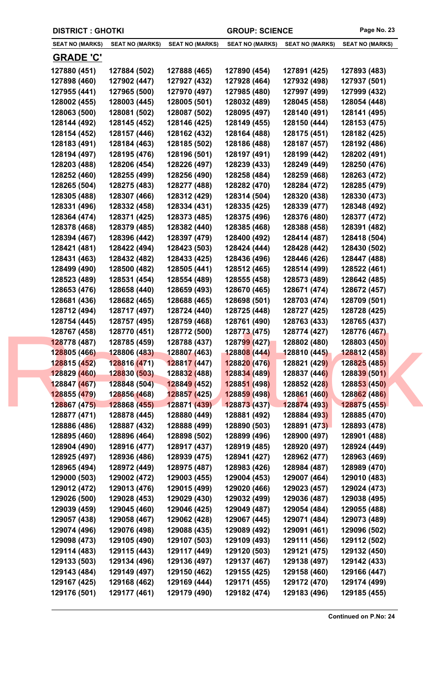| <b>DISTRICT : GHOTKI</b> |                        |                                  | <b>GROUP: SCIENCE</b>  |                        | Page No. 23            |
|--------------------------|------------------------|----------------------------------|------------------------|------------------------|------------------------|
| <b>SEAT NO (MARKS)</b>   | <b>SEAT NO (MARKS)</b> | <b>SEAT NO (MARKS)</b>           | <b>SEAT NO (MARKS)</b> | <b>SEAT NO (MARKS)</b> | <b>SEAT NO (MARKS)</b> |
| <b>GRADE 'C'</b>         |                        |                                  |                        |                        |                        |
| 127880 (451)             | 127884 (502)           | 127888 (465)                     | 127890 (454)           | 127891 (425)           | 127893 (483)           |
| 127898 (460)             | 127902 (447)           | 127927 (432)                     | 127928 (464)           | 127932 (498)           | 127937 (501)           |
| 127955 (441)             | 127965 (500)           | 127970 (497)                     | 127985 (480)           | 127997 (499)           | 127999 (432)           |
| 128002 (455)             | 128003 (445)           | 128005 (501)                     | 128032 (489)           | 128045 (458)           | 128054 (448)           |
| 128063 (500)             | 128081 (502)           | 128087 (502)                     | 128095 (497)           | 128140 (491)           | 128141 (495)           |
| 128144 (492)             | 128145 (452)           | 128146 (425)                     | 128149 (455)           | 128150 (444)           | 128153 (475)           |
| 128154 (452)             | 128157 (446)           | 128162 (432)                     | 128164 (488)           | 128175 (451)           | 128182 (425)           |
| 128183 (491)             | 128184 (463)           | 128185 (502)                     | 128186 (488)           | 128187 (457)           | 128192 (486)           |
| 128194 (497)             | 128195 (476)           | 128196 (501)                     | 128197 (491)           | 128199 (442)           | 128202 (491)           |
| 128203 (488)             | 128206 (454)           | 128226 (497)                     | 128239 (433)           | 128249 (449)           | 128250 (476)           |
| 128252 (460)             | 128255 (499)           | 128256 (490)                     | 128258 (484)           | 128259 (468)           | 128263 (472)           |
| 128265 (504)             | 128275 (483)           | 128277 (488)                     | 128282 (470)           | 128284 (472)           | 128285 (479)           |
| 128305 (488)             | 128307 (466)           | 128312 (429)                     | 128314 (504)           | 128320 (438)           | 128330 (473)           |
| 128331 (496)             | 128332 (458)           | 128334 (431)                     | 128335 (425)           | 128339 (477)           | 128348 (492)           |
| 128364 (474)             | 128371 (425)           | 128373 (485)                     | 128375 (496)           | 128376 (480)           | 128377 (472)           |
| 128378 (468)             | 128379 (485)           | 128382 (440)                     | 128385 (468)           | 128388 (458)           | 128391 (482)           |
| 128394 (467)             | 128396 (442)           | 128397 (479)                     | 128400 (492)           | 128414 (487)           | 128418 (504)           |
| 128421 (481)             | 128422 (494)           | 128423 (503)                     | 128424 (444)           | 128428 (442)           | 128430 (502)           |
| 128431 (463)             | 128432 (482)           | 128433 (425)                     | 128436 (496)           | 128446 (426)           | 128447 (488)           |
| 128499 (490)             | 128500 (482)           | 128505 (441)                     | 128512 (465)           | 128514 (499)           | 128522 (461)           |
| 128523 (489)             | 128531 (454)           | 128554 (489)                     | 128555 (458)           | 128573 (489)           | 128642 (485)           |
| 128653 (476)             | 128658 (440)           | 128659 (493)                     | 128670 (465)           | 128671 (474)           | 128672 (457)           |
| 128681 (436)             | 128682 (465)           | 128688 (465)                     | 128698 (501)           | 128703 (474)           | 128709 (501)           |
| 128712 (494)             | 128717 (497)           | 128724 (440)                     | 128725 (448)           | 128727 (425)           | 128728 (425)           |
| 128754 (445)             | 128757 (495)           | 128759 (468)                     | 128761 (490)           | 128763 (433)           | 128765 (437)           |
| 128767 (458)             | 128770 (451)           | 128772 (500)                     | 128773 (475)           | 128774 (427)           | 128776 (467)           |
| 128778 (487)             | 128785 (459)           | 128788 (437)                     | 128799 (427)           | 128802 (480)           | 128803 (450)           |
| 128805 (466)             | 128806 (483)           | 128807 (463)                     | 128808 (444)           | 128810 (445)           | <b>128812 (458)</b>    |
| 128815 (452)             | 128816 (471)           | 128817 (447)                     | 128820 (476)           | 128821 (429)           | 128825 (485)           |
| 128829 (460)             | 128830 (503)           | 12883 <mark>2 (</mark> 488)      | 128834 (489)           | 128837 (446)           | 128839 (501)           |
| 128847 (467)             | 128848 (504)           | <b>12884<mark>9</mark></b> (452) | 128851 (498)           | 128852 (428)           | 128853 (450)           |
| 128855 (479)             | 128856 (468)           | 128857 (425)                     | 128859 (498)           | 128861 (460)           | 128862 (486)           |
| 128867 (475)             | 128868 (455)           | 128871 (439)                     | 128873 (437)           | 128874 (493)           | 128875 (455)           |
| 128877 (471)             | 128878 (445)           | 128880 (449)                     | 128881 (492)           | 128884 (493)           | 128885 (470)           |
| 128886 (486)             | 128887 (432)           | 128888 (499)                     | 128890 (503)           | 128891 (473)           | 128893 (478)           |
| 128895 (460)             | 128896 (464)           | 128898 (502)                     | 128899 (496)           | 128900 (497)           | 128901 (488)           |
| 128904 (490)             | 128916 (477)           | 128917 (437)                     | 128919 (485)           | 128920 (497)           | 128924 (449)           |
| 128925 (497)             | 128936 (486)           | 128939 (475)                     | 128941 (427)           | 128962 (477)           | 128963 (469)           |
| 128965 (494)             | 128972 (449)           | 128975 (487)                     | 128983 (426)           | 128984 (487)           | 128989 (470)           |
| 129000 (503)             | 129002 (472)           | 129003 (455)                     | 129004 (453)           | 129007 (464)           | 129010 (483)           |
| 129012 (472)             | 129013 (476)           | 129015 (499)                     | 129020 (466)           | 129023 (457)           | 129024 (473)           |
| 129026 (500)             | 129028 (453)           | 129029 (430)                     | 129032 (499)           | 129036 (487)           | 129038 (495)           |
| 129039 (459)             | 129045 (460)           | 129046 (425)                     | 129049 (487)           | 129054 (484)           | 129055 (488)           |
| 129057 (438)             | 129058 (467)           | 129062 (428)                     | 129067 (445)           | 129071 (484)           | 129073 (489)           |
| 129074 (496)             | 129076 (498)           | 129088 (435)                     | 129089 (492)           | 129091 (461)           | 129096 (502)           |
| 129098 (473)             | 129105 (490)           | 129107 (503)                     | 129109 (493)           | 129111 (456)           | 129112 (502)           |
| 129114 (483)             | 129115 (443)           | 129117 (449)                     | 129120 (503)           | 129121 (475)           | 129132 (450)           |
| 129133 (503)             | 129134 (496)           | 129136 (497)                     | 129137 (467)           | 129138 (497)           | 129142 (433)           |
| 129143 (484)             | 129149 (497)           | 129150 (462)                     | 129155 (425)           | 129158 (460)           | 129166 (447)           |
| 129167 (425)             | 129168 (462)           | 129169 (444)                     | 129171 (455)           | 129172 (470)           | 129174 (499)           |
| 129176 (501)             | 129177 (461)           | 129179 (490)                     | 129182 (474)           | 129183 (496)           | 129185 (455)           |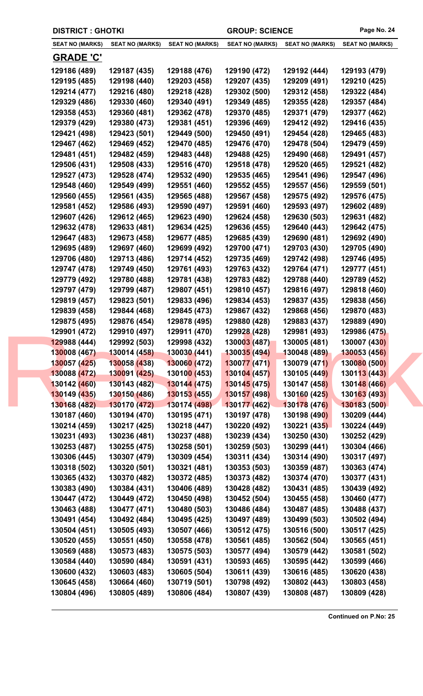|  | <b>DISTRICT : GHOTKI</b>     |                              |                              | <b>GROUP: SCIENCE</b>        |                              | Page No. 24                  |
|--|------------------------------|------------------------------|------------------------------|------------------------------|------------------------------|------------------------------|
|  | <b>SEAT NO (MARKS)</b>       | <b>SEAT NO (MARKS)</b>       | <b>SEAT NO (MARKS)</b>       | <b>SEAT NO (MARKS)</b>       | <b>SEAT NO (MARKS)</b>       | <b>SEAT NO (MARKS)</b>       |
|  | <b>GRADE 'C'</b>             |                              |                              |                              |                              |                              |
|  | 129186 (489)                 | 129187 (435)                 | 129188 (476)                 | 129190 (472)                 | 129192 (444)                 | 129193 (479)                 |
|  | 129195 (485)                 | 129198 (440)                 | 129203 (458)                 | 129207 (435)                 | 129209 (491)                 | 129210 (425)                 |
|  | 129214 (477)                 | 129216 (480)                 | 129218 (428)                 | 129302 (500)                 | 129312 (458)                 | 129322 (484)                 |
|  | 129329 (486)                 | 129330 (460)                 | 129340 (491)                 | 129349 (485)                 | 129355 (428)                 | 129357 (484)                 |
|  | 129358 (453)                 | 129360 (481)                 | 129362 (478)                 | 129370 (485)                 | 129371 (479)                 | 129377 (462)                 |
|  | 129379 (429)                 | 129380 (473)                 | 129381 (451)                 | 129396 (469)                 | 129412 (492)                 | 129416 (435)                 |
|  | 129421 (498)                 | 129423 (501)                 | 129449 (500)                 | 129450 (491)                 | 129454 (428)                 | 129465 (483)                 |
|  | 129467 (462)                 | 129469 (452)                 | 129470 (485)                 | 129476 (470)                 | 129478 (504)                 | 129479 (459)                 |
|  | 129481 (451)                 | 129482 (459)                 | 129483 (448)                 | 129488 (425)                 | 129490 (468)                 | 129491 (457)                 |
|  | 129506 (431)                 | 129508 (433)                 | 129516 (470)                 | 129518 (478)                 | 129520 (465)                 | 129521 (482)                 |
|  | 129527 (473)                 | 129528 (474)                 | 129532 (490)                 | 129535 (465)                 | 129541 (496)                 | 129547 (496)                 |
|  | 129548 (460)                 | 129549 (499)                 | 129551 (460)                 | 129552 (455)                 | 129557 (456)                 | 129559 (501)                 |
|  | 129560 (455)                 | 129561 (435)                 | 129565 (488)                 | 129567 (458)                 | 129575 (492)                 | 129576 (475)                 |
|  | 129581 (452)                 | 129586 (493)                 | 129590 (497)                 | 129591 (460)                 | 129593 (497)                 | 129602 (489)                 |
|  | 129607 (426)                 | 129612 (465)                 | 129623 (490)                 | 129624 (458)                 | 129630 (503)                 | 129631 (482)                 |
|  | 129632 (478)                 | 129633 (481)                 | 129634 (425)                 | 129636 (455)                 | 129640 (443)                 | 129642 (475)                 |
|  | 129647 (483)                 | 129673 (458)                 | 129677 (485)                 | 129685 (439)                 | 129690 (481)                 | 129692 (490)                 |
|  | 129695 (489)                 | 129697 (460)                 | 129699 (492)                 | 129700 (471)                 | 129703 (430)                 | 129705 (490)                 |
|  | 129706 (480)                 | 129713 (486)                 | 129714 (452)                 | 129735 (469)                 | 129742 (498)                 | 129746 (495)                 |
|  | 129747 (478)                 | 129749 (450)                 | 129761 (493)                 | 129763 (432)                 | 129764 (471)                 | 129777 (451)                 |
|  | 129779 (492)                 | 129780 (488)                 | 129781 (438)                 | 129783 (482)                 | 129788 (440)                 | 129789 (452)                 |
|  | 129797 (479)                 | 129799 (487)                 | 129807 (451)                 | 129810 (457)                 | 129816 (497)                 | 129818 (460)                 |
|  | 129819 (457)                 | 129823 (501)                 | 129833 (496)                 | 129834 (453)                 | 129837 (435)                 | 129838 (456)                 |
|  | 129839 (458)                 | 129844 (468)                 | 129845 (473)                 | 129867 (432)                 | 129868 (456)                 | 129870 (483)                 |
|  | 129875 (495)<br>129901 (472) | 129876 (454)<br>129910 (497) | 129878 (495)<br>129911 (470) | 129880 (428)<br>129928 (428) | 129883 (437)<br>129981 (493) | 129889 (490)<br>129986 (475) |
|  | 129988 (444)                 | 129992 (503)                 | 129998 (432)                 | 130003 (487)                 | 130005 (481)                 | 130007 (430)                 |
|  | 130008 (467)                 | 130014 (458)                 | 130030 (441)                 | 130035 (494)                 | 130048 (489)                 | 130053 (456)                 |
|  | 130057 (425)                 | 130058 (438)                 | 130060 (472)                 | 130077 (471)                 | 130079 (471)                 | 130080 (500)                 |
|  | 130088 (472)                 | 130091 (425)                 | 13010 <mark>0 (</mark> 453)  | 130104 (457)                 | 130105 (449)                 | 130113 (443)                 |
|  | 130142 (460)                 | 130143 (482)                 | 130144 (475)                 | 130145(475)                  | 130147 (458)                 | 130148 (466)                 |
|  | 130149 (435)                 | 130150 (486)                 | 130153 (455)                 | 130157 (498)                 | 130160 (425)                 | 130163 (493)                 |
|  | 130168 (482)                 | 130170 (472)                 | 130174 (498)                 | 130177 (462)                 | 130178 (476)                 | 130183 (500)                 |
|  | 130187 (460)                 | 130194 (470)                 | 130195 (471)                 | 130197 (478)                 | 130198 (490)                 | 130209 (444)                 |
|  | 130214 (459)                 | 130217 (425)                 | 130218 (447)                 | 130220 (492)                 | 130221 (435)                 | 130224 (449)                 |
|  | 130231 (493)                 | 130236 (481)                 | 130237 (488)                 | 130239 (434)                 | 130250 (430)                 | 130252 (429)                 |
|  | 130253 (487)                 | 130255 (475)                 | 130258 (501)                 | 130259 (503)                 | 130299 (441)                 | 130304 (466)                 |
|  | 130306 (445)                 | 130307 (479)                 | 130309 (454)                 | 130311 (434)                 | 130314 (490)                 | 130317 (497)                 |
|  | 130318 (502)                 | 130320 (501)                 | 130321 (481)                 | 130353 (503)                 | 130359 (487)                 | 130363 (474)                 |
|  | 130365 (432)                 | 130370 (482)                 | 130372 (485)                 | 130373 (482)                 | 130374 (470)                 | 130377 (431)                 |
|  | 130383 (490)                 | 130384 (431)                 | 130406 (489)                 | 130428 (482)                 | 130431 (485)                 | 130439 (492)                 |
|  | 130447 (472)                 | 130449 (472)                 | 130450 (498)                 | 130452 (504)                 | 130455 (458)                 | 130460 (477)                 |
|  | 130463 (488)                 | 130477 (471)                 | 130480 (503)                 | 130486 (484)                 | 130487 (485)                 | 130488 (437)                 |
|  | 130491 (454)                 | 130492 (484)                 | 130495 (425)                 | 130497 (489)                 | 130499 (503)                 | 130502 (494)                 |
|  | 130504 (451)                 | 130505 (493)                 | 130507 (466)                 | 130512 (475)                 | 130516 (500)                 | 130517 (425)                 |
|  | 130520 (455)                 | 130551 (450)                 | 130558 (478)                 | 130561 (485)                 | 130562 (504)                 | 130565 (451)                 |
|  | 130569 (488)<br>130584 (440) | 130573 (483)<br>130590 (484) | 130575 (503)<br>130591 (431) | 130577 (494)<br>130593 (465) | 130579 (442)<br>130595 (442) | 130581 (502)<br>130599 (466) |
|  | 130600 (432)                 | 130603 (483)                 | 130605 (504)                 | 130611 (439)                 | 130616 (485)                 | 130620 (438)                 |
|  | 130645 (458)                 | 130664 (460)                 | 130719 (501)                 | 130798 (492)                 | 130802 (443)                 | 130803 (458)                 |
|  | 130804 (496)                 | 130805 (489)                 | 130806 (484)                 | 130807 (439)                 | 130808 (487)                 | 130809 (428)                 |
|  |                              |                              |                              |                              |                              |                              |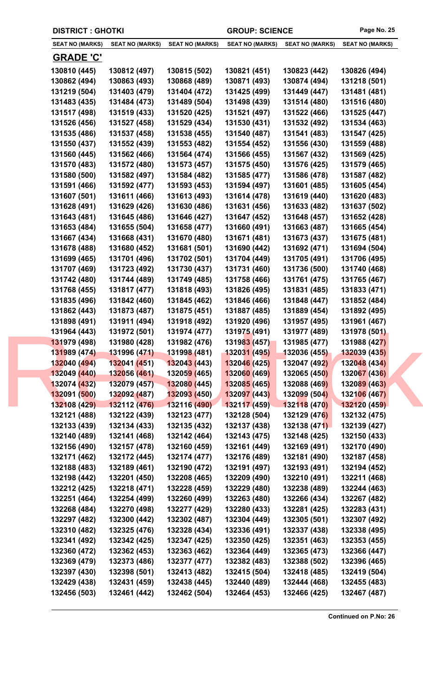|                        | <b>DISTRICT : GHOTKI</b> |                             |                        | <b>GROUP: SCIENCE</b>  | Page No. 25            |
|------------------------|--------------------------|-----------------------------|------------------------|------------------------|------------------------|
| <b>SEAT NO (MARKS)</b> | <b>SEAT NO (MARKS)</b>   | <b>SEAT NO (MARKS)</b>      | <b>SEAT NO (MARKS)</b> | <b>SEAT NO (MARKS)</b> | <b>SEAT NO (MARKS)</b> |
| <b>GRADE 'C'</b>       |                          |                             |                        |                        |                        |
| 130810 (445)           | 130812 (497)             | 130815 (502)                | 130821 (451)           | 130823 (442)           | 130826 (494)           |
| 130862 (494)           | 130863 (493)             | 130868 (489)                | 130871 (493)           | 130874 (494)           | 131218 (501)           |
| 131219 (504)           | 131403 (479)             | 131404 (472)                | 131425 (499)           | 131449 (447)           | 131481 (481)           |
| 131483 (435)           | 131484 (473)             | 131489 (504)                | 131498 (439)           | 131514 (480)           | 131516 (480)           |
| 131517 (498)           | 131519 (433)             | 131520 (425)                | 131521 (497)           | 131522 (466)           | 131525 (447)           |
| 131526 (456)           | 131527 (458)             | 131529 (434)                | 131530 (431)           | 131532 (492)           | 131534 (463)           |
| 131535 (486)           | 131537 (458)             | 131538 (455)                | 131540 (487)           | 131541 (483)           | 131547 (425)           |
| 131550 (437)           | 131552 (439)             | 131553 (482)                | 131554 (452)           | 131556 (430)           | 131559 (488)           |
| 131560 (445)           | 131562 (466)             | 131564 (474)                | 131566 (455)           | 131567 (432)           | 131569 (425)           |
| 131570 (483)           | 131572 (480)             | 131573 (457)                | 131575 (450)           | 131576 (425)           | 131579 (465)           |
| 131580 (500)           | 131582 (497)             | 131584 (482)                | 131585 (477)           | 131586 (478)           | 131587 (482)           |
| 131591 (466)           | 131592 (477)             | 131593 (453)                | 131594 (497)           | 131601 (485)           | 131605 (454)           |
| 131607 (501)           | 131611 (466)             | 131613 (493)                | 131614 (478)           | 131619 (440)           | 131620 (483)           |
| 131628 (491)           | 131629 (426)             | 131630 (486)                | 131631 (456)           | 131633 (482)           | 131637 (502)           |
| 131643 (481)           | 131645 (486)             | 131646 (427)                | 131647 (452)           | 131648 (457)           | 131652 (428)           |
| 131653 (484)           | 131655 (504)             | 131658 (477)                | 131660 (491)           | 131663 (487)           | 131665 (454)           |
| 131667 (434)           | 131668 (431)             | 131670 (480)                | 131671 (481)           | 131673 (437)           | 131675 (481)           |
| 131678 (488)           | 131680 (452)             | 131681 (501)                | 131690 (442)           | 131692 (471)           | 131694 (504)           |
| 131699 (465)           | 131701 (496)             | 131702 (501)                | 131704 (449)           | 131705 (491)           | 131706 (495)           |
| 131707 (469)           | 131723 (492)             | 131730 (437)                | 131731 (460)           | 131736 (500)           | 131740 (468)           |
| 131742 (480)           | 131744 (489)             | 131749 (485)                | 131758 (466)           | 131761 (475)           | 131765 (467)           |
| 131768 (455)           | 131817 (477)             | 131818 (493)                | 131826 (495)           | 131831 (485)           | 131833 (471)           |
| 131835 (496)           | 131842 (460)             | 131845 (462)                | 131846 (466)           | 131848 (447)           | 131852 (484)           |
| 131862 (443)           | 131873 (487)             | 131875 (451)                | 131887 (485)           | 131889 (454)           | 131892 (495)           |
| 131898 (491)           | 131911 (494)             | 131918 (492)                | 131920 (496)           | 131957 (495)           | 131961 (467)           |
| 131964 (443)           | 131972 (501)             | 131974 (477)                | 131975 (491)           | 131977 (489)           | 131978 (501)           |
| 131979 (498)           | 131980 (428)             | 131982 (476)                | 131983 (457)           | 131985 (477)           | 131988 (427)           |
| 131989 (474)           | 131996 (471)             | 131998 (481)                | 132031 (495)           | 132036 (455)           | 132039 (435)           |
| 132040 (494)           | 132041 (451)             | 132043 (443)                | 132046 (425)           | 132047 (492)           | 132048 (434)           |
| 132049 (440)           | 132056 (461)             | 13205 <mark>9 (</mark> 465) | 132060 (469)           | 132065 (450)           | 132067 (436)           |
| 132074 (432)           | 132079 (457)             | 132080 (445)                | 132085 (465)           | 132088 (469)           | 132089 (463)           |
| 132091 (500)           | 132092 (487)             | 132093 (450)                | 132097 (443)           | 132099 (504)           | 132106 (467)           |
| 132108 (429)           | 132112 (476)             | 132116 (490)                | 132117(459)            | 132118 (470)           | 132120 (459)           |
| 132121 (488)           | 132122 (439)             | 132123 (477)                | 132128 (504)           | 132129 (476)           | 132132 (475)           |
| 132133 (439)           | 132134 (433)             | 132135 (432)                | 132137 (438)           | 132138 (471)           | 132139 (427)           |
| 132140 (489)           | 132141 (468)             | 132142 (464)                | 132143 (475)           | 132148 (425)           | 132150 (433)           |
| 132156 (490)           | 132157 (478)             | 132160 (459)                | 132161 (449)           | 132169 (491)           | 132170 (490)           |
| 132171 (462)           | 132172 (445)             | 132174 (477)                | 132176 (489)           | 132181 (490)           | 132187 (458)           |
| 132188 (483)           | 132189 (461)             | 132190 (472)                | 132191 (497)           | 132193 (491)           | 132194 (452)           |
| 132198 (442)           | 132201 (450)             | 132208 (465)                | 132209 (490)           | 132210 (491)           | 132211 (468)           |
| 132212 (425)           | 132218 (471)             | 132228 (459)                | 132229 (480)           | 132238 (489)           | 132244 (463)           |
| 132251 (464)           | 132254 (499)             | 132260 (499)                | 132263 (480)           | 132266 (434)           | 132267 (482)           |
| 132268 (484)           | 132270 (498)             | 132277 (429)                | 132280 (433)           | 132281 (425)           | 132283 (431)           |
| 132297 (482)           | 132300 (442)             | 132302 (487)                | 132304 (449)           | 132305 (501)           | 132307 (492)           |
| 132310 (482)           | 132325 (476)             | 132328 (434)                | 132336 (491)           | 132337 (438)           | 132338 (495)           |
| 132341 (492)           | 132342 (425)             | 132347 (425)                | 132350 (425)           | 132351 (463)           | 132353 (455)           |
| 132360 (472)           | 132362 (453)             | 132363 (462)                | 132364 (449)           | 132365 (473)           | 132366 (447)           |
| 132369 (479)           | 132373 (486)             | 132377 (477)                | 132382 (483)           | 132388 (502)           | 132396 (465)           |
| 132397 (430)           | 132398 (501)             | 132413 (482)                | 132415 (504)           | 132418 (485)           | 132419 (504)           |
| 132429 (438)           | 132431 (459)             | 132438 (445)                | 132440 (489)           | 132444 (468)           | 132455 (483)           |
| 132456 (503)           | 132461 (442)             | 132462 (504)                | 132464 (453)           | 132466 (425)           | 132467 (487)           |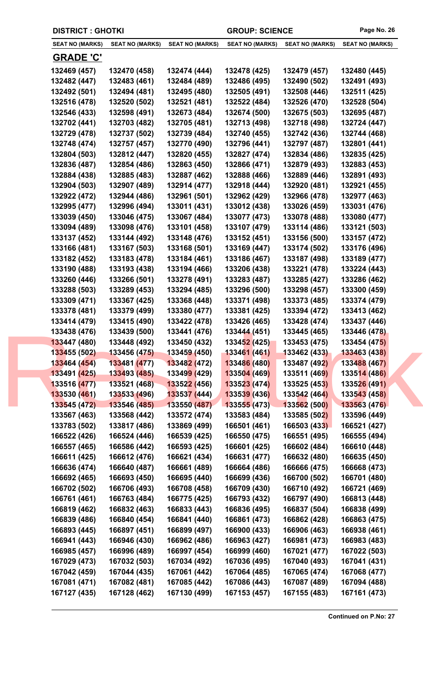|                              | <b>DISTRICT : GHOTKI</b>     |                              |                              | <b>GROUP: SCIENCE</b>        | Page No. 26                  |
|------------------------------|------------------------------|------------------------------|------------------------------|------------------------------|------------------------------|
| <b>SEAT NO (MARKS)</b>       | <b>SEAT NO (MARKS)</b>       | <b>SEAT NO (MARKS)</b>       | <b>SEAT NO (MARKS)</b>       | <b>SEAT NO (MARKS)</b>       | <b>SEAT NO (MARKS)</b>       |
| <b>GRADE 'C'</b>             |                              |                              |                              |                              |                              |
| 132469 (457)                 | 132470 (458)                 | 132474 (444)                 | 132478 (425)                 | 132479 (457)                 | 132480 (445)                 |
| 132482 (447)                 | 132483 (461)                 | 132484 (489)                 | 132486 (495)                 | 132490 (502)                 | 132491 (493)                 |
| 132492 (501)                 | 132494 (481)                 | 132495 (480)                 | 132505 (491)                 | 132508 (446)                 | 132511 (425)                 |
| 132516 (478)                 | 132520 (502)                 | 132521 (481)                 | 132522 (484)                 | 132526 (470)                 | 132528 (504)                 |
| 132546 (433)                 | 132598 (491)                 | 132673 (484)                 | 132674 (500)                 | 132675 (503)                 | 132695 (487)                 |
| 132702 (441)                 | 132703 (482)                 | 132705 (481)                 | 132713 (498)                 | 132718 (498)                 | 132724 (447)                 |
| 132729 (478)                 | 132737 (502)                 | 132739 (484)                 | 132740 (455)                 | 132742 (436)                 | 132744 (468)                 |
| 132748 (474)                 | 132757 (457)                 | 132770 (490)                 | 132796 (441)                 | 132797 (487)                 | 132801 (441)                 |
| 132804 (503)                 | 132812 (447)                 | 132820 (455)                 | 132827 (474)                 | 132834 (486)                 | 132835 (425)                 |
| 132836 (487)                 | 132854 (486)                 | 132863 (450)                 | 132866 (471)                 | 132879 (493)                 | 132883 (453)                 |
| 132884 (438)                 | 132885 (483)                 | 132887 (462)                 | 132888 (466)                 | 132889 (446)                 | 132891 (493)                 |
| 132904 (503)                 | 132907 (489)                 | 132914 (477)                 | 132918 (444)                 | 132920 (481)                 | 132921 (455)                 |
| 132922 (472)                 | 132944 (486)                 | 132961 (501)                 | 132962 (429)                 | 132966 (478)                 | 132977 (463)                 |
| 132995 (477)                 | 132996 (494)                 | 133011 (431)                 | 133012 (438)                 | 133026 (459)                 | 133031 (476)                 |
| 133039 (450)                 | 133046 (475)                 | 133067 (484)                 | 133077 (473)                 | 133078 (488)                 | 133080 (477)                 |
| 133094 (489)                 | 133098 (476)                 | 133101 (458)                 | 133107 (479)                 | 133114 (486)                 | 133121 (503)                 |
| 133137 (452)                 | 133144 (492)                 | 133148 (476)                 | 133152 (451)                 | 133156 (500)                 | 133157 (472)                 |
| 133166 (481)                 | 133167 (503)                 | 133168 (501)                 | 133169 (447)                 | 133174 (502)                 | 133176 (496)                 |
| 133182 (452)                 | 133183 (478)                 | 133184 (461)                 | 133186 (467)                 | 133187 (498)                 | 133189 (477)                 |
| 133190 (488)                 | 133193 (438)                 | 133194 (466)                 | 133206 (438)                 | 133221 (478)                 | 133224 (443)                 |
| 133260 (446)                 | 133266 (501)                 | 133278 (491)                 | 133283 (487)                 | 133285 (427)                 | 133286 (462)                 |
| 133288 (503)                 | 133289 (453)                 | 133294 (485)                 | 133296 (500)                 | 133298 (457)                 | 133300 (459)                 |
| 133309 (471)                 | 133367 (425)                 | 133368 (448)                 | 133371 (498)                 | 133373 (485)                 | 133374 (479)                 |
| 133378 (481)                 | 133379 (499)                 | 133380 (477)                 | 133381 (425)                 | 133394 (472)                 | 133413 (462)                 |
| 133414 (479)                 | 133415 (490)                 | 133422 (478)                 | 133426 (465)                 | 133428 (474)                 | 133437 (446)                 |
| 133438 (476)                 | 133439 (500)                 | 133441 (476)                 | 133444 (451)                 | 133445 (465)                 | 133446 (478)                 |
| 133447 (480)                 | 133448 (492)                 | 133450 (432)                 | 133452(425)                  | 133453 (475)                 | 133454 (475)                 |
| 133455 (502)                 | 133456 (475)                 | 133459 (450)                 | 133461 (461)                 | 133462 (433)                 | 133463 (438)                 |
| 133464 (454)                 | 133481 (477)                 | 133482 (472)                 | 133486 (480)                 | 133487 (492)                 | 133488 (467)                 |
| 133491 (425)                 | 133493 (485)                 | 13349 <mark>9 (</mark> 429)  | 133504 (469)                 | 133511 (469)                 | 133514 (486)                 |
| 133516 (477)                 | 133521 (468)                 | 133522 (456)                 | 133523 (474)                 | 133525 (453)                 | 133526 (491)                 |
| 133530 (461)                 | 133533 (496)                 | 133537 (444)                 | 133539 (436)                 | 133542 (464)                 | 133543 (458)                 |
| 133545 (472)                 | 133546 (485)                 | 133550 (487)                 | 133555(473)                  | 133562 (500)                 | 133563 (476)                 |
| 133567 (463)                 | 133568 (442)                 | 133572 (474)                 | 133583 (484)                 | 133585 (502)                 | 133596 (449)                 |
| 133783 (502)                 | 133817 (486)                 | 133869 (499)                 | 166501 (461)                 | 166503 (433)                 | 166521 (427)                 |
| 166522 (426)                 | 166524 (446)                 | 166539 (425)                 | 166550 (475)                 | 166551 (495)                 | 166555 (494)                 |
| 166557 (465)                 | 166586 (442)                 | 166593 (425)                 | 166601 (425)                 | 166602 (484)                 | 166610 (448)                 |
| 166611 (425)                 | 166612 (476)                 | 166621 (434)                 | 166631 (477)                 | 166632 (480)                 | 166635 (450)                 |
| 166636 (474)                 | 166640 (487)                 | 166661 (489)                 | 166664 (486)                 | 166666 (475)                 | 166668 (473)                 |
| 166692 (465)                 | 166693 (450)                 | 166695 (440)                 | 166699 (436)                 | 166700 (502)                 | 166701 (480)                 |
| 166702 (502)                 | 166706 (493)                 | 166708 (458)                 | 166709 (430)                 | 166710 (492)                 | 166721 (469)                 |
| 166761 (461)                 | 166763 (484)                 | 166775 (425)                 | 166793 (432)                 | 166797 (490)                 | 166813 (448)                 |
| 166819 (462)                 | 166832 (463)                 | 166833 (443)                 | 166836 (495)                 | 166837 (504)                 | 166838 (499)                 |
| 166839 (486)                 | 166840 (454)                 | 166841 (440)                 | 166861 (473)                 | 166862 (428)                 | 166863 (475)                 |
| 166893 (445)                 | 166897 (451)                 | 166899 (497)                 | 166900 (433)                 | 166906 (463)                 | 166938 (461)                 |
| 166941 (443)                 | 166946 (430)                 | 166962 (486)                 | 166963 (427)                 | 166981 (473)                 | 166983 (483)                 |
| 166985 (457)<br>167029 (473) | 166996 (489)                 | 166997 (454)                 | 166999 (460)                 | 167021 (477)<br>167040 (493) | 167022 (503)<br>167041 (431) |
| 167042 (459)                 | 167032 (503)<br>167044 (435) | 167034 (492)<br>167061 (442) | 167036 (495)<br>167064 (485) | 167065 (474)                 | 167068 (477)                 |
| 167081 (471)                 | 167082 (481)                 | 167085 (442)                 | 167086 (443)                 | 167087 (489)                 | 167094 (488)                 |
| 167127 (435)                 | 167128 (462)                 | 167130 (499)                 | 167153 (457)                 | 167155 (483)                 | 167161 (473)                 |
|                              |                              |                              |                              |                              |                              |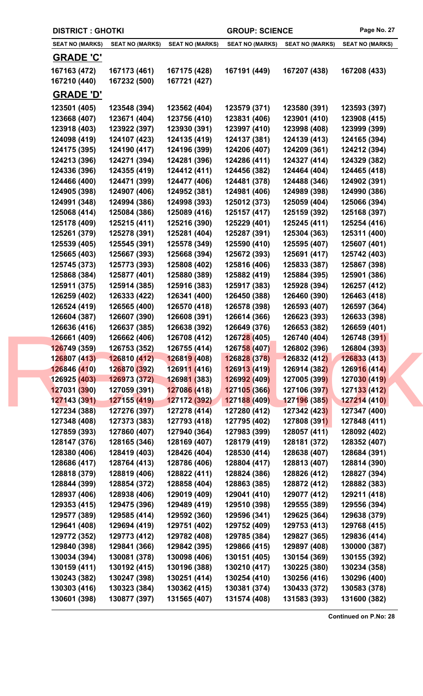|                              | <b>DISTRICT: GHOTKI</b><br><b>GROUP: SCIENCE</b> |                                   |                              | Page No. 27                  |                              |  |
|------------------------------|--------------------------------------------------|-----------------------------------|------------------------------|------------------------------|------------------------------|--|
| <b>SEAT NO (MARKS)</b>       | <b>SEAT NO (MARKS)</b>                           | <b>SEAT NO (MARKS)</b>            | <b>SEAT NO (MARKS)</b>       | <b>SEAT NO (MARKS)</b>       | <b>SEAT NO (MARKS)</b>       |  |
| <b>GRADE 'C'</b>             |                                                  |                                   |                              |                              |                              |  |
| 167163 (472)                 | 167173 (461)                                     | 167175 (428)                      | 167191 (449)                 | 167207 (438)                 | 167208 (433)                 |  |
| 167210 (440)                 | 167232 (500)                                     | 167721 (427)                      |                              |                              |                              |  |
| <b>GRADE 'D'</b>             |                                                  |                                   |                              |                              |                              |  |
| 123501 (405)                 | 123548 (394)                                     | 123562 (404)                      | 123579 (371)                 | 123580 (391)                 | 123593 (397)                 |  |
| 123668 (407)                 | 123671 (404)                                     | 123756 (410)                      | 123831 (406)                 | 123901 (410)                 | 123908 (415)                 |  |
| 123918 (403)                 | 123922 (397)                                     | 123930 (391)                      | 123997 (410)                 | 123998 (408)                 | 123999 (399)                 |  |
| 124098 (419)                 | 124107 (423)                                     | 124135 (419)                      | 124137 (381)                 | 124139 (413)                 | 124165 (394)                 |  |
| 124175 (395)                 | 124190 (417)                                     | 124196 (399)                      | 124206 (407)                 | 124209 (361)                 | 124212 (394)                 |  |
| 124213 (396)                 | 124271 (394)                                     | 124281 (396)                      | 124286 (411)                 | 124327 (414)                 | 124329 (382)                 |  |
| 124336 (396)                 | 124355 (419)                                     | 124412 (411)                      | 124456 (382)                 | 124464 (404)                 | 124465 (418)                 |  |
| 124466 (400)                 | 124471 (399)                                     | 124477 (406)                      | 124481 (378)                 | 124488 (346)                 | 124902 (391)                 |  |
| 124905 (398)                 | 124907 (406)                                     | 124952 (381)                      | 124981 (406)                 | 124989 (398)                 | 124990 (386)                 |  |
| 124991 (348)                 | 124994 (386)                                     | 124998 (393)                      | 125012 (373)                 | 125059 (404)                 | 125066 (394)                 |  |
| 125068 (414)                 | 125084 (386)                                     | 125089 (416)                      | 125157 (417)                 | 125159 (392)                 | 125168 (397)                 |  |
| 125178 (409)                 | 125215 (411)                                     | 125216 (390)                      | 125229 (401)                 | 125245 (411)                 | 125254 (416)                 |  |
| 125261 (379)                 | 125278 (391)                                     | 125281 (404)                      | 125287 (391)                 | 125304 (363)                 | 125311 (400)                 |  |
| 125539 (405)                 | 125545 (391)                                     | 125578 (349)                      | 125590 (410)                 | 125595 (407)                 | 125607 (401)                 |  |
| 125665 (403)                 | 125667 (393)                                     | 125668 (394)                      | 125672 (393)                 | 125691 (417)                 | 125742 (403)                 |  |
| 125745 (373)<br>125868 (384) | 125773 (393)<br>125877 (401)                     | 125808 (402)<br>125880 (389)      | 125816 (406)<br>125882 (419) | 125833 (387)<br>125884 (395) | 125867 (398)<br>125901 (386) |  |
| 125911 (375)                 | 125914 (385)                                     | 125916 (383)                      | 125917 (383)                 | 125928 (394)                 | 126257 (412)                 |  |
| 126259 (402)                 | 126333 (422)                                     | 126341 (400)                      | 126450 (388)                 | 126460 (390)                 | 126463 (418)                 |  |
| 126524 (419)                 | 126565 (400)                                     | 126570 (418)                      | 126578 (398)                 | 126593 (407)                 | 126597 (364)                 |  |
| 126604 (387)                 | 126607 (390)                                     | 126608 (391)                      | 126614 (366)                 | 126623 (393)                 | 126633 (398)                 |  |
| 126636 (416)                 | 126637 (385)                                     | 126638 (392)                      | 126649 (376)                 | 126653 (382)                 | 126659 (401)                 |  |
| 126661 (409)                 | 126662 (406)                                     | 126708 (412)                      | 126728 (405)                 | 126740 (404)                 | 126748 (391)                 |  |
| 126749 (359)                 | 126753 (352)                                     | 126755 (414)                      | 126758 (407)                 | 126802 (396)                 | 126804 (393)                 |  |
| 126807 (413)                 | 126810 (412)                                     | 126819 (408)                      | 126828 (378)                 | 126832 (412)                 | 126833 (413)                 |  |
| 126846 (410)                 | 126870 (392)                                     | 126911 (416)                      | 126913 (419)                 | 126914 (382)                 | 126916 (414)                 |  |
| 126925 (403)                 | 126973 (372)                                     | <b>12698<mark>1 (</mark>383</b> ) | 126992 (409)                 | 127005 (39 <mark>9)</mark>   | 127030 (419)                 |  |
| 127031 (390)                 | 127059 (391)                                     | 127086 (418)                      | 127105 (366)                 | 127106 (397)                 | 127133 (412)                 |  |
| 127143 (391)                 | 127155 (419)                                     | 127172 (392)                      | 127188 (409)                 | 127196 (385)                 | 127214 (410)                 |  |
| 127234 (388)                 | 127276 (397)                                     | 127278 (414)                      | 127280 (412)                 | 127342 (423)                 | 127347 (400)                 |  |
| 127348 (408)                 | 127373 (383)                                     | 127793 (418)                      | 127795 (402)                 | 127808 (391)                 | 127848 (411)                 |  |
| 127859 (393)                 | 127860 (407)                                     | 127940 (364)                      | 127983 (399)                 | 128057 (411)                 | 128092 (402)                 |  |
| 128147 (376)                 | 128165 (346)                                     | 128169 (407)                      | 128179 (419)                 | 128181 (372)                 | 128352 (407)                 |  |
| 128380 (406)                 | 128419 (403)                                     | 128426 (404)                      | 128530 (414)                 | 128638 (407)                 | 128684 (391)                 |  |
| 128686 (417)                 | 128764 (413)                                     | 128786 (406)                      | 128804 (417)                 | 128813 (407)                 | 128814 (390)                 |  |
| 128818 (379)                 | 128819 (406)                                     | 128822 (411)                      | 128824 (386)                 | 128826 (412)                 | 128827 (394)                 |  |
| 128844 (399)                 | 128854 (372)                                     | 128858 (404)                      | 128863 (385)                 | 128872 (412)                 | 128882 (383)                 |  |
| 128937 (406)<br>129353 (415) | 128938 (406)<br>129475 (396)                     | 129019 (409)<br>129489 (419)      | 129041 (410)<br>129510 (398) | 129077 (412)<br>129555 (389) | 129211 (418)<br>129556 (394) |  |
| 129577 (389)                 | 129585 (414)                                     | 129592 (360)                      | 129596 (341)                 | 129625 (364)                 | 129638 (379)                 |  |
| 129641 (408)                 | 129694 (419)                                     | 129751 (402)                      | 129752 (409)                 | 129753 (413)                 | 129768 (415)                 |  |
| 129772 (352)                 | 129773 (412)                                     | 129782 (408)                      | 129785 (384)                 | 129827 (365)                 | 129836 (414)                 |  |
| 129840 (398)                 | 129841 (366)                                     | 129842 (395)                      | 129866 (415)                 | 129897 (408)                 | 130000 (387)                 |  |
| 130034 (394)                 | 130081 (378)                                     | 130098 (406)                      | 130151 (405)                 | 130154 (369)                 | 130155 (392)                 |  |
| 130159 (411)                 | 130192 (415)                                     | 130196 (388)                      | 130210 (417)                 | 130225 (380)                 | 130234 (358)                 |  |
| 130243 (382)                 | 130247 (398)                                     | 130251 (414)                      | 130254 (410)                 | 130256 (416)                 | 130296 (400)                 |  |
| 130303 (416)                 | 130323 (384)                                     | 130362 (415)                      | 130381 (374)                 | 130433 (372)                 | 130583 (378)                 |  |
| 130601 (398)                 | 130877 (397)                                     | 131565 (407)                      | 131574 (408)                 | 131583 (393)                 | 131600 (382)                 |  |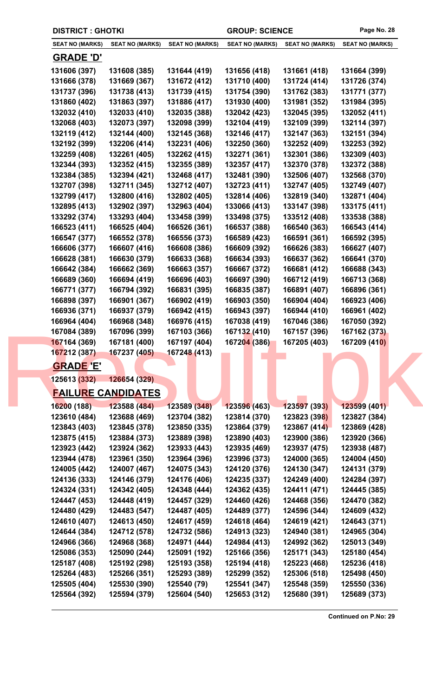|                        | <b>DISTRICT : GHOTKI</b>  |                        |                        | <b>GROUP: SCIENCE</b>  |                        | Page No. 28 |
|------------------------|---------------------------|------------------------|------------------------|------------------------|------------------------|-------------|
| <b>SEAT NO (MARKS)</b> | <b>SEAT NO (MARKS)</b>    | <b>SEAT NO (MARKS)</b> | <b>SEAT NO (MARKS)</b> | <b>SEAT NO (MARKS)</b> | <b>SEAT NO (MARKS)</b> |             |
| <b>GRADE 'D'</b>       |                           |                        |                        |                        |                        |             |
| 131606 (397)           | 131608 (385)              | 131644 (419)           | 131656 (418)           | 131661 (418)           | 131664 (399)           |             |
| 131666 (378)           | 131669 (367)              | 131672 (412)           | 131710 (400)           | 131724 (414)           | 131726 (374)           |             |
| 131737 (396)           | 131738 (413)              | 131739 (415)           | 131754 (390)           | 131762 (383)           | 131771 (377)           |             |
| 131860 (402)           | 131863 (397)              | 131886 (417)           | 131930 (400)           | 131981 (352)           | 131984 (395)           |             |
| 132032 (410)           | 132033 (410)              | 132035 (388)           | 132042 (423)           | 132045 (395)           | 132052 (411)           |             |
| 132068 (403)           | 132073 (397)              | 132098 (399)           | 132104 (419)           | 132109 (399)           | 132114 (397)           |             |
| 132119 (412)           | 132144 (400)              | 132145 (368)           | 132146 (417)           | 132147 (363)           | 132151 (394)           |             |
| 132192 (399)           | 132206 (414)              | 132231 (406)           | 132250 (360)           | 132252 (409)           | 132253 (392)           |             |
| 132259 (408)           | 132261 (405)              | 132262 (415)           | 132271 (361)           | 132301 (386)           | 132309 (403)           |             |
| 132344 (393)           | 132352 (415)              | 132355 (389)           | 132357 (417)           | 132370 (378)           | 132372 (388)           |             |
| 132384 (385)           | 132394 (421)              | 132468 (417)           | 132481 (390)           | 132506 (407)           | 132568 (370)           |             |
| 132707 (398)           | 132711 (345)              | 132712 (407)           | 132723 (411)           | 132747 (405)           | 132749 (407)           |             |
| 132799 (417)           | 132800 (416)              | 132802 (405)           | 132814 (406)           | 132819 (340)           | 132871 (404)           |             |
| 132895 (413)           | 132902 (397)              | 132963 (404)           | 133066 (413)           | 133147 (398)           | 133175 (411)           |             |
| 133292 (374)           | 133293 (404)              | 133458 (399)           | 133498 (375)           | 133512 (408)           | 133538 (388)           |             |
| 166523 (411)           | 166525 (404)              | 166526 (361)           | 166537 (388)           | 166540 (363)           | 166543 (414)           |             |
| 166547 (377)           | 166552 (378)              | 166556 (373)           | 166589 (423)           | 166591 (361)           | 166592 (395)           |             |
| 166606 (377)           | 166607 (416)              | 166608 (386)           | 166609 (392)           | 166626 (383)           | 166627 (407)           |             |
| 166628 (381)           | 166630 (379)              | 166633 (368)           | 166634 (393)           | 166637 (362)           | 166641 (370)           |             |
| 166642 (384)           | 166662 (369)              | 166663 (357)           | 166667 (372)           | 166681 (412)           | 166688 (343)           |             |
| 166689 (360)           | 166694 (419)              | 166696 (403)           | 166697 (390)           | 166712 (419)           | 166713 (368)           |             |
| 166771 (377)           | 166794 (392)              | 166831 (395)           | 166835 (387)           | 166891 (407)           | 166896 (361)           |             |
| 166898 (397)           | 166901 (367)              | 166902 (419)           | 166903 (350)           | 166904 (404)           | 166923 (406)           |             |
| 166936 (371)           | 166937 (379)              | 166942 (415)           | 166943 (397)           | 166944 (410)           | 166961 (402)           |             |
| 166964 (404)           | 166968 (348)              | 166976 (415)           | 167038 (419)           | 167046 (386)           | 167050 (392)           |             |
| 167084 (389)           | 167096 (399)              | 167103 (366)           | 167132 (410)           | 167157 (396)           | 167162 (373)           |             |
| 167164 (369)           | 167181 (400)              | 167197 (404)           | 167204 (386)           | 167205 (403)           | 167209 (410)           |             |
| 167212 (387)           | 167237 (405)              | 167248 (413)           |                        |                        |                        |             |
| <b>GRADE 'E'</b>       |                           |                        |                        |                        |                        |             |
| 125613 (332)           | 126654 (329)              |                        |                        |                        |                        |             |
|                        | <b>FAILURE CANDIDATES</b> |                        |                        |                        |                        |             |
| 16200 (188)            | 123588 (484)              | 123589 (348)           | 123596 (463)           | 123597 (393)           | 123599 (401)           |             |
| 123610 (484)           | 123688 (469)              | 123704 (382)           | 123814 (370)           | 123823 (398)           | 123827 (384)           |             |
| 123843 (403)           | 123845 (378)              | 123850 (335)           | 123864 (379)           | 123867 (414)           | 123869 (428)           |             |
| 123875 (415)           | 123884 (373)              | 123889 (398)           | 123890 (403)           | 123900 (386)           | 123920 (366)           |             |
| 123923 (442)           | 123924 (362)              | 123933 (443)           | 123935 (469)           | 123937 (475)           | 123938 (487)           |             |
| 123944 (478)           | 123961 (350)              | 123964 (396)           | 123996 (373)           | 124000 (365)           | 124004 (450)           |             |
| 124005 (442)           | 124007 (467)              | 124075 (343)           | 124120 (376)           | 124130 (347)           | 124131 (379)           |             |
| 124136 (333)           | 124146 (379)              | 124176 (406)           | 124235 (337)           | 124249 (400)           | 124284 (397)           |             |
| 124324 (331)           | 124342 (405)              | 124348 (444)           | 124362 (435)           | 124411 (471)           | 124445 (385)           |             |
| 124447 (453)           | 124448 (419)              | 124457 (329)           | 124460 (426)           | 124468 (356)           | 124470 (382)           |             |
| 124480 (429)           | 124483 (547)              | 124487 (405)           | 124489 (377)           | 124596 (344)           | 124609 (432)           |             |
| 124610 (407)           | 124613 (450)              | 124617 (459)           | 124618 (464)           | 124619 (421)           | 124643 (371)           |             |
| 124644 (384)           | 124712 (578)              | 124732 (586)           | 124913 (323)           | 124940 (381)           | 124965 (304)           |             |
| 124966 (366)           | 124968 (368)              | 124971 (444)           | 124984 (413)           | 124992 (362)           | 125013 (349)           |             |
| 125086 (353)           | 125090 (244)              | 125091 (192)           | 125166 (356)           | 125171 (343)           | 125180 (454)           |             |
| 125187 (408)           | 125192 (298)              | 125193 (358)           | 125194 (418)           | 125223 (468)           | 125236 (418)           |             |
| 125264 (483)           | 125266 (351)              | 125293 (389)           | 125299 (352)           | 125306 (518)           | 125498 (450)           |             |
| 125505 (404)           | 125530 (390)              | 125540 (79)            | 125541 (347)           | 125548 (359)           | 125550 (336)           |             |
| 125564 (392)           | 125594 (379)              | 125604 (540)           | 125653 (312)           | 125680 (391)           | 125689 (373)           |             |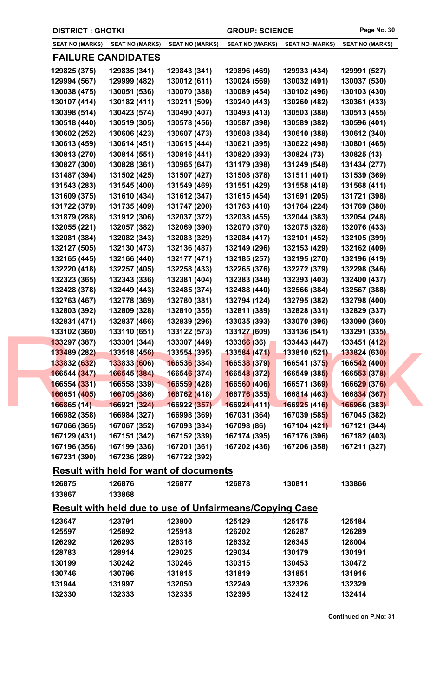| <b>DISTRICT: GHOTKI</b> |                                                                |                             | <b>GROUP: SCIENCE</b>     |                        | Page No. 30            |
|-------------------------|----------------------------------------------------------------|-----------------------------|---------------------------|------------------------|------------------------|
| <b>SEAT NO (MARKS)</b>  | <b>SEAT NO (MARKS)</b>                                         | <b>SEAT NO (MARKS)</b>      | <b>SEAT NO (MARKS)</b>    | <b>SEAT NO (MARKS)</b> | <b>SEAT NO (MARKS)</b> |
|                         | <u>FAILURE CANDIDATES</u>                                      |                             |                           |                        |                        |
| 129825 (375)            | 129835 (341)                                                   | 129843 (341)                | 129896 (469)              | 129933 (434)           | 129991 (527)           |
| 129994 (567)            | 129999 (482)                                                   | 130012 (611)                | 130024 (569)              | 130032 (491)           | 130037 (530)           |
| 130038 (475)            | 130051 (536)                                                   | 130070 (388)                | 130089 (454)              | 130102 (496)           | 130103 (430)           |
| 130107 (414)            | 130182 (411)                                                   | 130211 (509)                | 130240 (443)              | 130260 (482)           | 130361 (433)           |
| 130398 (514)            | 130423 (574)                                                   | 130490 (407)                | 130493 (413)              | 130503 (388)           | 130513 (455)           |
| 130518 (440)            | 130519 (305)                                                   | 130578 (456)                | 130587 (398)              | 130589 (382)           | 130596 (401)           |
| 130602 (252)            | 130606 (423)                                                   | 130607 (473)                | 130608 (384)              | 130610 (388)           | 130612 (340)           |
| 130613 (459)            | 130614 (451)                                                   | 130615 (444)                | 130621 (395)              | 130622 (498)           | 130801 (465)           |
| 130813 (270)            | 130814 (551)                                                   | 130816 (441)                | 130820 (393)              | 130824 (73)            | 130825 (13)            |
| 130827 (300)            | 130828 (361)                                                   | 130965 (647)                | 131179 (398)              | 131249 (548)           | 131434 (277)           |
| 131487 (394)            | 131502 (425)                                                   | 131507 (427)                | 131508 (378)              | 131511 (401)           | 131539 (369)           |
| 131543 (283)            | 131545 (400)                                                   | 131549 (469)                | 131551 (429)              | 131558 (418)           | 131568 (411)           |
| 131609 (375)            | 131610 (434)                                                   | 131612 (347)                | 131615 (454)              | 131691 (205)           | 131721 (398)           |
| 131722 (379)            | 131735 (409)                                                   | 131747 (200)                | 131763 (410)              | 131764 (224)           | 131769 (380)           |
| 131879 (288)            | 131912 (306)                                                   | 132037 (372)                | 132038 (455)              | 132044 (383)           | 132054 (248)           |
| 132055 (221)            | 132057 (382)                                                   | 132069 (390)                | 132070 (370)              | 132075 (328)           | 132076 (433)           |
| 132081 (384)            | 132082 (343)                                                   | 132083 (329)                | 132084 (417)              | 132101 (452)           | 132105 (399)           |
| 132127 (505)            | 132130 (473)                                                   | 132136 (487)                | 132149 (296)              | 132153 (429)           | 132162 (409)           |
| 132165 (445)            | 132166 (440)                                                   | 132177 (471)                | 132185 (257)              | 132195 (270)           | 132196 (419)           |
| 132220 (418)            | 132257 (405)                                                   | 132258 (433)                | 132265 (376)              | 132272 (379)           | 132298 (346)           |
| 132323 (365)            | 132343 (336)                                                   | 132381 (404)                | 132383 (348)              | 132393 (403)           | 132400 (437)           |
| 132428 (378)            | 132449 (443)                                                   | 132485 (374)                | 132488 (440)              | 132566 (384)           | 132567 (388)           |
| 132763 (467)            | 132778 (369)                                                   | 132780 (381)                | 132794 (124)              | 132795 (382)           | 132798 (400)           |
| 132803 (392)            | 132809 (328)                                                   | 132810 (355)                | 132811 (389)              | 132828 (331)           | 132829 (337)           |
| 132831 (471)            | 132837 (466)                                                   | 132839 (296)                | 133035 (393)              | 133070 (396)           | 133090 (360)           |
| 133102 (360)            | 133110 (651)                                                   | 133122 (573)                | 133127 (609)              | 133136 (541)           | 133291 (335)           |
|                         |                                                                |                             | 133307 (449)  133366 (36) | 133443 (447)           | 133451 (412)           |
| 133489 (282)            | 133518 (456)                                                   | 133554 (395)                | 133584 (471)              | 133810 (521)           | 133824 (630)           |
| 133832 (632)            | 133833 (606)                                                   | 166536 (384)                | 166538 (379)              | 166541 (375)           | 166542 (400)           |
| 166544 (347)            | 166545 (384)                                                   | 16654 <mark>6 (</mark> 374) | 166548 (372)              | 166549 (385)           | 166553 (378)           |
| 166554 (331)            | 166558 (339)                                                   | <b>166559 (428)</b>         | 166560 (406)              | 166571 (369)           | 166629 (376)           |
| 166651 (405)            | 166705 (386)                                                   | 166762 (418)                | 166776 (355)              | 166814 (463)           | 166834 (367)           |
| 166865(14)              | 166921 (324)                                                   | 166922 (357)                | 166924(411)               | 166925 (416)           | 166966 (383)           |
| 166982 (358)            | 166984 (327)                                                   | 166998 (369)                | 167031 (364)              | 167039 (585)           | 167045 (382)           |
| 167066 (365)            | 167067 (352)                                                   | 167093 (334)                | 167098 (86)               | 167104 (421)           | 167121 (344)           |
| 167129 (431)            | 167151 (342)                                                   | 167152 (339)                | 167174 (395)              | 167176 (396)           | 167182 (403)           |
| 167196 (356)            | 167199 (336)                                                   | 167201 (361)                | 167202 (436)              | 167206 (358)           | 167211 (327)           |
| 167231 (390)            | 167236 (289)                                                   | 167722 (392)                |                           |                        |                        |
|                         | <b>Result with held for want of documents</b>                  |                             |                           |                        |                        |
| 126875                  | 126876                                                         | 126877                      | 126878                    | 130811                 | 133866                 |
| 133867                  | 133868                                                         |                             |                           |                        |                        |
|                         | <b>Result with held due to use of Unfairmeans/Copying Case</b> |                             |                           |                        |                        |
|                         |                                                                |                             |                           |                        |                        |
| 123647                  | 123791                                                         | 123800                      | 125129                    | 125175                 | 125184                 |
| 125597                  | 125892                                                         | 125918                      | 126202                    | 126287                 | 126289                 |
| 126292                  | 126293                                                         | 126316                      | 126332                    | 126345                 | 128004                 |
| 128783                  | 128914                                                         | 129025                      | 129034                    | 130179                 | 130191                 |
| 130199                  | 130242                                                         | 130246                      | 130315                    | 130453                 | 130472                 |
| 130746                  | 130796                                                         | 131815                      | 131819                    | 131851                 | 131916                 |
| 131944                  | 131997                                                         | 132050                      | 132249                    | 132326                 | 132329                 |
| 132330                  | 132333                                                         | 132335                      | 132395                    | 132412                 | 132414                 |